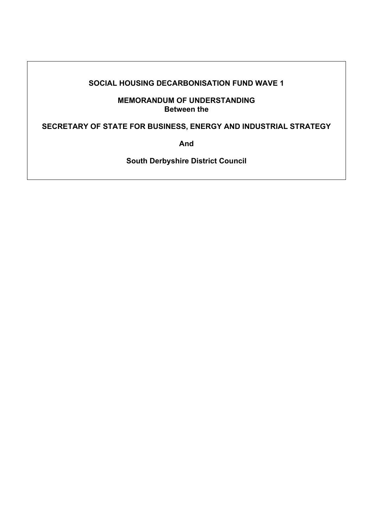#### **SOCIAL HOUSING DECARBONISATION FUND WAVE 1**

**MEMORANDUM OF UNDERSTANDING Between the** 

**SECRETARY OF STATE FOR BUSINESS, ENERGY AND INDUSTRIAL STRATEGY** 

**And** 

**South Derbyshire District Council**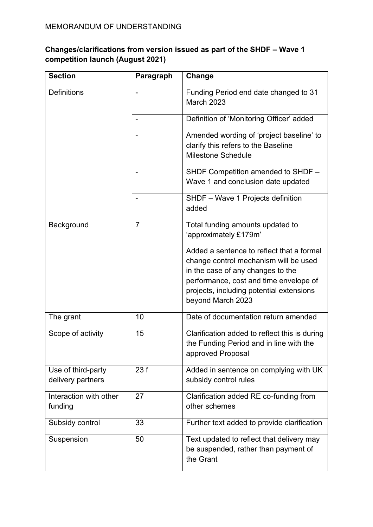## **Changes/clarifications from version issued as part of the SHDF – Wave 1 competition launch (August 2021)**

| <b>Section</b>                          | Paragraph      | Change                                                                                                        |
|-----------------------------------------|----------------|---------------------------------------------------------------------------------------------------------------|
| <b>Definitions</b>                      |                | Funding Period end date changed to 31<br><b>March 2023</b>                                                    |
|                                         |                | Definition of 'Monitoring Officer' added                                                                      |
|                                         |                | Amended wording of 'project baseline' to<br>clarify this refers to the Baseline<br><b>Milestone Schedule</b>  |
|                                         |                | SHDF Competition amended to SHDF -<br>Wave 1 and conclusion date updated                                      |
|                                         |                | SHDF - Wave 1 Projects definition<br>added                                                                    |
| Background                              | $\overline{7}$ | Total funding amounts updated to<br>'approximately £179m'                                                     |
|                                         |                | Added a sentence to reflect that a formal<br>change control mechanism will be used                            |
|                                         |                | in the case of any changes to the                                                                             |
|                                         |                | performance, cost and time envelope of<br>projects, including potential extensions<br>beyond March 2023       |
| The grant                               | 10             | Date of documentation return amended                                                                          |
| Scope of activity                       | 15             | Clarification added to reflect this is during<br>the Funding Period and in line with the<br>approved Proposal |
| Use of third-party<br>delivery partners | 23f            | Added in sentence on complying with UK<br>subsidy control rules                                               |
| Interaction with other<br>funding       | 27             | Clarification added RE co-funding from<br>other schemes                                                       |
| Subsidy control                         | 33             | Further text added to provide clarification                                                                   |
| Suspension                              | 50             | Text updated to reflect that delivery may<br>be suspended, rather than payment of<br>the Grant                |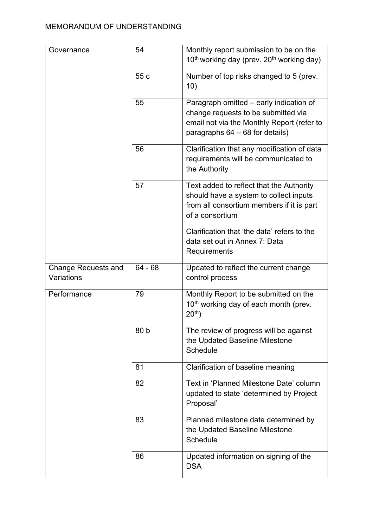| Governance                 | 54        | Monthly report submission to be on the                            |
|----------------------------|-----------|-------------------------------------------------------------------|
|                            |           | 10 <sup>th</sup> working day (prev. 20 <sup>th</sup> working day) |
|                            | 55 c      | Number of top risks changed to 5 (prev.                           |
|                            |           | 10)                                                               |
|                            | 55        | Paragraph omitted – early indication of                           |
|                            |           | change requests to be submitted via                               |
|                            |           | email not via the Monthly Report (refer to                        |
|                            |           | paragraphs $64 - 68$ for details)                                 |
|                            | 56        | Clarification that any modification of data                       |
|                            |           | requirements will be communicated to                              |
|                            |           | the Authority                                                     |
|                            | 57        | Text added to reflect that the Authority                          |
|                            |           | should have a system to collect inputs                            |
|                            |           | from all consortium members if it is part                         |
|                            |           | of a consortium                                                   |
|                            |           | Clarification that 'the data' refers to the                       |
|                            |           | data set out in Annex 7: Data                                     |
|                            |           | Requirements                                                      |
| <b>Change Requests and</b> | $64 - 68$ | Updated to reflect the current change                             |
|                            |           |                                                                   |
| Variations                 |           | control process                                                   |
| Performance                | 79        | Monthly Report to be submitted on the                             |
|                            |           | 10 <sup>th</sup> working day of each month (prev.                 |
|                            |           | $20^{th}$ )                                                       |
|                            | 80 b      | The review of progress will be against                            |
|                            |           | the Updated Baseline Milestone                                    |
|                            |           | Schedule                                                          |
|                            | 81        | Clarification of baseline meaning                                 |
|                            | 82        | Text in 'Planned Milestone Date' column                           |
|                            |           | updated to state 'determined by Project                           |
|                            |           | Proposal'                                                         |
|                            | 83        | Planned milestone date determined by                              |
|                            |           | the Updated Baseline Milestone                                    |
|                            |           | <b>Schedule</b>                                                   |
|                            | 86        | Updated information on signing of the                             |
|                            |           | <b>DSA</b>                                                        |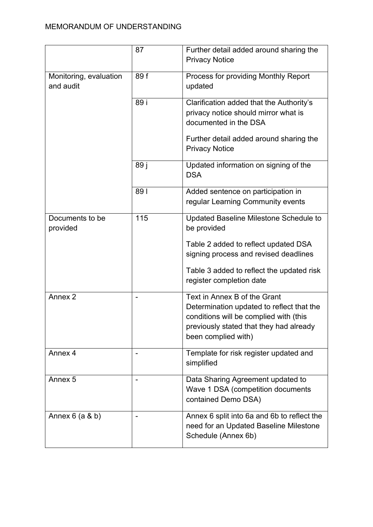|                                            | 87                       | Further detail added around sharing the<br><b>Privacy Notice</b>                                                                                                                      |
|--------------------------------------------|--------------------------|---------------------------------------------------------------------------------------------------------------------------------------------------------------------------------------|
| 89f<br>Monitoring, evaluation<br>and audit |                          | Process for providing Monthly Report<br>updated                                                                                                                                       |
|                                            | 89 i                     | Clarification added that the Authority's<br>privacy notice should mirror what is<br>documented in the DSA                                                                             |
|                                            |                          | Further detail added around sharing the<br><b>Privacy Notice</b>                                                                                                                      |
|                                            | 89 j                     | Updated information on signing of the<br><b>DSA</b>                                                                                                                                   |
|                                            | 891                      | Added sentence on participation in<br>regular Learning Community events                                                                                                               |
| Documents to be<br>provided                | 115                      | Updated Baseline Milestone Schedule to<br>be provided                                                                                                                                 |
|                                            |                          | Table 2 added to reflect updated DSA<br>signing process and revised deadlines                                                                                                         |
|                                            |                          | Table 3 added to reflect the updated risk<br>register completion date                                                                                                                 |
| Annex <sub>2</sub>                         | $\overline{a}$           | Text in Annex B of the Grant<br>Determination updated to reflect that the<br>conditions will be complied with (this<br>previously stated that they had already<br>been complied with) |
| Annex 4                                    | -                        | Template for risk register updated and<br>simplified                                                                                                                                  |
| Annex 5                                    | $\overline{\phantom{a}}$ | Data Sharing Agreement updated to<br>Wave 1 DSA (competition documents<br>contained Demo DSA)                                                                                         |
| Annex $6$ (a $8$ b)                        |                          | Annex 6 split into 6a and 6b to reflect the<br>need for an Updated Baseline Milestone<br>Schedule (Annex 6b)                                                                          |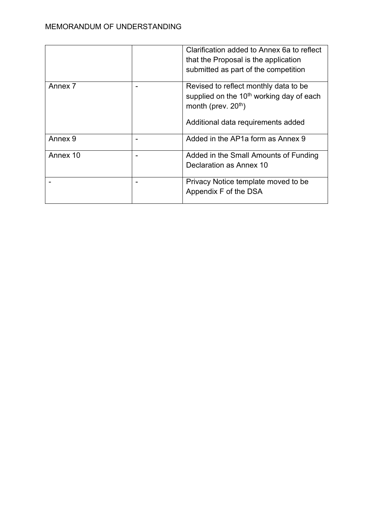|          |                          | Clarification added to Annex 6a to reflect                                              |
|----------|--------------------------|-----------------------------------------------------------------------------------------|
|          |                          | that the Proposal is the application                                                    |
|          |                          | submitted as part of the competition                                                    |
| Annex 7  |                          | Revised to reflect monthly data to be                                                   |
|          |                          | supplied on the 10 <sup>th</sup> working day of each<br>month (prev. 20 <sup>th</sup> ) |
|          |                          | Additional data requirements added                                                      |
| Annex 9  | $\overline{\phantom{0}}$ | Added in the AP1a form as Annex 9                                                       |
| Annex 10 |                          | Added in the Small Amounts of Funding                                                   |
|          |                          | Declaration as Annex 10                                                                 |
|          |                          | Privacy Notice template moved to be                                                     |
|          |                          | Appendix F of the DSA                                                                   |
|          |                          |                                                                                         |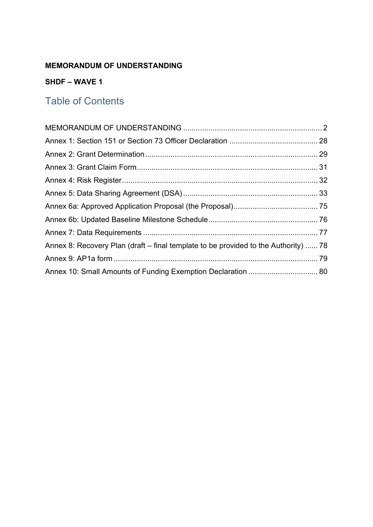## **SHDF – WAVE 1**

# Table of Contents

| Annex 8: Recovery Plan (draft – final template to be provided to the Authority)  78 |  |
|-------------------------------------------------------------------------------------|--|
|                                                                                     |  |
| Annex 10: Small Amounts of Funding Exemption Declaration  80                        |  |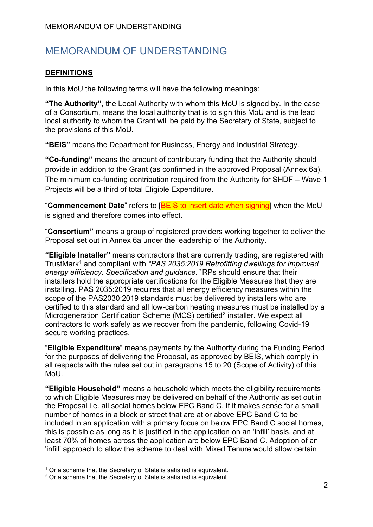#### **DEFINITIONS**

In this MoU the following terms will have the following meanings:

**"The Authority",** the Local Authority with whom this MoU is signed by. In the case of a Consortium, means the local authority that is to sign this MoU and is the lead local authority to whom the Grant will be paid by the Secretary of State, subject to the provisions of this MoU.

**"BEIS"** means the Department for Business, Energy and Industrial Strategy.

**"Co-funding"** means the amount of contributary funding that the Authority should provide in addition to the Grant (as confirmed in the approved Proposal (Annex 6a). The minimum co-funding contribution required from the Authority for SHDF – Wave 1 Projects will be a third of total Eligible Expenditure.

"**Commencement Date**" refers to [BEIS to insert date when signing] when the MoU is signed and therefore comes into effect.

"**Consortium"** means a group of registered providers working together to deliver the Proposal set out in Annex 6a under the leadership of the Authority.

**"Eligible Installer"** means contractors that are currently trading, are registered with TrustMark<sup>1</sup> and compliant with *"PAS 2035:2019 Retrofitting dwellings for improved energy efficiency. Specification and guidance."* RPs should ensure that their installers hold the appropriate certifications for the Eligible Measures that they are installing. PAS 2035:2019 requires that all energy efficiency measures within the scope of the PAS2030:2019 standards must be delivered by installers who are certified to this standard and all low-carbon heating measures must be installed by a Microgeneration Certification Scheme (MCS) certified<sup>2</sup> installer. We expect all contractors to work safely as we recover from the pandemic, following Covid-19 secure working practices.

"**Eligible Expenditure**" means payments by the Authority during the Funding Period for the purposes of delivering the Proposal, as approved by BEIS, which comply in all respects with the rules set out in paragraphs 15 to 20 (Scope of Activity) of this MoU.

**"Eligible Household"** means a household which meets the eligibility requirements to which Eligible Measures may be delivered on behalf of the Authority as set out in the Proposal i.e. all social homes below EPC Band C. If it makes sense for a small number of homes in a block or street that are at or above EPC Band C to be included in an application with a primary focus on below EPC Band C social homes, this is possible as long as it is justified in the application on an 'infill' basis, and at least 70% of homes across the application are below EPC Band C. Adoption of an 'infill' approach to allow the scheme to deal with Mixed Tenure would allow certain

<sup>&</sup>lt;sup>1</sup> Or a scheme that the Secretary of State is satisfied is equivalent.

<sup>2</sup> Or a scheme that the Secretary of State is satisfied is equivalent.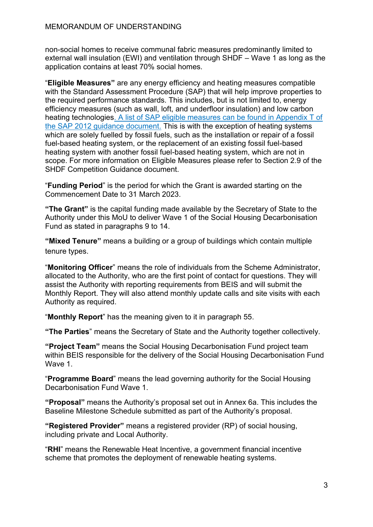non-social homes to receive communal fabric measures predominantly limited to external wall insulation (EWI) and ventilation through SHDF – Wave 1 as long as the application contains at least 70% social homes.

"**Eligible Measures"** are any energy efficiency and heating measures compatible with the Standard Assessment Procedure (SAP) that will help improve properties to the required performance standards. This includes, but is not limited to, energy efficiency measures (such as wall, loft, and underfloor insulation) and low carbon heating technologies. [A list of SAP eligible measures can be found in Appendix T of](https://www.bre.co.uk/filelibrary/SAP/2012/SAP-2012_9-92.pdf)  [the SAP 2012 guidance document.](https://www.bre.co.uk/filelibrary/SAP/2012/SAP-2012_9-92.pdf) This is with the exception of heating systems which are solely fuelled by fossil fuels, such as the installation or repair of a fossil fuel-based heating system, or the replacement of an existing fossil fuel-based heating system with another fossil fuel-based heating system, which are not in scope. For more information on Eligible Measures please refer to Section 2.9 of the SHDF Competition Guidance document.

"**Funding Period**" is the period for which the Grant is awarded starting on the Commencement Date to 31 March 2023.

**"The Grant"** is the capital funding made available by the Secretary of State to the Authority under this MoU to deliver Wave 1 of the Social Housing Decarbonisation Fund as stated in paragraphs 9 to 14.

**"Mixed Tenure"** means a building or a group of buildings which contain multiple tenure types.

"**Monitoring Officer**" means the role of individuals from the Scheme Administrator, allocated to the Authority, who are the first point of contact for questions. They will assist the Authority with reporting requirements from BEIS and will submit the Monthly Report. They will also attend monthly update calls and site visits with each Authority as required.

"**Monthly Report**" has the meaning given to it in paragraph 55.

**"The Parties**" means the Secretary of State and the Authority together collectively.

**"Project Team"** means the Social Housing Decarbonisation Fund project team within BEIS responsible for the delivery of the Social Housing Decarbonisation Fund Wave 1.

"**Programme Board**" means the lead governing authority for the Social Housing Decarbonisation Fund Wave 1.

**"Proposal"** means the Authority's proposal set out in Annex 6a. This includes the Baseline Milestone Schedule submitted as part of the Authority's proposal.

**"Registered Provider"** means a registered provider (RP) of social housing, including private and Local Authority.

"**RHI**" means the Renewable Heat Incentive, a government financial incentive scheme that promotes the deployment of renewable heating systems.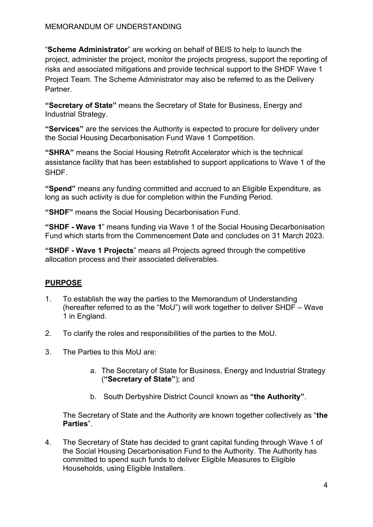"**Scheme Administrator**" are working on behalf of BEIS to help to launch the project, administer the project, monitor the projects progress, support the reporting of risks and associated mitigations and provide technical support to the SHDF Wave 1 Project Team. The Scheme Administrator may also be referred to as the Delivery Partner.

**"Secretary of State"** means the Secretary of State for Business, Energy and Industrial Strategy.

**"Services"** are the services the Authority is expected to procure for delivery under the Social Housing Decarbonisation Fund Wave 1 Competition.

**"SHRA"** means the Social Housing Retrofit Accelerator which is the technical assistance facility that has been established to support applications to Wave 1 of the SHDF.

**"Spend"** means any funding committed and accrued to an Eligible Expenditure, as long as such activity is due for completion within the Funding Period.

**"SHDF"** means the Social Housing Decarbonisation Fund.

**"SHDF - Wave 1**" means funding via Wave 1 of the Social Housing Decarbonisation Fund which starts from the Commencement Date and concludes on 31 March 2023.

**"SHDF - Wave 1 Projects**" means all Projects agreed through the competitive allocation process and their associated deliverables.

# **PURPOSE**

- 1. To establish the way the parties to the Memorandum of Understanding (hereafter referred to as the "MoU") will work together to deliver SHDF – Wave 1 in England.
- 2. To clarify the roles and responsibilities of the parties to the MoU.
- 3. The Parties to this MoU are:
	- a. The Secretary of State for Business, Energy and Industrial Strategy (**"Secretary of State"**); and
	- b. South Derbyshire District Council known as **"the Authority"**.

The Secretary of State and the Authority are known together collectively as "**the Parties**".

4. The Secretary of State has decided to grant capital funding through Wave 1 of the Social Housing Decarbonisation Fund to the Authority. The Authority has committed to spend such funds to deliver Eligible Measures to Eligible Households, using Eligible Installers.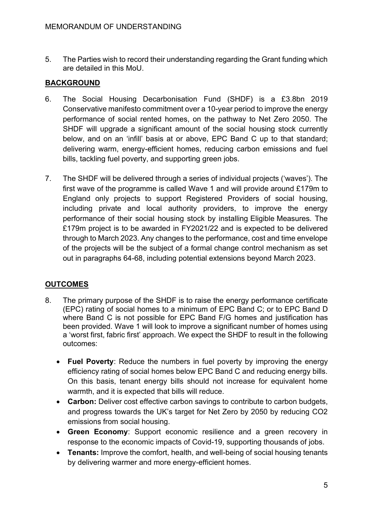5. The Parties wish to record their understanding regarding the Grant funding which are detailed in this MoU.

#### **BACKGROUND**

- 6. The Social Housing Decarbonisation Fund (SHDF) is a £3.8bn 2019 Conservative manifesto commitment over a 10-year period to improve the energy performance of social rented homes, on the pathway to Net Zero 2050. The SHDF will upgrade a significant amount of the social housing stock currently below, and on an 'infill' basis at or above, EPC Band C up to that standard; delivering warm, energy-efficient homes, reducing carbon emissions and fuel bills, tackling fuel poverty, and supporting green jobs.
- 7. The SHDF will be delivered through a series of individual projects ('waves'). The first wave of the programme is called Wave 1 and will provide around £179m to England only projects to support Registered Providers of social housing, including private and local authority providers, to improve the energy performance of their social housing stock by installing Eligible Measures. The £179m project is to be awarded in FY2021/22 and is expected to be delivered through to March 2023. Any changes to the performance, cost and time envelope of the projects will be the subject of a formal change control mechanism as set out in paragraphs 64-68, including potential extensions beyond March 2023.

## **OUTCOMES**

- 8. The primary purpose of the SHDF is to raise the energy performance certificate (EPC) rating of social homes to a minimum of EPC Band C; or to EPC Band D where Band C is not possible for EPC Band F/G homes and justification has been provided. Wave 1 will look to improve a significant number of homes using a 'worst first, fabric first' approach. We expect the SHDF to result in the following outcomes:
	- **Fuel Poverty**: Reduce the numbers in fuel poverty by improving the energy efficiency rating of social homes below EPC Band C and reducing energy bills. On this basis, tenant energy bills should not increase for equivalent home warmth, and it is expected that bills will reduce.
	- **Carbon:** Deliver cost effective carbon savings to contribute to carbon budgets, and progress towards the UK's target for Net Zero by 2050 by reducing CO2 emissions from social housing.
	- **Green Economy**: Support economic resilience and a green recovery in response to the economic impacts of Covid-19, supporting thousands of jobs.
	- **Tenants:** Improve the comfort, health, and well-being of social housing tenants by delivering warmer and more energy-efficient homes.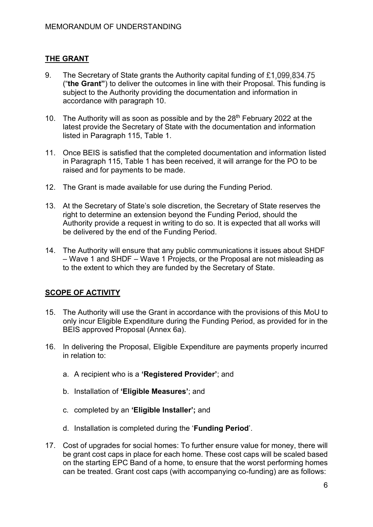#### **THE GRANT**

- 9. The Secretary of State grants the Authority capital funding of £1,099,834,75 ("**the Grant"**) to deliver the outcomes in line with their Proposal. This funding is subject to the Authority providing the documentation and information in accordance with paragraph 10.
- 10. The Authority will as soon as possible and by the 28<sup>th</sup> February 2022 at the latest provide the Secretary of State with the documentation and information listed in Paragraph 115, Table 1.
- 11. Once BEIS is satisfied that the completed documentation and information listed in Paragraph 115, Table 1 has been received, it will arrange for the PO to be raised and for payments to be made.
- 12. The Grant is made available for use during the Funding Period.
- 13. At the Secretary of State's sole discretion, the Secretary of State reserves the right to determine an extension beyond the Funding Period, should the Authority provide a request in writing to do so. It is expected that all works will be delivered by the end of the Funding Period.
- 14. The Authority will ensure that any public communications it issues about SHDF – Wave 1 and SHDF – Wave 1 Projects, or the Proposal are not misleading as to the extent to which they are funded by the Secretary of State.

#### **SCOPE OF ACTIVITY**

- 15. The Authority will use the Grant in accordance with the provisions of this MoU to only incur Eligible Expenditure during the Funding Period, as provided for in the BEIS approved Proposal (Annex 6a).
- 16. In delivering the Proposal, Eligible Expenditure are payments properly incurred in relation to:
	- a. A recipient who is a **'Registered Provider'**; and
	- b. Installation of **'Eligible Measures'**; and
	- c. completed by an **'Eligible Installer';** and
	- d. Installation is completed during the '**Funding Period**'.
- 17. Cost of upgrades for social homes: To further ensure value for money, there will be grant cost caps in place for each home. These cost caps will be scaled based on the starting EPC Band of a home, to ensure that the worst performing homes can be treated. Grant cost caps (with accompanying co-funding) are as follows: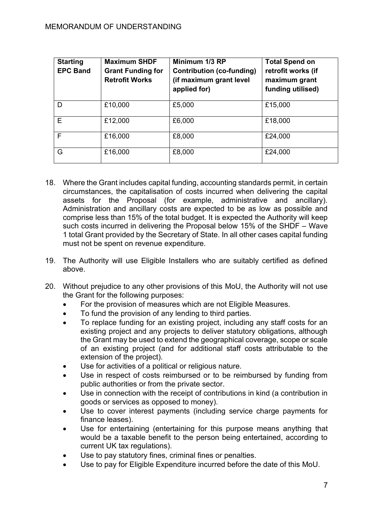| <b>Starting</b><br><b>EPC Band</b> | <b>Maximum SHDF</b><br><b>Grant Funding for</b><br><b>Retrofit Works</b> | Minimum 1/3 RP<br><b>Contribution (co-funding)</b><br>(if maximum grant level<br>applied for) | <b>Total Spend on</b><br>retrofit works (if<br>maximum grant<br>funding utilised) |
|------------------------------------|--------------------------------------------------------------------------|-----------------------------------------------------------------------------------------------|-----------------------------------------------------------------------------------|
| D                                  | £10,000                                                                  | £5,000                                                                                        | £15,000                                                                           |
| E                                  | £12,000                                                                  | £6,000                                                                                        | £18,000                                                                           |
| F                                  | £16,000                                                                  | £8,000                                                                                        | £24,000                                                                           |
| G                                  | £16,000                                                                  | £8,000                                                                                        | £24,000                                                                           |

- 18. Where the Grant includes capital funding, accounting standards permit, in certain circumstances, the capitalisation of costs incurred when delivering the capital assets for the Proposal (for example, administrative and ancillary). Administration and ancillary costs are expected to be as low as possible and comprise less than 15% of the total budget. It is expected the Authority will keep such costs incurred in delivering the Proposal below 15% of the SHDF – Wave 1 total Grant provided by the Secretary of State. In all other cases capital funding must not be spent on revenue expenditure.
- 19. The Authority will use Eligible Installers who are suitably certified as defined above.
- 20. Without prejudice to any other provisions of this MoU, the Authority will not use the Grant for the following purposes:
	- For the provision of measures which are not Eligible Measures.
	- To fund the provision of any lending to third parties.
	- To replace funding for an existing project, including any staff costs for an existing project and any projects to deliver statutory obligations, although the Grant may be used to extend the geographical coverage, scope or scale of an existing project (and for additional staff costs attributable to the extension of the project).
	- Use for activities of a political or religious nature.
	- Use in respect of costs reimbursed or to be reimbursed by funding from public authorities or from the private sector.
	- Use in connection with the receipt of contributions in kind (a contribution in goods or services as opposed to money).
	- Use to cover interest payments (including service charge payments for finance leases).
	- Use for entertaining (entertaining for this purpose means anything that would be a taxable benefit to the person being entertained, according to current UK tax regulations).
	- Use to pay statutory fines, criminal fines or penalties.
	- Use to pay for Eligible Expenditure incurred before the date of this MoU.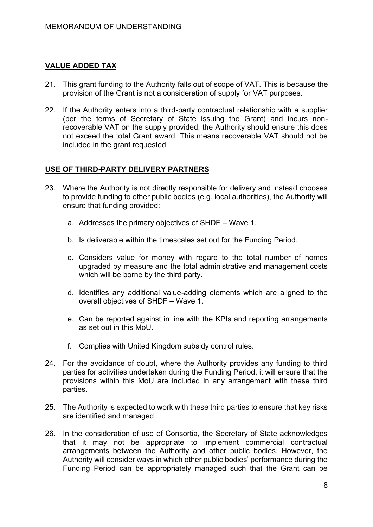#### **VALUE ADDED TAX**

- 21. This grant funding to the Authority falls out of scope of VAT. This is because the provision of the Grant is not a consideration of supply for VAT purposes.
- 22. If the Authority enters into a third-party contractual relationship with a supplier (per the terms of Secretary of State issuing the Grant) and incurs nonrecoverable VAT on the supply provided, the Authority should ensure this does not exceed the total Grant award. This means recoverable VAT should not be included in the grant requested.

#### **USE OF THIRD-PARTY DELIVERY PARTNERS**

- 23. Where the Authority is not directly responsible for delivery and instead chooses to provide funding to other public bodies (e.g. local authorities), the Authority will ensure that funding provided:
	- a. Addresses the primary objectives of SHDF Wave 1.
	- b. Is deliverable within the timescales set out for the Funding Period.
	- c. Considers value for money with regard to the total number of homes upgraded by measure and the total administrative and management costs which will be borne by the third party.
	- d. Identifies any additional value-adding elements which are aligned to the overall objectives of SHDF – Wave 1.
	- e. Can be reported against in line with the KPIs and reporting arrangements as set out in this MoU.
	- f. Complies with United Kingdom subsidy control rules.
- 24. For the avoidance of doubt, where the Authority provides any funding to third parties for activities undertaken during the Funding Period, it will ensure that the provisions within this MoU are included in any arrangement with these third parties.
- 25. The Authority is expected to work with these third parties to ensure that key risks are identified and managed.
- 26. In the consideration of use of Consortia, the Secretary of State acknowledges that it may not be appropriate to implement commercial contractual arrangements between the Authority and other public bodies. However, the Authority will consider ways in which other public bodies' performance during the Funding Period can be appropriately managed such that the Grant can be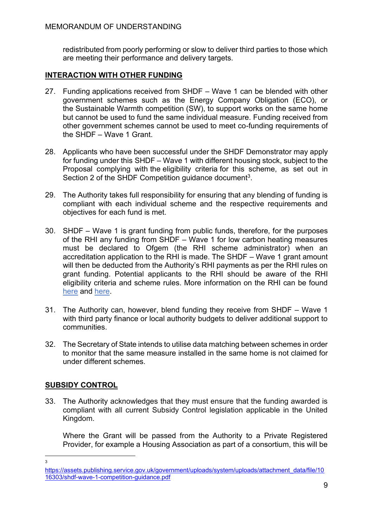redistributed from poorly performing or slow to deliver third parties to those which are meeting their performance and delivery targets.

### **INTERACTION WITH OTHER FUNDING**

- 27. Funding applications received from SHDF Wave 1 can be blended with other government schemes such as the Energy Company Obligation (ECO), or the Sustainable Warmth competition (SW), to support works on the same home but cannot be used to fund the same individual measure. Funding received from other government schemes cannot be used to meet co-funding requirements of the SHDF – Wave 1 Grant.
- 28. Applicants who have been successful under the SHDF Demonstrator may apply for funding under this SHDF – Wave 1 with different housing stock, subject to the Proposal complying with the eligibility criteria for this scheme, as set out in Section 2 of the SHDF Competition guidance document<sup>3</sup>.
- 29. The Authority takes full responsibility for ensuring that any blending of funding is compliant with each individual scheme and the respective requirements and objectives for each fund is met.
- 30. SHDF Wave 1 is grant funding from public funds, therefore, for the purposes of the RHI any funding from SHDF – Wave 1 for low carbon heating measures must be declared to Ofgem (the RHI scheme administrator) when an accreditation application to the RHI is made. The SHDF – Wave 1 grant amount will then be deducted from the Authority's RHI payments as per the RHI rules on grant funding. Potential applicants to the RHI should be aware of the RHI eligibility criteria and scheme rules. More information on the RHI can be found [here](https://www.ofgem.gov.uk/environmental-programmes/domestic-rhi/applicants/registered-social-and-private-landlords) and [here.](https://www.ofgem.gov.uk/environmental-and-social-schemes/domestic-renewable-heat-incentive-domestic-rhi)
- 31. The Authority can, however, blend funding they receive from SHDF Wave 1 with third party finance or local authority budgets to deliver additional support to communities.
- 32. The Secretary of State intends to utilise data matching between schemes in order to monitor that the same measure installed in the same home is not claimed for under different schemes.

## **SUBSIDY CONTROL**

33. The Authority acknowledges that they must ensure that the funding awarded is compliant with all current Subsidy Control legislation applicable in the United Kingdom.

Where the Grant will be passed from the Authority to a Private Registered Provider, for example a Housing Association as part of a consortium, this will be

3

[https://assets.publishing.service.gov.uk/government/uploads/system/uploads/attachment\\_data/file/10](https://assets.publishing.service.gov.uk/government/uploads/system/uploads/attachment_data/file/1016303/shdf-wave-1-competition-guidance.pdf) [16303/shdf-wave-1-competition-guidance.pdf](https://assets.publishing.service.gov.uk/government/uploads/system/uploads/attachment_data/file/1016303/shdf-wave-1-competition-guidance.pdf)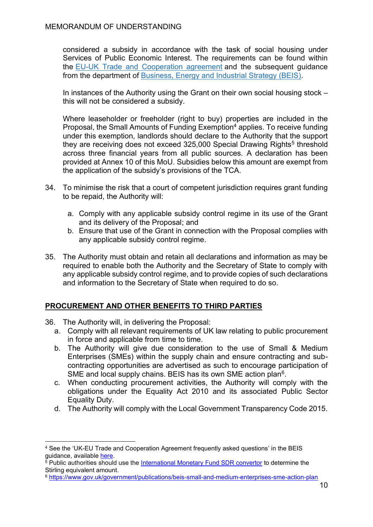considered a subsidy in accordance with the task of social housing under Services of Public Economic Interest. The requirements can be found within the [EU-UK Trade and Cooperation agreement](https://www.gov.uk/government/publications/ukeu-and-eaec-trade-and-cooperation-agreement-ts-no82021) and the subsequent guidance from the department of [Business, Energy and Industrial Strategy \(BEIS\).](https://eur02.safelinks.protection.outlook.com/?url=https%3A%2F%2Fwww.gov.uk%2Fgovernment%2Fpublications%2Fcomplying-with-the-uks-international-obligations-on-subsidy-control-guidance-for-public-authorities&data=04%7C01%7CMia.Jeannot%40beis.gov.uk%7C27f2df64f51a48f74b5308d93e22aef1%7Ccbac700502c143ebb497e6492d1b2dd8%7C0%7C0%7C637609140955800173%7CUnknown%7CTWFpbGZsb3d8eyJWIjoiMC4wLjAwMDAiLCJQIjoiV2luMzIiLCJBTiI6Ik1haWwiLCJXVCI6Mn0%3D%7C1000&sdata=yPmJlDVa1utR0ILCRe%2BGhopqYP8XrVtUWpje%2BWjoegM%3D&reserved=0)

In instances of the Authority using the Grant on their own social housing stock – this will not be considered a subsidy.

Where leaseholder or freeholder (right to buy) properties are included in the Proposal, the Small Amounts of Funding Exemption<sup>4</sup> applies. To receive funding under this exemption, landlords should declare to the Authority that the support they are receiving does not exceed 325,000 Special Drawing Rights<sup>5</sup> threshold across three financial years from all public sources. A declaration has been provided at Annex 10 of this MoU. Subsidies below this amount are exempt from the application of the subsidy's provisions of the TCA.

- 34. To minimise the risk that a court of competent jurisdiction requires grant funding to be repaid, the Authority will:
	- a. Comply with any applicable subsidy control regime in its use of the Grant and its delivery of the Proposal; and
	- b. Ensure that use of the Grant in connection with the Proposal complies with any applicable subsidy control regime.
- 35. The Authority must obtain and retain all declarations and information as may be required to enable both the Authority and the Secretary of State to comply with any applicable subsidy control regime, and to provide copies of such declarations and information to the Secretary of State when required to do so.

#### **PROCUREMENT AND OTHER BENEFITS TO THIRD PARTIES**

- 36. The Authority will, in delivering the Proposal:
	- a. Comply with all relevant requirements of UK law relating to public procurement in force and applicable from time to time.
	- b. The Authority will give due consideration to the use of Small & Medium Enterprises (SMEs) within the supply chain and ensure contracting and subcontracting opportunities are advertised as such to encourage participation of SME and local supply chains. BEIS has its own SME action plan<sup>6</sup>.
	- c. When conducting procurement activities, the Authority will comply with the obligations under the Equality Act 2010 and its associated Public Sector Equality Duty.
	- d. The Authority will comply with the Local Government Transparency Code 2015.

<sup>4</sup> See the 'UK-EU Trade and Cooperation Agreement frequently asked questions' in the BEIS guidance, available [here.](https://www.gov.uk/government/publications/complying-with-the-uks-international-obligations-on-subsidy-control-guidance-for-public-authorities/technical-guidance-on-the-uks-international-subsidy-control-commitments#section-5)

 $5$  Public authorities should use the [International Monetary Fund SDR convertor](https://www.imf.org/external/np/fin/data/rms_five.aspx) to determine the Stirling equivalent amount.

<sup>6</sup> [https://www.gov.uk/government/publications/beis-small-and-medium-enterprises-sme-action-plan](https://eur02.safelinks.protection.outlook.com/?url=https%3A%2F%2Fwww.gov.uk%2Fgovernment%2Fpublications%2Fbeis-small-and-medium-enterprises-sme-action-plan&data=04%7C01%7CLisa.Sharp%40beis.gov.uk%7Ce8d33bf4cbd94847555308d92c30919a%7Ccbac700502c143ebb497e6492d1b2dd8%7C0%7C0%7C637589409370496078%7CUnknown%7CTWFpbGZsb3d8eyJWIjoiMC4wLjAwMDAiLCJQIjoiV2luMzIiLCJBTiI6Ik1haWwiLCJXVCI6Mn0%3D%7C1000&sdata=qmtY0Ajb7muyg8HF0olHTuoVk6gzoKSJF8YZATH0H2c%3D&reserved=0)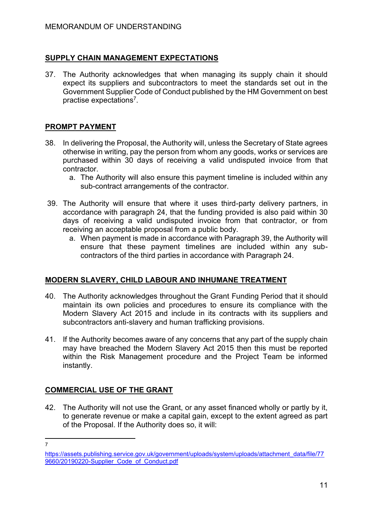#### **SUPPLY CHAIN MANAGEMENT EXPECTATIONS**

37. The Authority acknowledges that when managing its supply chain it should expect its suppliers and subcontractors to meet the standards set out in the Government Supplier Code of Conduct published by the HM Government on best practise expectations<sup>7</sup>.

#### **PROMPT PAYMENT**

- 38. In delivering the Proposal, the Authority will, unless the Secretary of State agrees otherwise in writing, pay the person from whom any goods, works or services are purchased within 30 days of receiving a valid undisputed invoice from that contractor.
	- a. The Authority will also ensure this payment timeline is included within any sub-contract arrangements of the contractor.
- 39. The Authority will ensure that where it uses third-party delivery partners, in accordance with paragraph 24, that the funding provided is also paid within 30 days of receiving a valid undisputed invoice from that contractor, or from receiving an acceptable proposal from a public body.
	- a. When payment is made in accordance with Paragraph 39, the Authority will ensure that these payment timelines are included within any subcontractors of the third parties in accordance with Paragraph 24.

#### **MODERN SLAVERY, CHILD LABOUR AND INHUMANE TREATMENT**

- 40. The Authority acknowledges throughout the Grant Funding Period that it should maintain its own policies and procedures to ensure its compliance with the Modern Slavery Act 2015 and include in its contracts with its suppliers and subcontractors anti-slavery and human trafficking provisions.
- 41. If the Authority becomes aware of any concerns that any part of the supply chain may have breached the Modern Slavery Act 2015 then this must be reported within the Risk Management procedure and the Project Team be informed instantly.

## **COMMERCIAL USE OF THE GRANT**

42. The Authority will not use the Grant, or any asset financed wholly or partly by it, to generate revenue or make a capital gain, except to the extent agreed as part of the Proposal. If the Authority does so, it will:

<sup>7</sup>

[https://assets.publishing.service.gov.uk/government/uploads/system/uploads/attachment\\_data/file/77](https://assets.publishing.service.gov.uk/government/uploads/system/uploads/attachment_data/file/779660/20190220-Supplier_Code_of_Conduct.pdf) [9660/20190220-Supplier\\_Code\\_of\\_Conduct.pdf](https://assets.publishing.service.gov.uk/government/uploads/system/uploads/attachment_data/file/779660/20190220-Supplier_Code_of_Conduct.pdf)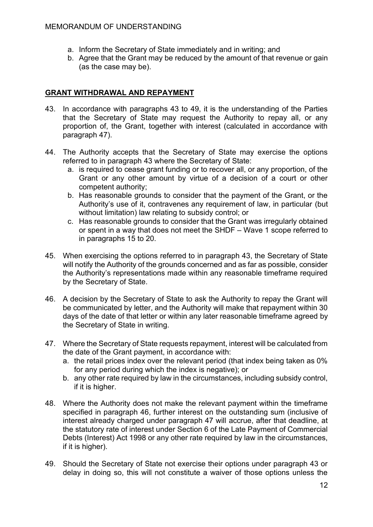- a. Inform the Secretary of State immediately and in writing; and
- b. Agree that the Grant may be reduced by the amount of that revenue or gain (as the case may be).

#### **GRANT WITHDRAWAL AND REPAYMENT**

- 43. In accordance with paragraphs 43 to 49, it is the understanding of the Parties that the Secretary of State may request the Authority to repay all, or any proportion of, the Grant, together with interest (calculated in accordance with paragraph 47).
- 44. The Authority accepts that the Secretary of State may exercise the options referred to in paragraph 43 where the Secretary of State:
	- a. is required to cease grant funding or to recover all, or any proportion, of the Grant or any other amount by virtue of a decision of a court or other competent authority;
	- b. Has reasonable grounds to consider that the payment of the Grant, or the Authority's use of it, contravenes any requirement of law, in particular (but without limitation) law relating to subsidy control; or
	- c. Has reasonable grounds to consider that the Grant was irregularly obtained or spent in a way that does not meet the SHDF – Wave 1 scope referred to in paragraphs 15 to 20.
- 45. When exercising the options referred to in paragraph 43, the Secretary of State will notify the Authority of the grounds concerned and as far as possible, consider the Authority's representations made within any reasonable timeframe required by the Secretary of State.
- 46. A decision by the Secretary of State to ask the Authority to repay the Grant will be communicated by letter, and the Authority will make that repayment within 30 days of the date of that letter or within any later reasonable timeframe agreed by the Secretary of State in writing.
- 47. Where the Secretary of State requests repayment, interest will be calculated from the date of the Grant payment, in accordance with:
	- a. the retail prices index over the relevant period (that index being taken as 0% for any period during which the index is negative); or
	- b. any other rate required by law in the circumstances, including subsidy control, if it is higher.
- 48. Where the Authority does not make the relevant payment within the timeframe specified in paragraph 46, further interest on the outstanding sum (inclusive of interest already charged under paragraph 47 will accrue, after that deadline, at the statutory rate of interest under Section 6 of the Late Payment of Commercial Debts (Interest) Act 1998 or any other rate required by law in the circumstances, if it is higher).
- 49. Should the Secretary of State not exercise their options under paragraph 43 or delay in doing so, this will not constitute a waiver of those options unless the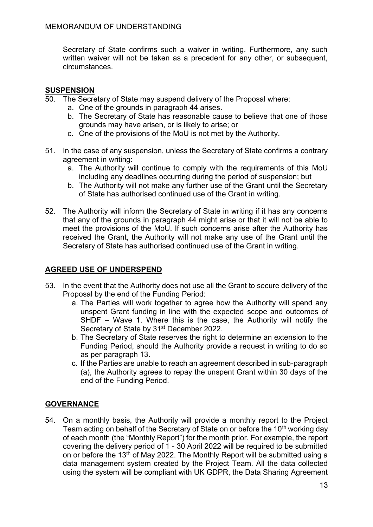Secretary of State confirms such a waiver in writing. Furthermore, any such written waiver will not be taken as a precedent for any other, or subsequent, circumstances.

#### **SUSPENSION**

- 50. The Secretary of State may suspend delivery of the Proposal where:
	- a. One of the grounds in paragraph 44 arises.
	- b. The Secretary of State has reasonable cause to believe that one of those grounds may have arisen, or is likely to arise; or
	- c. One of the provisions of the MoU is not met by the Authority.
- 51. In the case of any suspension, unless the Secretary of State confirms a contrary agreement in writing:
	- a. The Authority will continue to comply with the requirements of this MoU including any deadlines occurring during the period of suspension; but
	- b. The Authority will not make any further use of the Grant until the Secretary of State has authorised continued use of the Grant in writing.
- 52. The Authority will inform the Secretary of State in writing if it has any concerns that any of the grounds in paragraph 44 might arise or that it will not be able to meet the provisions of the MoU. If such concerns arise after the Authority has received the Grant, the Authority will not make any use of the Grant until the Secretary of State has authorised continued use of the Grant in writing.

#### **AGREED USE OF UNDERSPEND**

- 53. In the event that the Authority does not use all the Grant to secure delivery of the Proposal by the end of the Funding Period:
	- a. The Parties will work together to agree how the Authority will spend any unspent Grant funding in line with the expected scope and outcomes of SHDF – Wave 1. Where this is the case, the Authority will notify the Secretary of State by 31<sup>st</sup> December 2022.
	- b. The Secretary of State reserves the right to determine an extension to the Funding Period, should the Authority provide a request in writing to do so as per paragraph 13.
	- c. If the Parties are unable to reach an agreement described in sub-paragraph (a), the Authority agrees to repay the unspent Grant within 30 days of the end of the Funding Period.

#### **GOVERNANCE**

54. On a monthly basis, the Authority will provide a monthly report to the Project Team acting on behalf of the Secretary of State on or before the 10<sup>th</sup> working day of each month (the "Monthly Report") for the month prior. For example, the report covering the delivery period of 1 - 30 April 2022 will be required to be submitted on or before the 13<sup>th</sup> of May 2022. The Monthly Report will be submitted using a data management system created by the Project Team. All the data collected using the system will be compliant with UK GDPR, the Data Sharing Agreement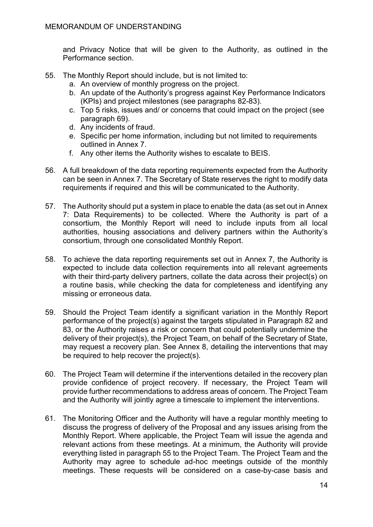and Privacy Notice that will be given to the Authority, as outlined in the Performance section.

- 55. The Monthly Report should include, but is not limited to:
	- a. An overview of monthly progress on the project.
	- b. An update of the Authority's progress against Key Performance Indicators (KPIs) and project milestones (see paragraphs 82-83).
	- c. Top 5 risks, issues and/ or concerns that could impact on the project (see paragraph 69).
	- d. Any incidents of fraud.
	- e. Specific per home information, including but not limited to requirements outlined in Annex 7.
	- f. Any other items the Authority wishes to escalate to BEIS.
- 56. A full breakdown of the data reporting requirements expected from the Authority can be seen in Annex 7. The Secretary of State reserves the right to modify data requirements if required and this will be communicated to the Authority.
- 57. The Authority should put a system in place to enable the data (as set out in Annex 7: Data Requirements) to be collected. Where the Authority is part of a consortium, the Monthly Report will need to include inputs from all local authorities, housing associations and delivery partners within the Authority's consortium, through one consolidated Monthly Report.
- 58. To achieve the data reporting requirements set out in Annex 7, the Authority is expected to include data collection requirements into all relevant agreements with their third-party delivery partners, collate the data across their project(s) on a routine basis, while checking the data for completeness and identifying any missing or erroneous data.
- 59. Should the Project Team identify a significant variation in the Monthly Report performance of the project(s) against the targets stipulated in Paragraph 82 and 83, or the Authority raises a risk or concern that could potentially undermine the delivery of their project(s), the Project Team, on behalf of the Secretary of State, may request a recovery plan. See Annex 8, detailing the interventions that may be required to help recover the project(s).
- 60. The Project Team will determine if the interventions detailed in the recovery plan provide confidence of project recovery. If necessary, the Project Team will provide further recommendations to address areas of concern. The Project Team and the Authority will jointly agree a timescale to implement the interventions.
- 61. The Monitoring Officer and the Authority will have a regular monthly meeting to discuss the progress of delivery of the Proposal and any issues arising from the Monthly Report. Where applicable, the Project Team will issue the agenda and relevant actions from these meetings. At a minimum, the Authority will provide everything listed in paragraph 55 to the Project Team. The Project Team and the Authority may agree to schedule ad-hoc meetings outside of the monthly meetings. These requests will be considered on a case-by-case basis and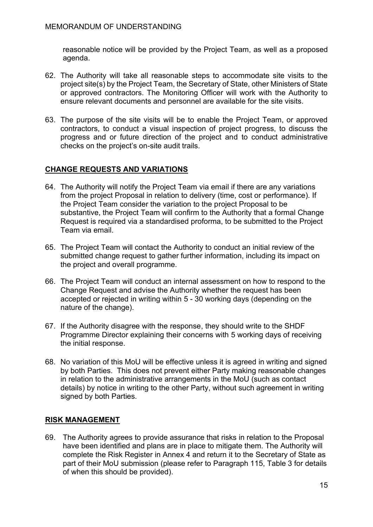reasonable notice will be provided by the Project Team, as well as a proposed agenda.

- 62. The Authority will take all reasonable steps to accommodate site visits to the project site(s) by the Project Team, the Secretary of State, other Ministers of State or approved contractors. The Monitoring Officer will work with the Authority to ensure relevant documents and personnel are available for the site visits.
- 63. The purpose of the site visits will be to enable the Project Team, or approved contractors, to conduct a visual inspection of project progress, to discuss the progress and or future direction of the project and to conduct administrative checks on the project's on-site audit trails.

#### **CHANGE REQUESTS AND VARIATIONS**

- 64. The Authority will notify the Project Team via email if there are any variations from the project Proposal in relation to delivery (time, cost or performance). If the Project Team consider the variation to the project Proposal to be substantive, the Project Team will confirm to the Authority that a formal Change Request is required via a standardised proforma, to be submitted to the Project Team via email.
- 65. The Project Team will contact the Authority to conduct an initial review of the submitted change request to gather further information, including its impact on the project and overall programme.
- 66. The Project Team will conduct an internal assessment on how to respond to the Change Request and advise the Authority whether the request has been accepted or rejected in writing within 5 - 30 working days (depending on the nature of the change).
- 67. If the Authority disagree with the response, they should write to the SHDF Programme Director explaining their concerns with 5 working days of receiving the initial response.
- 68. No variation of this MoU will be effective unless it is agreed in writing and signed by both Parties. This does not prevent either Party making reasonable changes in relation to the administrative arrangements in the MoU (such as contact details) by notice in writing to the other Party, without such agreement in writing signed by both Parties.

#### **RISK MANAGEMENT**

69. The Authority agrees to provide assurance that risks in relation to the Proposal have been identified and plans are in place to mitigate them. The Authority will complete the Risk Register in Annex 4 and return it to the Secretary of State as part of their MoU submission (please refer to Paragraph 115, Table 3 for details of when this should be provided).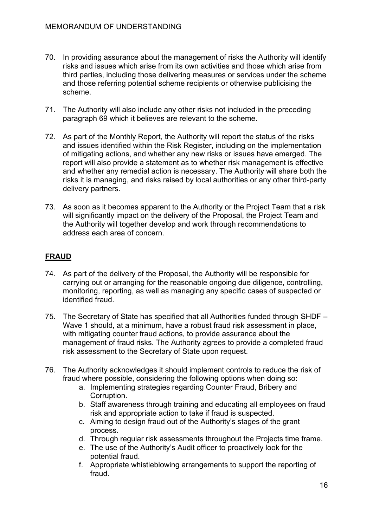- 70. In providing assurance about the management of risks the Authority will identify risks and issues which arise from its own activities and those which arise from third parties, including those delivering measures or services under the scheme and those referring potential scheme recipients or otherwise publicising the scheme.
- 71. The Authority will also include any other risks not included in the preceding paragraph 69 which it believes are relevant to the scheme.
- 72. As part of the Monthly Report, the Authority will report the status of the risks and issues identified within the Risk Register, including on the implementation of mitigating actions, and whether any new risks or issues have emerged. The report will also provide a statement as to whether risk management is effective and whether any remedial action is necessary. The Authority will share both the risks it is managing, and risks raised by local authorities or any other third-party delivery partners.
- 73. As soon as it becomes apparent to the Authority or the Project Team that a risk will significantly impact on the delivery of the Proposal, the Project Team and the Authority will together develop and work through recommendations to address each area of concern.

## **FRAUD**

- 74. As part of the delivery of the Proposal, the Authority will be responsible for carrying out or arranging for the reasonable ongoing due diligence, controlling, monitoring, reporting, as well as managing any specific cases of suspected or identified fraud.
- 75. The Secretary of State has specified that all Authorities funded through SHDF Wave 1 should, at a minimum, have a robust fraud risk assessment in place, with mitigating counter fraud actions, to provide assurance about the management of fraud risks. The Authority agrees to provide a completed fraud risk assessment to the Secretary of State upon request.
- 76. The Authority acknowledges it should implement controls to reduce the risk of fraud where possible, considering the following options when doing so:
	- a. Implementing strategies regarding Counter Fraud, Bribery and Corruption.
	- b. Staff awareness through training and educating all employees on fraud risk and appropriate action to take if fraud is suspected.
	- c. Aiming to design fraud out of the Authority's stages of the grant process.
	- d. Through regular risk assessments throughout the Projects time frame.
	- e. The use of the Authority's Audit officer to proactively look for the potential fraud.
	- f. Appropriate whistleblowing arrangements to support the reporting of fraud.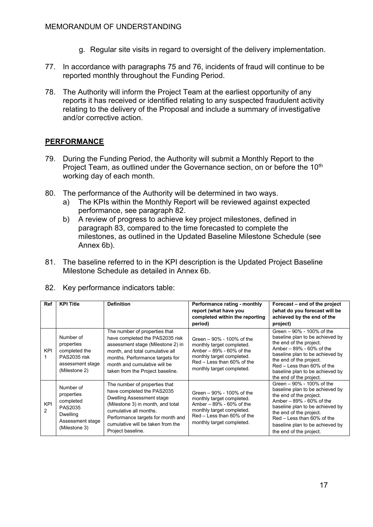- g. Regular site visits in regard to oversight of the delivery implementation.
- 77. In accordance with paragraphs 75 and 76, incidents of fraud will continue to be reported monthly throughout the Funding Period.
- 78. The Authority will inform the Project Team at the earliest opportunity of any reports it has received or identified relating to any suspected fraudulent activity relating to the delivery of the Proposal and include a summary of investigative and/or corrective action.

#### **PERFORMANCE**

- 79. During the Funding Period, the Authority will submit a Monthly Report to the Project Team, as outlined under the Governance section, on or before the 10<sup>th</sup> working day of each month.
- 80. The performance of the Authority will be determined in two ways.
	- a) The KPIs within the Monthly Report will be reviewed against expected performance, see paragraph 82.
	- b) A review of progress to achieve key project milestones, defined in paragraph 83, compared to the time forecasted to complete the milestones, as outlined in the Updated Baseline Milestone Schedule (see Annex 6b).
- 81. The baseline referred to in the KPI description is the Updated Project Baseline Milestone Schedule as detailed in Annex 6b.

| Ref             | <b>KPI Title</b>                                                                                        | <b>Definition</b>                                                                                                                                                                                                                                             | Performance rating - monthly<br>report (what have you<br>completed within the reporting<br>period)                                                                          | Forecast – end of the project<br>(what do you forecast will be<br>achieved by the end of the<br>project)                                                                                                                                                                          |
|-----------------|---------------------------------------------------------------------------------------------------------|---------------------------------------------------------------------------------------------------------------------------------------------------------------------------------------------------------------------------------------------------------------|-----------------------------------------------------------------------------------------------------------------------------------------------------------------------------|-----------------------------------------------------------------------------------------------------------------------------------------------------------------------------------------------------------------------------------------------------------------------------------|
| KPI             | Number of<br>properties<br>completed the<br>PAS2035 risk<br>assessment stage<br>(Milestone 2)           | The number of properties that<br>have completed the PAS2035 risk<br>assessment stage (Milestone 2) in<br>month, and total cumulative all<br>months. Performance targets for<br>month and cumulative will be<br>taken from the Project baseline.               | Green – 90% - 100% of the<br>monthly target completed.<br>Amber $-89% - 60%$ of the<br>monthly target completed.<br>Red - Less than 60% of the<br>monthly target completed. | Green – 90% - 100% of the<br>baseline plan to be achieved by<br>the end of the project.<br>Amber $-89% - 60%$ of the<br>baseline plan to be achieved by<br>the end of the project.<br>$Red - Less than 60\%$ of the<br>baseline plan to be achieved by<br>the end of the project. |
| <b>KPI</b><br>2 | Number of<br>properties<br>completed<br>PAS2035<br><b>Dwelling</b><br>Assessment stage<br>(Milestone 3) | The number of properties that<br>have completed the PAS2035<br><b>Dwelling Assessment stage</b><br>(Milestone 3) in month, and total<br>cumulative all months.<br>Performance targets for month and<br>cumulative will be taken from the<br>Project baseline. | Green – 90% - 100% of the<br>monthly target completed.<br>Amber $-89% - 60%$ of the<br>monthly target completed.<br>Red – Less than 60% of the<br>monthly target completed. | Green - 90% - 100% of the<br>baseline plan to be achieved by<br>the end of the project.<br>Amber $-89% - 60%$ of the<br>baseline plan to be achieved by<br>the end of the project.<br>Red – Less than 60% of the<br>baseline plan to be achieved by<br>the end of the project.    |

82. Key performance indicators table: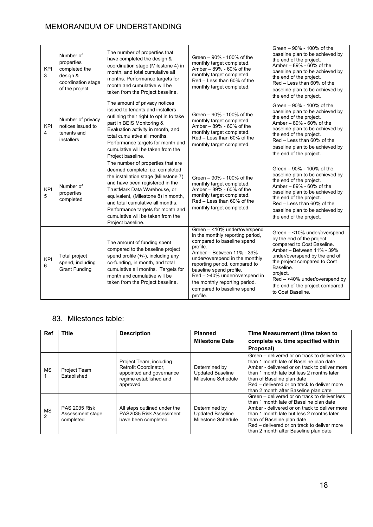| <b>KPI</b><br>3 | Number of<br>properties<br>completed the<br>design &<br>coordination stage<br>of the project | The number of properties that<br>have completed the design &<br>coordination stage (Milestone 4) in<br>month, and total cumulative all<br>months. Performance targets for<br>month and cumulative will be<br>taken from the Project baseline.                                                                                                             | Green – 90% - 100% of the<br>monthly target completed.<br>Amber - 89% - 60% of the<br>monthly target completed.<br>Red - Less than 60% of the<br>monthly target completed.                                                                                                                                                                        | Green - 90% - 100% of the<br>baseline plan to be achieved by<br>the end of the project.<br>Amber - 89% - 60% of the<br>baseline plan to be achieved by<br>the end of the project.<br>Red - Less than 60% of the<br>baseline plan to be achieved by<br>the end of the project.                           |
|-----------------|----------------------------------------------------------------------------------------------|-----------------------------------------------------------------------------------------------------------------------------------------------------------------------------------------------------------------------------------------------------------------------------------------------------------------------------------------------------------|---------------------------------------------------------------------------------------------------------------------------------------------------------------------------------------------------------------------------------------------------------------------------------------------------------------------------------------------------|---------------------------------------------------------------------------------------------------------------------------------------------------------------------------------------------------------------------------------------------------------------------------------------------------------|
| KPI<br>4        | Number of privacy<br>notices issued to<br>tenants and<br>installers                          | The amount of privacy notices<br>issued to tenants and installers<br>outlining their right to opt in to take<br>part in BEIS Monitoring &<br>Evaluation activity in month, and<br>total cumulative all months.<br>Performance targets for month and<br>cumulative will be taken from the<br>Project baseline.                                             | Green - 90% - 100% of the<br>monthly target completed.<br>Amber - 89% - 60% of the<br>monthly target completed.<br>Red – Less than 60% of the<br>monthly target completed.                                                                                                                                                                        | Green - 90% - 100% of the<br>baseline plan to be achieved by<br>the end of the project.<br>Amber - 89% - 60% of the<br>baseline plan to be achieved by<br>the end of the project.<br>Red - Less than 60% of the<br>baseline plan to be achieved by<br>the end of the project.                           |
| <b>KPI</b><br>5 | Number of<br>properties<br>completed                                                         | The number of properties that are<br>deemed complete, i.e. completed<br>the installation stage (Milestone 7)<br>and have been registered in the<br>TrustMark Data Warehouse, or<br>equivalent, (Milestone 8) in month,<br>and total cumulative all months.<br>Performance targets for month and<br>cumulative will be taken from the<br>Project baseline. | Green - 90% - 100% of the<br>monthly target completed.<br>Amber - 89% - 60% of the<br>monthly target completed.<br>Red - Less than 60% of the<br>monthly target completed.                                                                                                                                                                        | Green - 90% - 100% of the<br>baseline plan to be achieved by<br>the end of the project.<br>Amber - 89% - 60% of the<br>baseline plan to be achieved by<br>the end of the project.<br>Red - Less than 60% of the<br>baseline plan to be achieved by<br>the end of the project.                           |
| <b>KPI</b><br>6 | Total project<br>spend, including<br><b>Grant Funding</b>                                    | The amount of funding spent<br>compared to the baseline project<br>spend profile (+/-), including any<br>co-funding, in month, and total<br>cumulative all months. Targets for<br>month and cumulative will be<br>taken from the Project baseline.                                                                                                        | Green - <10% under/overspend<br>in the monthly reporting period,<br>compared to baseline spend<br>profile.<br>Amber - Between 11% - 39%<br>under/overspend in the monthly<br>reporting period, compared to<br>baseline spend profile.<br>Red - >40% under/overspend in<br>the monthly reporting period,<br>compared to baseline spend<br>profile. | Green - <10% under/overspend<br>by the end of the project<br>compared to Cost Baseline.<br>Amber - Between 11% - 39%<br>under/overspend by the end of<br>the project compared to Cost<br>Baseline.<br>project.<br>Red - >40% under/overspend by<br>the end of the project compared<br>to Cost Baseline. |

#### 83. Milestones table:

| <b>Ref</b> | Title                                                 | <b>Description</b>                                                                                                  | <b>Planned</b><br><b>Milestone Date</b>                        | Time Measurement (time taken to<br>complete vs. time specified within<br>Proposal)                                                                                                                                                                                                                           |
|------------|-------------------------------------------------------|---------------------------------------------------------------------------------------------------------------------|----------------------------------------------------------------|--------------------------------------------------------------------------------------------------------------------------------------------------------------------------------------------------------------------------------------------------------------------------------------------------------------|
| <b>MS</b>  | Project Team<br>Established                           | Project Team, including<br>Retrofit Coordinator,<br>appointed and governance<br>regime established and<br>approved. | Determined by<br><b>Updated Baseline</b><br>Milestone Schedule | Green – delivered or on track to deliver less<br>than 1 month late of Baseline plan date<br>Amber - delivered or on track to deliver more<br>than 1 month late but less 2 months later<br>than of Baseline plan date<br>Red – delivered or on track to deliver more<br>than 2 month after Baseline plan date |
| MS<br>2    | <b>PAS 2035 Risk</b><br>Assessment stage<br>completed | All steps outlined under the<br>PAS2035 Risk Assessment<br>have been completed.                                     | Determined by<br><b>Updated Baseline</b><br>Milestone Schedule | Green – delivered or on track to deliver less<br>than 1 month late of Baseline plan date<br>Amber - delivered or on track to deliver more<br>than 1 month late but less 2 months later<br>than of Baseline plan date<br>Red – delivered or on track to deliver more<br>than 2 month after Baseline plan date |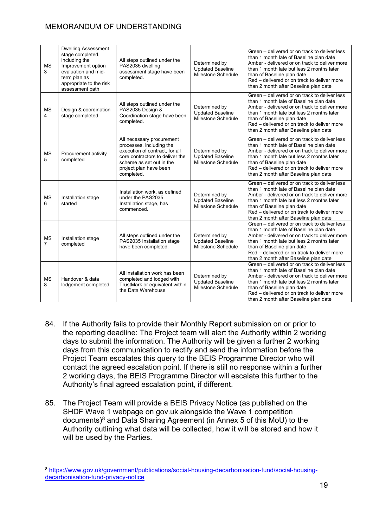| <b>MS</b><br>3              | <b>Dwelling Assessment</b><br>stage completed,<br>including the<br>Improvement option<br>evaluation and mid-<br>term plan as<br>appropriate to the risk<br>assessment path | All steps outlined under the<br>PAS2035 dwelling<br>assessment stage have been<br>completed.                                                                                                   | Determined by<br><b>Updated Baseline</b><br>Milestone Schedule        | Green – delivered or on track to deliver less<br>than 1 month late of Baseline plan date<br>Amber - delivered or on track to deliver more<br>than 1 month late but less 2 months later<br>than of Baseline plan date<br>Red – delivered or on track to deliver more<br>than 2 month after Baseline plan date |
|-----------------------------|----------------------------------------------------------------------------------------------------------------------------------------------------------------------------|------------------------------------------------------------------------------------------------------------------------------------------------------------------------------------------------|-----------------------------------------------------------------------|--------------------------------------------------------------------------------------------------------------------------------------------------------------------------------------------------------------------------------------------------------------------------------------------------------------|
| <b>MS</b><br>4              | Design & coordination<br>stage completed                                                                                                                                   | All steps outlined under the<br>PAS2035 Design &<br>Coordination stage have been<br>completed.                                                                                                 | Determined by<br><b>Updated Baseline</b><br><b>Milestone Schedule</b> | Green - delivered or on track to deliver less<br>than 1 month late of Baseline plan date<br>Amber - delivered or on track to deliver more<br>than 1 month late but less 2 months later<br>than of Baseline plan date<br>Red - delivered or on track to deliver more<br>than 2 month after Baseline plan date |
| <b>MS</b><br>5              | Procurement activity<br>completed                                                                                                                                          | All necessary procurement<br>processes, including the<br>execution of contract, for all<br>core contractors to deliver the<br>scheme as set out in the<br>project plan have been<br>completed. | Determined by<br><b>Updated Baseline</b><br>Milestone Schedule        | Green – delivered or on track to deliver less<br>than 1 month late of Baseline plan date<br>Amber - delivered or on track to deliver more<br>than 1 month late but less 2 months later<br>than of Baseline plan date<br>Red – delivered or on track to deliver more<br>than 2 month after Baseline plan date |
| <b>MS</b><br>6              | Installation stage<br>started                                                                                                                                              | Installation work, as defined<br>under the PAS2035<br>Installation stage, has<br>commenced.                                                                                                    | Determined by<br><b>Updated Baseline</b><br>Milestone Schedule        | Green - delivered or on track to deliver less<br>than 1 month late of Baseline plan date<br>Amber - delivered or on track to deliver more<br>than 1 month late but less 2 months later<br>than of Baseline plan date<br>Red - delivered or on track to deliver more<br>than 2 month after Baseline plan date |
| <b>MS</b><br>$\overline{7}$ | Installation stage<br>completed                                                                                                                                            | All steps outlined under the<br>PAS2035 Installation stage<br>have been completed.                                                                                                             | Determined by<br><b>Updated Baseline</b><br>Milestone Schedule        | Green – delivered or on track to deliver less<br>than 1 month late of Baseline plan date<br>Amber - delivered or on track to deliver more<br>than 1 month late but less 2 months later<br>than of Baseline plan date<br>Red – delivered or on track to deliver more<br>than 2 month after Baseline plan date |
| <b>MS</b><br>8              | Handover & data<br>lodgement completed                                                                                                                                     | All installation work has been<br>completed and lodged with<br>TrustMark or equivalent within<br>the Data Warehouse                                                                            | Determined by<br><b>Updated Baseline</b><br>Milestone Schedule        | Green – delivered or on track to deliver less<br>than 1 month late of Baseline plan date<br>Amber - delivered or on track to deliver more<br>than 1 month late but less 2 months later<br>than of Baseline plan date<br>Red - delivered or on track to deliver more<br>than 2 month after Baseline plan date |

- 84. If the Authority fails to provide their Monthly Report submission on or prior to the reporting deadline: The Project team will alert the Authority within 2 working days to submit the information. The Authority will be given a further 2 working days from this communication to rectify and send the information before the Project Team escalates this query to the BEIS Programme Director who will contact the agreed escalation point. If there is still no response within a further 2 working days, the BEIS Programme Director will escalate this further to the Authority's final agreed escalation point, if different.
- 85. The Project Team will provide a BEIS Privacy Notice (as published on the SHDF Wave 1 webpage on gov.uk alongside the Wave 1 competition documents)<sup>8</sup> and Data Sharing Agreement (in Annex 5 of this MoU) to the Authority outlining what data will be collected, how it will be stored and how it will be used by the Parties.

<sup>8</sup> [https://www.gov.uk/government/publications/social-housing-decarbonisation-fund/social-housing](https://www.gov.uk/government/publications/social-housing-decarbonisation-fund/social-housing-decarbonisation-fund-privacy-notice)[decarbonisation-fund-privacy-notice](https://www.gov.uk/government/publications/social-housing-decarbonisation-fund/social-housing-decarbonisation-fund-privacy-notice)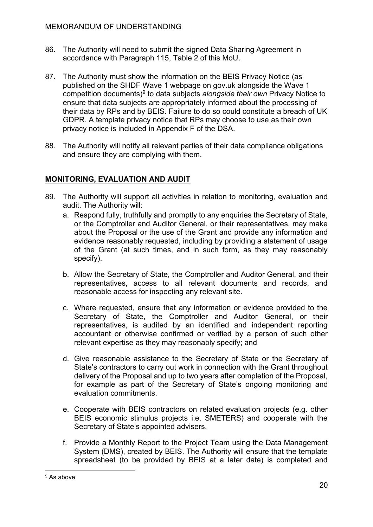- 86. The Authority will need to submit the signed Data Sharing Agreement in accordance with Paragraph 115, Table 2 of this MoU.
- 87. The Authority must show the information on the BEIS Privacy Notice (as published on the SHDF Wave 1 webpage on gov.uk alongside the Wave 1 competition documents)<sup>9</sup> to data subjects *alongside their own* Privacy Notice to ensure that data subjects are appropriately informed about the processing of their data by RPs and by BEIS. Failure to do so could constitute a breach of UK GDPR. A template privacy notice that RPs may choose to use as their own privacy notice is included in Appendix F of the DSA.
- 88. The Authority will notify all relevant parties of their data compliance obligations and ensure they are complying with them.

#### **MONITORING, EVALUATION AND AUDIT**

- 89. The Authority will support all activities in relation to monitoring, evaluation and audit. The Authority will:
	- a. Respond fully, truthfully and promptly to any enquiries the Secretary of State, or the Comptroller and Auditor General, or their representatives, may make about the Proposal or the use of the Grant and provide any information and evidence reasonably requested, including by providing a statement of usage of the Grant (at such times, and in such form, as they may reasonably specify).
	- b. Allow the Secretary of State, the Comptroller and Auditor General, and their representatives, access to all relevant documents and records, and reasonable access for inspecting any relevant site.
	- c. Where requested, ensure that any information or evidence provided to the Secretary of State, the Comptroller and Auditor General, or their representatives, is audited by an identified and independent reporting accountant or otherwise confirmed or verified by a person of such other relevant expertise as they may reasonably specify; and
	- d. Give reasonable assistance to the Secretary of State or the Secretary of State's contractors to carry out work in connection with the Grant throughout delivery of the Proposal and up to two years after completion of the Proposal, for example as part of the Secretary of State's ongoing monitoring and evaluation commitments.
	- e. Cooperate with BEIS contractors on related evaluation projects (e.g. other BEIS economic stimulus projects i.e. SMETERS) and cooperate with the Secretary of State's appointed advisers.
	- f. Provide a Monthly Report to the Project Team using the Data Management System (DMS), created by BEIS. The Authority will ensure that the template spreadsheet (to be provided by BEIS at a later date) is completed and

<sup>&</sup>lt;sup>9</sup> As above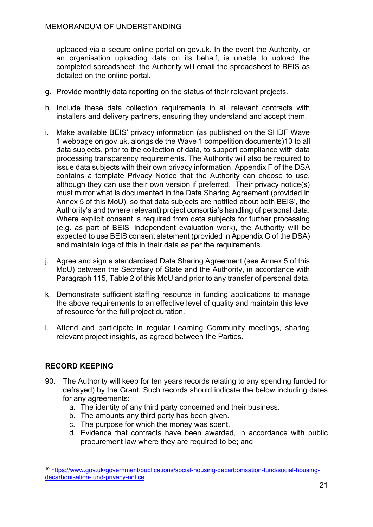uploaded via a secure online portal on gov.uk. In the event the Authority, or an organisation uploading data on its behalf, is unable to upload the completed spreadsheet, the Authority will email the spreadsheet to BEIS as detailed on the online portal.

- g. Provide monthly data reporting on the status of their relevant projects.
- h. Include these data collection requirements in all relevant contracts with installers and delivery partners, ensuring they understand and accept them.
- i. Make available BEIS' privacy information (as published on the SHDF Wave 1 webpage on gov.uk, alongside the Wave 1 competition documents)10 to all data subjects, prior to the collection of data, to support compliance with data processing transparency requirements. The Authority will also be required to issue data subjects with their own privacy information. Appendix F of the DSA contains a template Privacy Notice that the Authority can choose to use, although they can use their own version if preferred. Their privacy notice(s) must mirror what is documented in the Data Sharing Agreement (provided in Annex 5 of this MoU), so that data subjects are notified about both BEIS', the Authority's and (where relevant) project consortia's handling of personal data. Where explicit consent is required from data subjects for further processing (e.g. as part of BEIS' independent evaluation work), the Authority will be expected to use BEIS consent statement (provided in Appendix G of the DSA) and maintain logs of this in their data as per the requirements.
- j. Agree and sign a standardised Data Sharing Agreement (see Annex 5 of this MoU) between the Secretary of State and the Authority, in accordance with Paragraph 115, Table 2 of this MoU and prior to any transfer of personal data.
- k. Demonstrate sufficient staffing resource in funding applications to manage the above requirements to an effective level of quality and maintain this level of resource for the full project duration.
- l. Attend and participate in regular Learning Community meetings, sharing relevant project insights, as agreed between the Parties.

## **RECORD KEEPING**

- 90. The Authority will keep for ten years records relating to any spending funded (or defrayed) by the Grant. Such records should indicate the below including dates for any agreements:
	- a. The identity of any third party concerned and their business.
	- b. The amounts any third party has been given.
	- c. The purpose for which the money was spent.
	- d. Evidence that contracts have been awarded, in accordance with public procurement law where they are required to be; and

<sup>10</sup> [https://www.gov.uk/government/publications/social-housing-decarbonisation-fund/social-housing](https://www.gov.uk/government/publications/social-housing-decarbonisation-fund/social-housing-decarbonisation-fund-privacy-notice)[decarbonisation-fund-privacy-notice](https://www.gov.uk/government/publications/social-housing-decarbonisation-fund/social-housing-decarbonisation-fund-privacy-notice)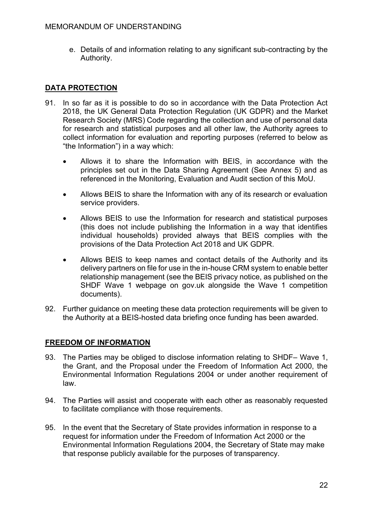e. Details of and information relating to any significant sub-contracting by the Authority.

#### **DATA PROTECTION**

- 91. In so far as it is possible to do so in accordance with the Data Protection Act 2018, the UK General Data Protection Regulation (UK GDPR) and the Market Research Society (MRS) Code regarding the collection and use of personal data for research and statistical purposes and all other law, the Authority agrees to collect information for evaluation and reporting purposes (referred to below as "the Information") in a way which:
	- Allows it to share the Information with BEIS, in accordance with the principles set out in the Data Sharing Agreement (See Annex 5) and as referenced in the Monitoring, Evaluation and Audit section of this MoU.
	- Allows BEIS to share the Information with any of its research or evaluation service providers.
	- Allows BEIS to use the Information for research and statistical purposes (this does not include publishing the Information in a way that identifies individual households) provided always that BEIS complies with the provisions of the Data Protection Act 2018 and UK GDPR.
	- Allows BEIS to keep names and contact details of the Authority and its delivery partners on file for use in the in-house CRM system to enable better relationship management (see the BEIS privacy notice, as published on the SHDF Wave 1 webpage on gov.uk alongside the Wave 1 competition documents).
- 92. Further guidance on meeting these data protection requirements will be given to the Authority at a BEIS-hosted data briefing once funding has been awarded.

#### **FREEDOM OF INFORMATION**

- 93. The Parties may be obliged to disclose information relating to SHDF– Wave 1, the Grant, and the Proposal under the Freedom of Information Act 2000, the Environmental Information Regulations 2004 or under another requirement of law.
- 94. The Parties will assist and cooperate with each other as reasonably requested to facilitate compliance with those requirements.
- 95. In the event that the Secretary of State provides information in response to a request for information under the Freedom of Information Act 2000 or the Environmental Information Regulations 2004, the Secretary of State may make that response publicly available for the purposes of transparency.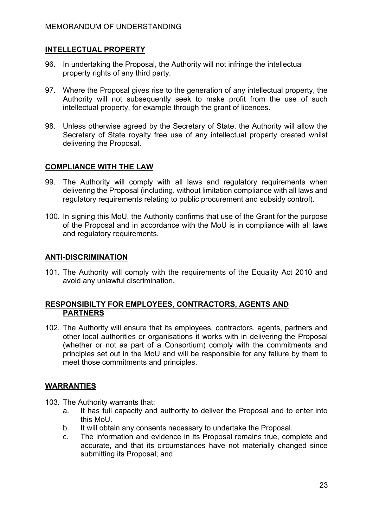#### **INTELLECTUAL PROPERTY**

- 96. In undertaking the Proposal, the Authority will not infringe the intellectual property rights of any third party.
- 97. Where the Proposal gives rise to the generation of any intellectual property, the Authority will not subsequently seek to make profit from the use of such intellectual property, for example through the grant of licences.
- 98. Unless otherwise agreed by the Secretary of State, the Authority will allow the Secretary of State royalty free use of any intellectual property created whilst delivering the Proposal.

#### **COMPLIANCE WITH THE LAW**

- 99. The Authority will comply with all laws and regulatory requirements when delivering the Proposal (including, without limitation compliance with all laws and regulatory requirements relating to public procurement and subsidy control).
- 100. In signing this MoU, the Authority confirms that use of the Grant for the purpose of the Proposal and in accordance with the MoU is in compliance with all laws and regulatory requirements.

#### **ANTI-DISCRIMINATION**

101. The Authority will comply with the requirements of the Equality Act 2010 and avoid any unlawful discrimination.

#### **RESPONSIBILTY FOR EMPLOYEES, CONTRACTORS, AGENTS AND PARTNERS**

102. The Authority will ensure that its employees, contractors, agents, partners and other local authorities or organisations it works with in delivering the Proposal (whether or not as part of a Consortium) comply with the commitments and principles set out in the MoU and will be responsible for any failure by them to meet those commitments and principles.

#### **WARRANTIES**

- 103. The Authority warrants that:
	- a. It has full capacity and authority to deliver the Proposal and to enter into this MoU.
	- b. It will obtain any consents necessary to undertake the Proposal.
	- c. The information and evidence in its Proposal remains true, complete and accurate, and that its circumstances have not materially changed since submitting its Proposal; and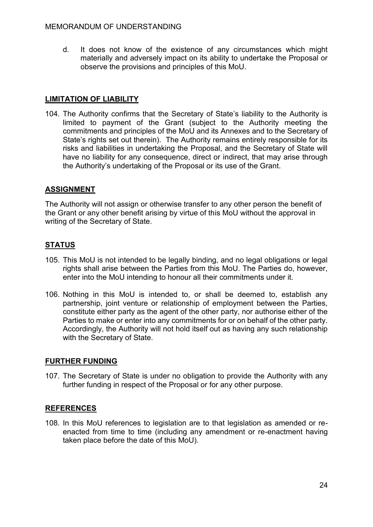d. It does not know of the existence of any circumstances which might materially and adversely impact on its ability to undertake the Proposal or observe the provisions and principles of this MoU.

#### **LIMITATION OF LIABILITY**

104. The Authority confirms that the Secretary of State's liability to the Authority is limited to payment of the Grant (subject to the Authority meeting the commitments and principles of the MoU and its Annexes and to the Secretary of State's rights set out therein). The Authority remains entirely responsible for its risks and liabilities in undertaking the Proposal, and the Secretary of State will have no liability for any consequence, direct or indirect, that may arise through the Authority's undertaking of the Proposal or its use of the Grant.

#### **ASSIGNMENT**

The Authority will not assign or otherwise transfer to any other person the benefit of the Grant or any other benefit arising by virtue of this MoU without the approval in writing of the Secretary of State.

#### **STATUS**

- 105. This MoU is not intended to be legally binding, and no legal obligations or legal rights shall arise between the Parties from this MoU. The Parties do, however, enter into the MoU intending to honour all their commitments under it.
- 106. Nothing in this MoU is intended to, or shall be deemed to, establish any partnership, joint venture or relationship of employment between the Parties, constitute either party as the agent of the other party, nor authorise either of the Parties to make or enter into any commitments for or on behalf of the other party. Accordingly, the Authority will not hold itself out as having any such relationship with the Secretary of State.

#### **FURTHER FUNDING**

107. The Secretary of State is under no obligation to provide the Authority with any further funding in respect of the Proposal or for any other purpose.

#### **REFERENCES**

108. In this MoU references to legislation are to that legislation as amended or reenacted from time to time (including any amendment or re-enactment having taken place before the date of this MoU).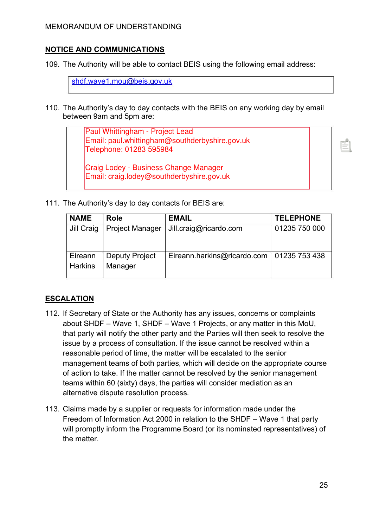#### **NOTICE AND COMMUNICATIONS**

109. The Authority will be able to contact BEIS using the following email address:

[shdf.wave1.mou@beis.gov.uk](mailto:shdf.wave1.mou@beis.gov.uk)

110. The Authority's day to day contacts with the BEIS on any working day by email between 9am and 5pm are:

> Paul Whittingham - Project Lead Email: paul.whittingham@southderbyshire.gov.uk Telephone: 01283 595984

Craig Lodey - Business Change Manager Email: craig.lodey@southderbyshire.gov.uk

111. The Authority's day to day contacts for BEIS are:

| <b>NAME</b>               | Role                             | <b>EMAIL</b>                | <b>TELEPHONE</b> |
|---------------------------|----------------------------------|-----------------------------|------------------|
| Jill Craig                | <b>Project Manager</b>           | Jill.craig@ricardo.com      | 01235 750 000    |
| Eireann<br><b>Harkins</b> | <b>Deputy Project</b><br>Manager | Eireann.harkins@ricardo.com | 01235 753 438    |

#### **ESCALATION**

- 112. If Secretary of State or the Authority has any issues, concerns or complaints about SHDF – Wave 1, SHDF – Wave 1 Projects, or any matter in this MoU, that party will notify the other party and the Parties will then seek to resolve the issue by a process of consultation. If the issue cannot be resolved within a reasonable period of time, the matter will be escalated to the senior management teams of both parties, which will decide on the appropriate course of action to take. If the matter cannot be resolved by the senior management teams within 60 (sixty) days, the parties will consider mediation as an alternative dispute resolution process.
- 113. Claims made by a supplier or requests for information made under the Freedom of Information Act 2000 in relation to the SHDF – Wave 1 that party will promptly inform the Programme Board (or its nominated representatives) of the matter.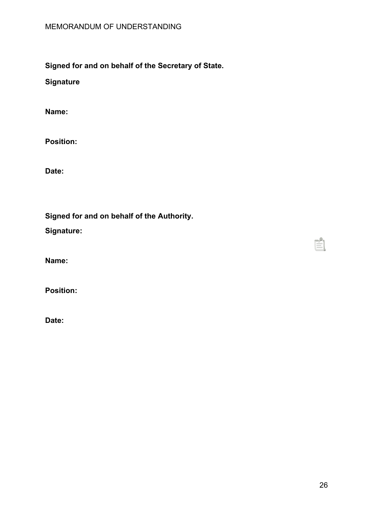**Signed for and on behalf of the Secretary of State.**

**Signature**

**Name:** 

**Position:** 

**Date:** 

**Signed for and on behalf of the Authority.** 

**Signature:** 

**Name:** 

**Position:** 

**Date:**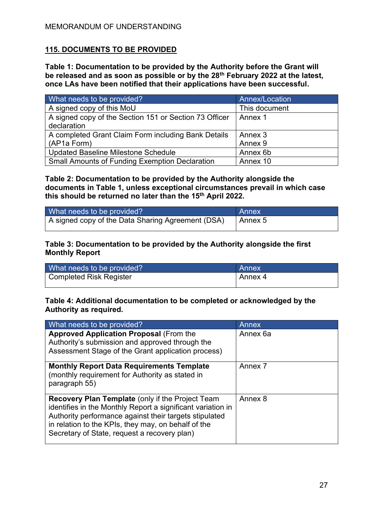#### **115. DOCUMENTS TO BE PROVIDED**

**Table 1: Documentation to be provided by the Authority before the Grant will be released and as soon as possible or by the 28th February 2022 at the latest, once LAs have been notified that their applications have been successful.** 

| What needs to be provided?                             | Annex/Location |
|--------------------------------------------------------|----------------|
| A signed copy of this MoU                              | This document  |
| A signed copy of the Section 151 or Section 73 Officer | Annex 1        |
| declaration                                            |                |
| A completed Grant Claim Form including Bank Details    | Annex 3        |
| (AP1a Form)                                            | Annex 9        |
| Updated Baseline Milestone Schedule                    | Annex 6b       |
| <b>Small Amounts of Funding Exemption Declaration</b>  | Annex 10       |

#### **Table 2: Documentation to be provided by the Authority alongside the documents in Table 1, unless exceptional circumstances prevail in which case this should be returned no later than the 15th April 2022.**

| What needs to be provided?                        | Annex   |
|---------------------------------------------------|---------|
| A signed copy of the Data Sharing Agreement (DSA) | Annex 5 |

#### **Table 3: Documentation to be provided by the Authority alongside the first Monthly Report**

| What needs to be provided? | Annex     |
|----------------------------|-----------|
| Completed Risk Register    | l Annex 4 |

#### **Table 4: Additional documentation to be completed or acknowledged by the Authority as required.**

| What needs to be provided?                                                                                                                                                                                                                                                              | Annex    |
|-----------------------------------------------------------------------------------------------------------------------------------------------------------------------------------------------------------------------------------------------------------------------------------------|----------|
| <b>Approved Application Proposal (From the</b><br>Authority's submission and approved through the<br>Assessment Stage of the Grant application process)                                                                                                                                 | Annex 6a |
| <b>Monthly Report Data Requirements Template</b><br>(monthly requirement for Authority as stated in<br>paragraph 55)                                                                                                                                                                    | Annex 7  |
| <b>Recovery Plan Template (only if the Project Team</b><br>identifies in the Monthly Report a significant variation in<br>Authority performance against their targets stipulated<br>in relation to the KPIs, they may, on behalf of the<br>Secretary of State, request a recovery plan) | Annex 8  |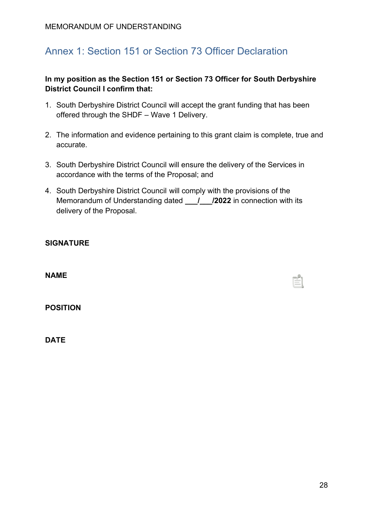# Annex 1: Section 151 or Section 73 Officer Declaration

#### **In my position as the Section 151 or Section 73 Officer for South Derbyshire District Council I confirm that:**

- 1. South Derbyshire District Council will accept the grant funding that has been offered through the SHDF – Wave 1 Delivery.
- 2. The information and evidence pertaining to this grant claim is complete, true and accurate.
- 3. South Derbyshire District Council will ensure the delivery of the Services in accordance with the terms of the Proposal; and
- 4. South Derbyshire District Council will comply with the provisions of the Memorandum of Understanding dated **\_\_\_/\_\_\_/2022** in connection with its delivery of the Proposal.

**NAME** 

**POSITION** 

**DATE**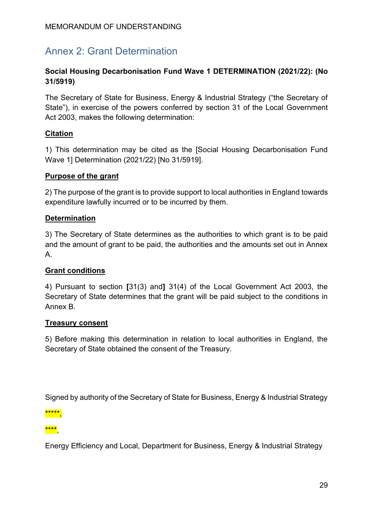# Annex 2: Grant Determination

#### **Social Housing Decarbonisation Fund Wave 1 DETERMINATION (2021/22): (No 31/5919)**

The Secretary of State for Business, Energy & Industrial Strategy ("the Secretary of State"), in exercise of the powers conferred by section 31 of the Local Government Act 2003, makes the following determination:

#### **Citation**

1) This determination may be cited as the [Social Housing Decarbonisation Fund Wave 1] Determination (2021/22) [No 31/5919].

#### **Purpose of the grant**

2) The purpose of the grant is to provide support to local authorities in England towards expenditure lawfully incurred or to be incurred by them.

#### **Determination**

3) The Secretary of State determines as the authorities to which grant is to be paid and the amount of grant to be paid, the authorities and the amounts set out in Annex A.

## **Grant conditions**

4) Pursuant to section **[**31(3) and**]** 31(4) of the Local Government Act 2003, the Secretary of State determines that the grant will be paid subject to the conditions in Annex B.

#### **Treasury consent**

5) Before making this determination in relation to local authorities in England, the Secretary of State obtained the consent of the Treasury.

Signed by authority of the Secretary of State for Business, Energy & Industrial Strategy

\*\*\*\*\*,

\*\*\*\*,

Energy Efficiency and Local, Department for Business, Energy & Industrial Strategy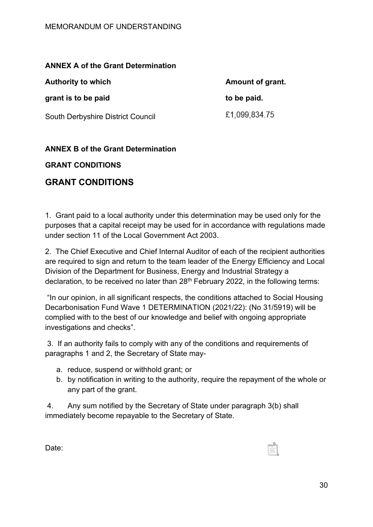#### **ANNEX A of the Grant Determination**

| <b>Authority to which</b>         | Amount of grant. |
|-----------------------------------|------------------|
| grant is to be paid               | to be paid.      |
| South Derbyshire District Council | £1,099,834.75    |

#### **ANNEX B of the Grant Determination**

#### **GRANT CONDITIONS**

# **GRANT CONDITIONS**

1. Grant paid to a local authority under this determination may be used only for the purposes that a capital receipt may be used for in accordance with regulations made under section 11 of the Local Government Act 2003.

2. The Chief Executive and Chief Internal Auditor of each of the recipient authorities are required to sign and return to the team leader of the Energy Efficiency and Local Division of the Department for Business, Energy and Industrial Strategy a declaration, to be received no later than 28<sup>th</sup> February 2022, in the following terms:

"In our opinion, in all significant respects, the conditions attached to Social Housing Decarbonisation Fund Wave 1 DETERMINATION (2021/22): (No 31/5919) will be complied with to the best of our knowledge and belief with ongoing appropriate investigations and checks".

 3. If an authority fails to comply with any of the conditions and requirements of paragraphs 1 and 2, the Secretary of State may-

- a. reduce, suspend or withhold grant; or
- b. by notification in writing to the authority, require the repayment of the whole or any part of the grant.

4. Any sum notified by the Secretary of State under paragraph 3(b) shall immediately become repayable to the Secretary of State.

Date: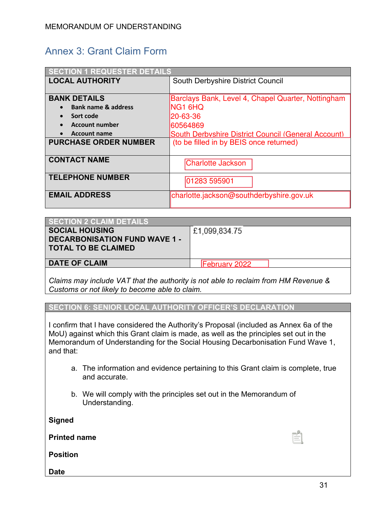# Annex 3: Grant Claim Form

| <b>SECTION 1 REQUESTER DETAILS</b> |                                                     |  |
|------------------------------------|-----------------------------------------------------|--|
| <b>LOCAL AUTHORITY</b>             | <b>South Derbyshire District Council</b>            |  |
|                                    |                                                     |  |
| <b>BANK DETAILS</b>                | Barclays Bank, Level 4, Chapel Quarter, Nottingham  |  |
| <b>Bank name &amp; address</b>     | <b>ING1 6HQ</b>                                     |  |
| Sort code                          | 20-63-36                                            |  |
| <b>Account number</b>              | 60564869                                            |  |
| <b>Account name</b>                | South Derbyshire District Council (General Account) |  |
| <b>PURCHASE ORDER NUMBER</b>       | (to be filled in by BEIS once returned)             |  |
|                                    |                                                     |  |
| <b>CONTACT NAME</b>                | <b>Charlotte Jackson</b>                            |  |
|                                    |                                                     |  |
| <b>TELEPHONE NUMBER</b>            | 01283 595901                                        |  |
|                                    |                                                     |  |
| <b>EMAIL ADDRESS</b>               | charlotte.jackson@southderbyshire.gov.uk            |  |
|                                    |                                                     |  |

| <b>SECTION 2 CLAIM DETAILS</b>                                                              |                      |
|---------------------------------------------------------------------------------------------|----------------------|
| <b>SOCIAL HOUSING</b><br><b>DECARBONISATION FUND WAVE 1 -</b><br><b>TOTAL TO BE CLAIMED</b> | £1,099,834.75        |
| <b>DATE OF CLAIM</b>                                                                        | <b>February 2022</b> |
|                                                                                             |                      |

*Claims may include VAT that the authority is not able to reclaim from HM Revenue & Customs or not likely to become able to claim.* 

**SECTION 6: SENIOR LOCAL AUTHORITY OFFICER'S DECLARATION**

I confirm that I have considered the Authority's Proposal (included as Annex 6a of the MoU) against which this Grant claim is made, as well as the principles set out in the Memorandum of Understanding for the Social Housing Decarbonisation Fund Wave 1, and that:

- a. The information and evidence pertaining to this Grant claim is complete, true and accurate.
- b. We will comply with the principles set out in the Memorandum of Understanding.

**Signed** 

**Printed name** 

**Position** 

**Date**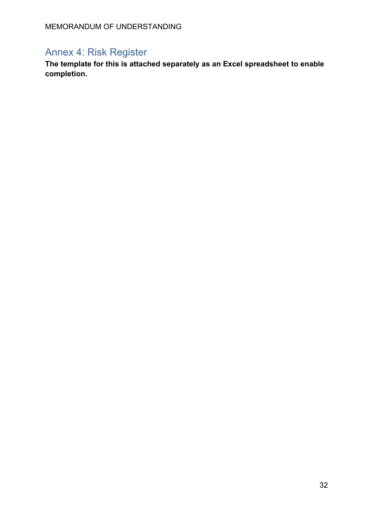### Annex 4: Risk Register

**The template for this is attached separately as an Excel spreadsheet to enable completion.**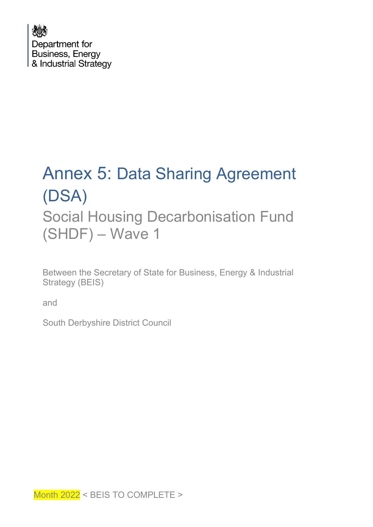

# Annex 5: Data Sharing Agreement (DSA) Social Housing Decarbonisation Fund (SHDF) – Wave 1

Between the Secretary of State for Business, Energy & Industrial Strategy (BEIS)

and

South Derbyshire District Council

Month 2022 < BEIS TO COMPLETE >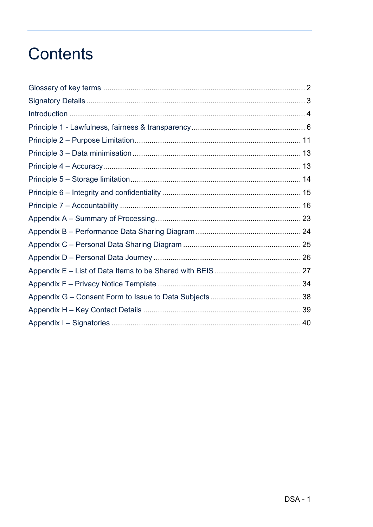### **Contents**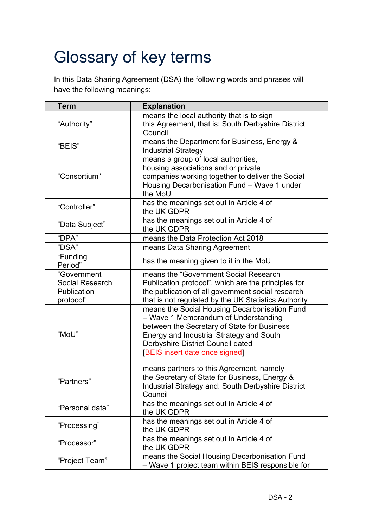# Glossary of key terms

In this Data Sharing Agreement (DSA) the following words and phrases will have the following meanings:

| <b>Term</b>                                                       | <b>Explanation</b>                                                                                                                                                                                                                                      |  |  |
|-------------------------------------------------------------------|---------------------------------------------------------------------------------------------------------------------------------------------------------------------------------------------------------------------------------------------------------|--|--|
| "Authority"                                                       | means the local authority that is to sign<br>this Agreement, that is: South Derbyshire District<br>Council                                                                                                                                              |  |  |
| "BEIS"                                                            | means the Department for Business, Energy &<br><b>Industrial Strategy</b>                                                                                                                                                                               |  |  |
| "Consortium"                                                      | means a group of local authorities,<br>housing associations and or private<br>companies working together to deliver the Social<br>Housing Decarbonisation Fund - Wave 1 under<br>the MoU                                                                |  |  |
| "Controller"                                                      | has the meanings set out in Article 4 of<br>the UK GDPR                                                                                                                                                                                                 |  |  |
| "Data Subject"                                                    | has the meanings set out in Article 4 of<br>the UK GDPR                                                                                                                                                                                                 |  |  |
| "DPA"                                                             | means the Data Protection Act 2018                                                                                                                                                                                                                      |  |  |
| "DSA"                                                             | means Data Sharing Agreement                                                                                                                                                                                                                            |  |  |
| "Funding<br>Period"                                               | has the meaning given to it in the MoU                                                                                                                                                                                                                  |  |  |
| "Government<br><b>Social Research</b><br>Publication<br>protocol" | means the "Government Social Research<br>Publication protocol", which are the principles for<br>the publication of all government social research<br>that is not regulated by the UK Statistics Authority                                               |  |  |
| "MoU"                                                             | means the Social Housing Decarbonisation Fund<br>- Wave 1 Memorandum of Understanding<br>between the Secretary of State for Business<br>Energy and Industrial Strategy and South<br>Derbyshire District Council dated<br>[BEIS insert date once signed] |  |  |
| "Partners"                                                        | means partners to this Agreement, namely<br>the Secretary of State for Business, Energy &<br>Industrial Strategy and: South Derbyshire District<br>Council                                                                                              |  |  |
| "Personal data"                                                   | has the meanings set out in Article 4 of<br>the UK GDPR                                                                                                                                                                                                 |  |  |
| "Processing"                                                      | has the meanings set out in Article 4 of<br>the UK GDPR                                                                                                                                                                                                 |  |  |
| "Processor"                                                       | has the meanings set out in Article 4 of<br>the UK GDPR                                                                                                                                                                                                 |  |  |
| "Project Team"                                                    | means the Social Housing Decarbonisation Fund<br>- Wave 1 project team within BEIS responsible for                                                                                                                                                      |  |  |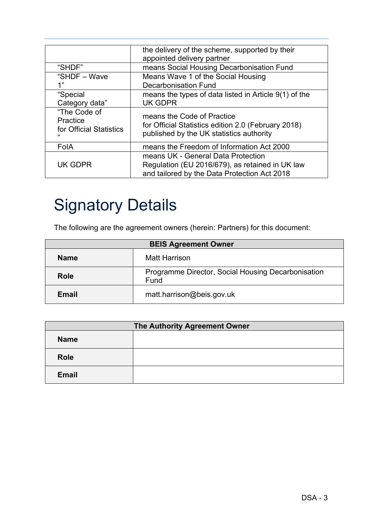|                         | the delivery of the scheme, supported by their<br>appointed delivery partner |  |
|-------------------------|------------------------------------------------------------------------------|--|
|                         |                                                                              |  |
| "SHDF"                  | means Social Housing Decarbonisation Fund                                    |  |
| "SHDF - Wave            | Means Wave 1 of the Social Housing                                           |  |
| 1"                      | Decarbonisation Fund                                                         |  |
| "Special                | means the types of data listed in Article $9(1)$ of the                      |  |
| Category data"          | <b>UK GDPR</b>                                                               |  |
| "The Code of            |                                                                              |  |
| Practice                | means the Code of Practice                                                   |  |
| for Official Statistics | for Official Statistics edition 2.0 (February 2018)                          |  |
| ,,                      | published by the UK statistics authority                                     |  |
|                         |                                                                              |  |
| FolA                    | means the Freedom of Information Act 2000                                    |  |
|                         | means UK - General Data Protection                                           |  |
| <b>UK GDPR</b>          | Regulation (EU 2016/679), as retained in UK law                              |  |
|                         | and tailored by the Data Protection Act 2018                                 |  |

## Signatory Details

The following are the agreement owners (herein: Partners) for this document:

| <b>BEIS Agreement Owner</b> |                                                            |  |  |
|-----------------------------|------------------------------------------------------------|--|--|
| <b>Name</b>                 | <b>Matt Harrison</b>                                       |  |  |
| Role                        | Programme Director, Social Housing Decarbonisation<br>Fund |  |  |
| Email                       | matt.harrison@beis.gov.uk                                  |  |  |

| The Authority Agreement Owner |  |  |
|-------------------------------|--|--|
| <b>Name</b>                   |  |  |
| <b>Role</b>                   |  |  |
| <b>Email</b>                  |  |  |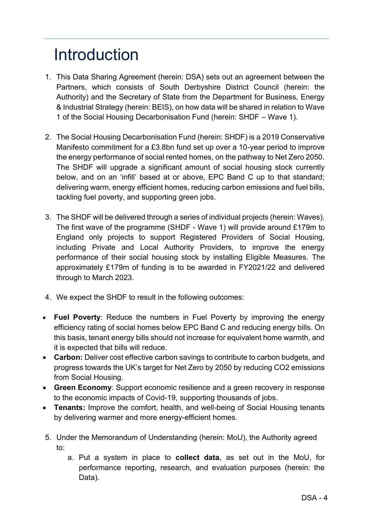## Introduction

- 1. This Data Sharing Agreement (herein: DSA) sets out an agreement between the Partners, which consists of South Derbyshire District Council (herein: the Authority) and the Secretary of State from the Department for Business, Energy & Industrial Strategy (herein: BEIS), on how data will be shared in relation to Wave 1 of the Social Housing Decarbonisation Fund (herein: SHDF – Wave 1).
- 2. The Social Housing Decarbonisation Fund (herein: SHDF) is a 2019 Conservative Manifesto commitment for a £3.8bn fund set up over a 10-year period to improve the energy performance of social rented homes, on the pathway to Net Zero 2050. The SHDF will upgrade a significant amount of social housing stock currently below, and on an 'infill' based at or above, EPC Band C up to that standard; delivering warm, energy efficient homes, reducing carbon emissions and fuel bills, tackling fuel poverty, and supporting green jobs.
- 3. The SHDF will be delivered through a series of individual projects (herein: Waves). The first wave of the programme (SHDF - Wave 1) will provide around £179m to England only projects to support Registered Providers of Social Housing, including Private and Local Authority Providers, to improve the energy performance of their social housing stock by installing Eligible Measures. The approximately £179m of funding is to be awarded in FY2021/22 and delivered through to March 2023.
- 4. We expect the SHDF to result in the following outcomes:
- **Fuel Poverty**: Reduce the numbers in Fuel Poverty by improving the energy efficiency rating of social homes below EPC Band C and reducing energy bills. On this basis, tenant energy bills should not increase for equivalent home warmth, and it is expected that bills will reduce.
- **Carbon:** Deliver cost effective carbon savings to contribute to carbon budgets, and progress towards the UK's target for Net Zero by 2050 by reducing CO2 emissions from Social Housing.
- **Green Economy**: Support economic resilience and a green recovery in response to the economic impacts of Covid-19, supporting thousands of jobs.
- **Tenants:** Improve the comfort, health, and well-being of Social Housing tenants by delivering warmer and more energy-efficient homes.
- 5. Under the Memorandum of Understanding (herein: MoU), the Authority agreed to:
	- a. Put a system in place to **collect data**, as set out in the MoU, for performance reporting, research, and evaluation purposes (herein: the Data).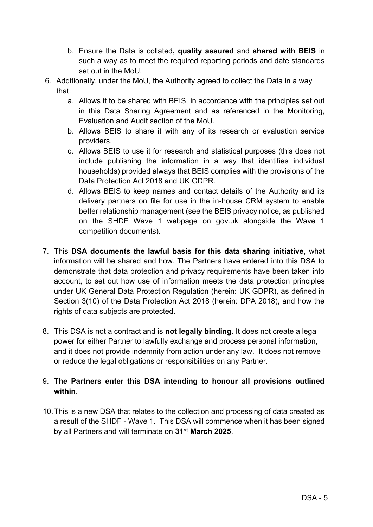- b. Ensure the Data is collated**, quality assured** and **shared with BEIS** in such a way as to meet the required reporting periods and date standards set out in the MoU.
- 6. Additionally, under the MoU, the Authority agreed to collect the Data in a way that:
	- a. Allows it to be shared with BEIS, in accordance with the principles set out in this Data Sharing Agreement and as referenced in the Monitoring, Evaluation and Audit section of the MoU.
	- b. Allows BEIS to share it with any of its research or evaluation service providers.
	- c. Allows BEIS to use it for research and statistical purposes (this does not include publishing the information in a way that identifies individual households) provided always that BEIS complies with the provisions of the Data Protection Act 2018 and UK GDPR.
	- d. Allows BEIS to keep names and contact details of the Authority and its delivery partners on file for use in the in-house CRM system to enable better relationship management (see the BEIS privacy notice, as published on the SHDF Wave 1 webpage on gov.uk alongside the Wave 1 competition documents).
- 7. This **DSA documents the lawful basis for this data sharing initiative**, what information will be shared and how. The Partners have entered into this DSA to demonstrate that data protection and privacy requirements have been taken into account, to set out how use of information meets the data protection principles under UK General Data Protection Regulation (herein: UK GDPR), as defined in Section 3(10) of the Data Protection Act 2018 (herein: DPA 2018), and how the rights of data subjects are protected.
- 8. This DSA is not a contract and is **not legally binding**. It does not create a legal power for either Partner to lawfully exchange and process personal information, and it does not provide indemnity from action under any law. It does not remove or reduce the legal obligations or responsibilities on any Partner.

#### 9. **The Partners enter this DSA intending to honour all provisions outlined within**.

10. This is a new DSA that relates to the collection and processing of data created as a result of the SHDF - Wave 1. This DSA will commence when it has been signed by all Partners and will terminate on **31st March 2025**.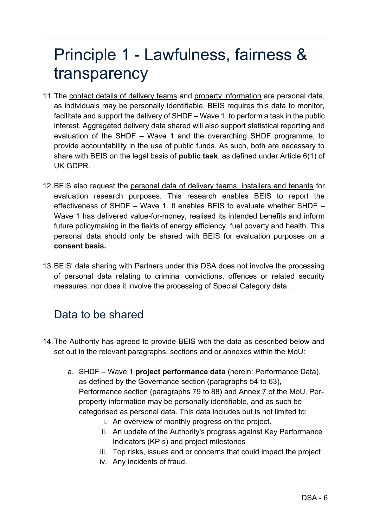### Principle 1 - Lawfulness, fairness & transparency

- 11. The contact details of delivery teams and property information are personal data, as individuals may be personally identifiable. BEIS requires this data to monitor, facilitate and support the delivery of SHDF – Wave 1, to perform a task in the public interest. Aggregated delivery data shared will also support statistical reporting and evaluation of the SHDF – Wave 1 and the overarching SHDF programme, to provide accountability in the use of public funds. As such, both are necessary to share with BEIS on the legal basis of **public task**, as defined under Article 6(1) of UK GDPR.
- 12. BEIS also request the personal data of delivery teams, installers and tenants for evaluation research purposes. This research enables BEIS to report the effectiveness of SHDF – Wave 1. It enables BEIS to evaluate whether SHDF – Wave 1 has delivered value-for-money, realised its intended benefits and inform future policymaking in the fields of energy efficiency, fuel poverty and health. This personal data should only be shared with BEIS for evaluation purposes on a **consent basis.**
- 13.BEIS' data sharing with Partners under this DSA does not involve the processing of personal data relating to criminal convictions, offences or related security measures, nor does it involve the processing of Special Category data.

### Data to be shared

- 14. The Authority has agreed to provide BEIS with the data as described below and set out in the relevant paragraphs, sections and or annexes within the MoU:
	- a. SHDF Wave 1 **project performance data** (herein: Performance Data), as defined by the Governance section (paragraphs 54 to 63), Performance section (paragraphs 79 to 88) and Annex 7 of the MoU. Perproperty information may be personally identifiable, and as such be categorised as personal data. This data includes but is not limited to:
		- i. An overview of monthly progress on the project.
		- ii. An update of the Authority's progress against Key Performance Indicators (KPIs) and project milestones
		- iii. Top risks, issues and or concerns that could impact the project
		- iv. Any incidents of fraud.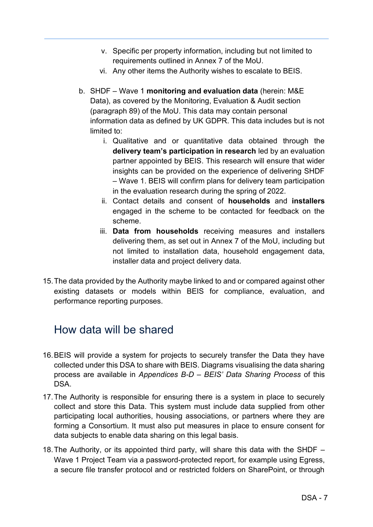- v. Specific per property information, including but not limited to requirements outlined in Annex 7 of the MoU.
- vi. Any other items the Authority wishes to escalate to BEIS.
- b. SHDF Wave 1 **monitoring and evaluation data** (herein: M&E Data), as covered by the Monitoring, Evaluation & Audit section (paragraph 89) of the MoU. This data may contain personal information data as defined by UK GDPR. This data includes but is not limited to:
	- i. Qualitative and or quantitative data obtained through the **delivery team's participation in research** led by an evaluation partner appointed by BEIS. This research will ensure that wider insights can be provided on the experience of delivering SHDF – Wave 1. BEIS will confirm plans for delivery team participation in the evaluation research during the spring of 2022.
	- ii. Contact details and consent of **households** and **installers** engaged in the scheme to be contacted for feedback on the scheme.
	- iii. **Data from households** receiving measures and installers delivering them, as set out in Annex 7 of the MoU, including but not limited to installation data, household engagement data, installer data and project delivery data.
- 15. The data provided by the Authority maybe linked to and or compared against other existing datasets or models within BEIS for compliance, evaluation, and performance reporting purposes.

### How data will be shared

- 16. BEIS will provide a system for projects to securely transfer the Data they have collected under this DSA to share with BEIS. Diagrams visualising the data sharing process are available in *Appendices B-D – BEIS' Data Sharing Process* of this DSA.
- 17. The Authority is responsible for ensuring there is a system in place to securely collect and store this Data. This system must include data supplied from other participating local authorities, housing associations, or partners where they are forming a Consortium. It must also put measures in place to ensure consent for data subjects to enable data sharing on this legal basis.
- 18. The Authority, or its appointed third party, will share this data with the SHDF Wave 1 Project Team via a password-protected report, for example using Egress, a secure file transfer protocol and or restricted folders on SharePoint, or through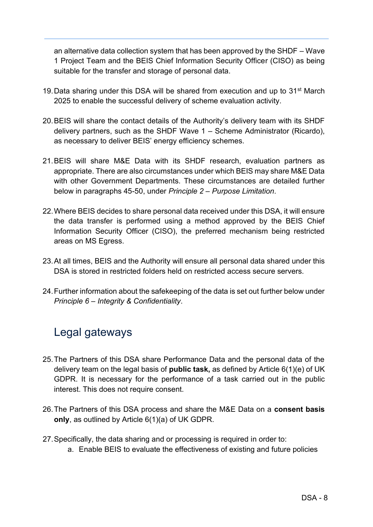an alternative data collection system that has been approved by the SHDF – Wave 1 Project Team and the BEIS Chief Information Security Officer (CISO) as being suitable for the transfer and storage of personal data.

- 19. Data sharing under this DSA will be shared from execution and up to  $31<sup>st</sup>$  March 2025 to enable the successful delivery of scheme evaluation activity.
- 20. BEIS will share the contact details of the Authority's delivery team with its SHDF delivery partners, such as the SHDF Wave 1 – Scheme Administrator (Ricardo), as necessary to deliver BEIS' energy efficiency schemes.
- 21. BEIS will share M&E Data with its SHDF research, evaluation partners as appropriate. There are also circumstances under which BEIS may share M&E Data with other Government Departments. These circumstances are detailed further below in paragraphs 45-50, under *Principle 2 – Purpose Limitation*.
- 22. Where BEIS decides to share personal data received under this DSA, it will ensure the data transfer is performed using a method approved by the BEIS Chief Information Security Officer (CISO), the preferred mechanism being restricted areas on MS Egress.
- 23. At all times, BEIS and the Authority will ensure all personal data shared under this DSA is stored in restricted folders held on restricted access secure servers.
- 24. Further information about the safekeeping of the data is set out further below under *Principle 6 – Integrity & Confidentiality*.

### Legal gateways

- 25. The Partners of this DSA share Performance Data and the personal data of the delivery team on the legal basis of **public task,** as defined by Article 6(1)(e) of UK GDPR. It is necessary for the performance of a task carried out in the public interest. This does not require consent.
- 26. The Partners of this DSA process and share the M&E Data on a **consent basis only**, as outlined by Article 6(1)(a) of UK GDPR.
- 27. Specifically, the data sharing and or processing is required in order to:
	- a. Enable BEIS to evaluate the effectiveness of existing and future policies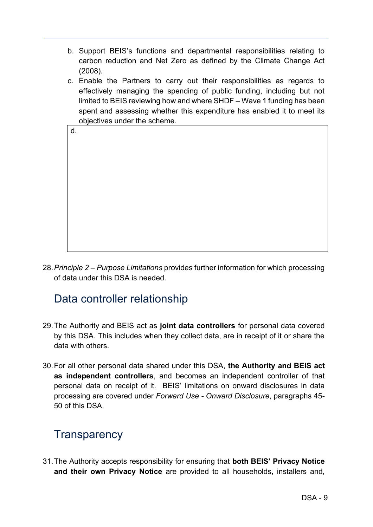- b. Support BEIS's functions and departmental responsibilities relating to carbon reduction and Net Zero as defined by the Climate Change Act (2008).
- c. Enable the Partners to carry out their responsibilities as regards to effectively managing the spending of public funding, including but not limited to BEIS reviewing how and where SHDF – Wave 1 funding has been spent and assessing whether this expenditure has enabled it to meet its objectives under the scheme.

| d. |  |
|----|--|
|    |  |
|    |  |
|    |  |
|    |  |
|    |  |
|    |  |
|    |  |
|    |  |
|    |  |

28.*Principle 2 – Purpose Limitations* provides further information for which processing of data under this DSA is needed.

### Data controller relationship

- 29. The Authority and BEIS act as **joint data controllers** for personal data covered by this DSA. This includes when they collect data, are in receipt of it or share the data with others.
- 30. For all other personal data shared under this DSA, **the Authority and BEIS act as independent controllers**, and becomes an independent controller of that personal data on receipt of it. BEIS' limitations on onward disclosures in data processing are covered under *Forward Use - Onward Disclosure*, paragraphs 45- 50 of this DSA.

### **Transparency**

31. The Authority accepts responsibility for ensuring that **both BEIS' Privacy Notice and their own Privacy Notice** are provided to all households, installers and,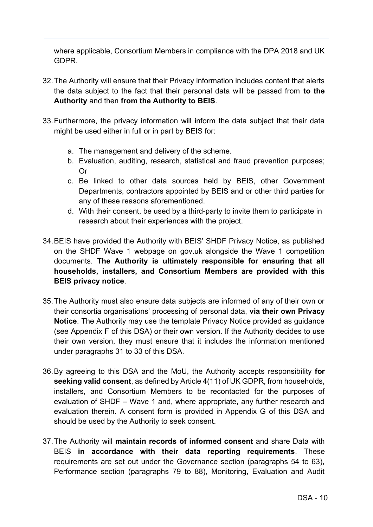where applicable, Consortium Members in compliance with the DPA 2018 and UK GDPR.

- 32. The Authority will ensure that their Privacy information includes content that alerts the data subject to the fact that their personal data will be passed from **to the Authority** and then **from the Authority to BEIS**.
- 33. Furthermore, the privacy information will inform the data subject that their data might be used either in full or in part by BEIS for:
	- a. The management and delivery of the scheme.
	- b. Evaluation, auditing, research, statistical and fraud prevention purposes; Or
	- c. Be linked to other data sources held by BEIS, other Government Departments, contractors appointed by BEIS and or other third parties for any of these reasons aforementioned.
	- d. With their consent, be used by a third-party to invite them to participate in research about their experiences with the project.
- 34.BEIS have provided the Authority with BEIS' SHDF Privacy Notice, as published on the SHDF Wave 1 webpage on gov.uk alongside the Wave 1 competition documents. **The Authority is ultimately responsible for ensuring that all households, installers, and Consortium Members are provided with this BEIS privacy notice**.
- 35. The Authority must also ensure data subjects are informed of any of their own or their consortia organisations' processing of personal data, **via their own Privacy Notice**. The Authority may use the template Privacy Notice provided as guidance (see Appendix F of this DSA) or their own version. If the Authority decides to use their own version, they must ensure that it includes the information mentioned under paragraphs 31 to 33 of this DSA.
- 36. By agreeing to this DSA and the MoU, the Authority accepts responsibility **for seeking valid consent**, as defined by Article 4(11) of UK GDPR, from households, installers, and Consortium Members to be recontacted for the purposes of evaluation of SHDF – Wave 1 and, where appropriate, any further research and evaluation therein. A consent form is provided in Appendix G of this DSA and should be used by the Authority to seek consent.
- 37. The Authority will **maintain records of informed consent** and share Data with BEIS **in accordance with their data reporting requirements**. These requirements are set out under the Governance section (paragraphs 54 to 63), Performance section (paragraphs 79 to 88), Monitoring, Evaluation and Audit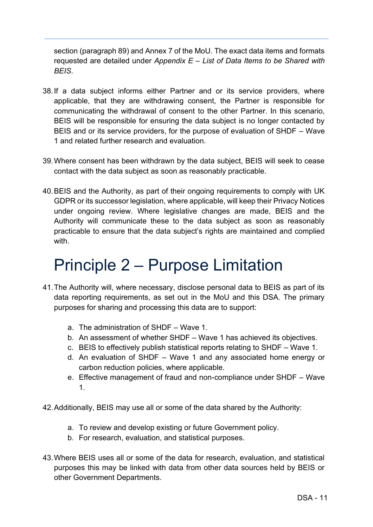section (paragraph 89) and Annex 7 of the MoU. The exact data items and formats requested are detailed under *Appendix E – List of Data Items to be Shared with BEIS*.

- 38. If a data subject informs either Partner and or its service providers, where applicable, that they are withdrawing consent, the Partner is responsible for communicating the withdrawal of consent to the other Partner. In this scenario, BEIS will be responsible for ensuring the data subject is no longer contacted by BEIS and or its service providers, for the purpose of evaluation of SHDF – Wave 1 and related further research and evaluation.
- 39. Where consent has been withdrawn by the data subject, BEIS will seek to cease contact with the data subject as soon as reasonably practicable.
- 40. BEIS and the Authority, as part of their ongoing requirements to comply with UK GDPR or its successor legislation, where applicable, will keep their Privacy Notices under ongoing review. Where legislative changes are made, BEIS and the Authority will communicate these to the data subject as soon as reasonably practicable to ensure that the data subject's rights are maintained and complied with.

## Principle 2 – Purpose Limitation

- 41. The Authority will, where necessary, disclose personal data to BEIS as part of its data reporting requirements, as set out in the MoU and this DSA. The primary purposes for sharing and processing this data are to support:
	- a. The administration of SHDF Wave 1.
	- b. An assessment of whether SHDF Wave 1 has achieved its objectives.
	- c. BEIS to effectively publish statistical reports relating to SHDF Wave 1.
	- d. An evaluation of SHDF Wave 1 and any associated home energy or carbon reduction policies, where applicable.
	- e. Effective management of fraud and non-compliance under SHDF Wave 1.
- 42. Additionally, BEIS may use all or some of the data shared by the Authority:
	- a. To review and develop existing or future Government policy.
	- b. For research, evaluation, and statistical purposes.
- 43. Where BEIS uses all or some of the data for research, evaluation, and statistical purposes this may be linked with data from other data sources held by BEIS or other Government Departments.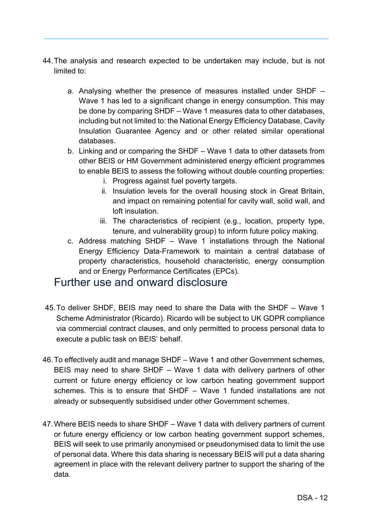- 44. The analysis and research expected to be undertaken may include, but is not limited to:
	- a. Analysing whether the presence of measures installed under SHDF Wave 1 has led to a significant change in energy consumption. This may be done by comparing SHDF – Wave 1 measures data to other databases, including but not limited to: the National Energy Efficiency Database, Cavity Insulation Guarantee Agency and or other related similar operational databases.
	- b. Linking and or comparing the SHDF Wave 1 data to other datasets from other BEIS or HM Government administered energy efficient programmes to enable BEIS to assess the following without double counting properties:
		- i. Progress against fuel poverty targets.
		- ii. Insulation levels for the overall housing stock in Great Britain, and impact on remaining potential for cavity wall, solid wall, and loft insulation.
		- iii. The characteristics of recipient (e.g., location, property type, tenure, and vulnerability group) to inform future policy making.
	- c. Address matching SHDF Wave 1 installations through the National Energy Efficiency Data-Framework to maintain a central database of property characteristics, household characteristic, energy consumption and or Energy Performance Certificates (EPCs).

### Further use and onward disclosure

- 45.To deliver SHDF, BEIS may need to share the Data with the SHDF Wave 1 Scheme Administrator (Ricardo). Ricardo will be subject to UK GDPR compliance via commercial contract clauses, and only permitted to process personal data to execute a public task on BEIS' behalf.
- 46. To effectively audit and manage SHDF Wave 1 and other Government schemes, BEIS may need to share SHDF – Wave 1 data with delivery partners of other current or future energy efficiency or low carbon heating government support schemes. This is to ensure that SHDF – Wave 1 funded installations are not already or subsequently subsidised under other Government schemes.
- 47. Where BEIS needs to share SHDF Wave 1 data with delivery partners of current or future energy efficiency or low carbon heating government support schemes, BEIS will seek to use primarily anonymised or pseudonymised data to limit the use of personal data. Where this data sharing is necessary BEIS will put a data sharing agreement in place with the relevant delivery partner to support the sharing of the data.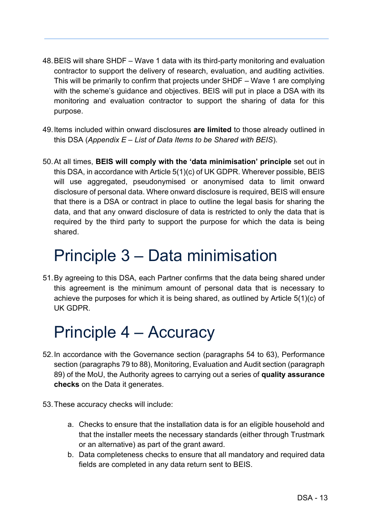- 48. BEIS will share SHDF Wave 1 data with its third-party monitoring and evaluation contractor to support the delivery of research, evaluation, and auditing activities. This will be primarily to confirm that projects under SHDF – Wave 1 are complying with the scheme's guidance and objectives. BEIS will put in place a DSA with its monitoring and evaluation contractor to support the sharing of data for this purpose.
- 49. Items included within onward disclosures **are limited** to those already outlined in this DSA (*Appendix E – List of Data Items to be Shared with BEIS*).
- 50. At all times, **BEIS will comply with the 'data minimisation' principle** set out in this DSA, in accordance with Article 5(1)(c) of UK GDPR. Wherever possible, BEIS will use aggregated, pseudonymised or anonymised data to limit onward disclosure of personal data. Where onward disclosure is required, BEIS will ensure that there is a DSA or contract in place to outline the legal basis for sharing the data, and that any onward disclosure of data is restricted to only the data that is required by the third party to support the purpose for which the data is being shared.

### Principle 3 – Data minimisation

51. By agreeing to this DSA, each Partner confirms that the data being shared under this agreement is the minimum amount of personal data that is necessary to achieve the purposes for which it is being shared, as outlined by Article 5(1)(c) of UK GDPR.

## Principle 4 – Accuracy

- 52. In accordance with the Governance section (paragraphs 54 to 63), Performance section (paragraphs 79 to 88), Monitoring, Evaluation and Audit section (paragraph 89) of the MoU, the Authority agrees to carrying out a series of **quality assurance checks** on the Data it generates.
- 53. These accuracy checks will include:
	- a. Checks to ensure that the installation data is for an eligible household and that the installer meets the necessary standards (either through Trustmark or an alternative) as part of the grant award.
	- b. Data completeness checks to ensure that all mandatory and required data fields are completed in any data return sent to BEIS.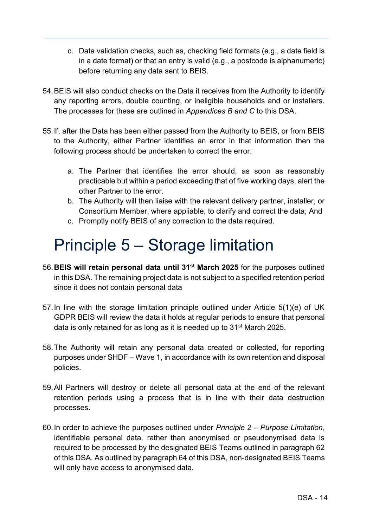- c. Data validation checks, such as, checking field formats (e.g., a date field is in a date format) or that an entry is valid (e.g., a postcode is alphanumeric) before returning any data sent to BEIS.
- 54. BEIS will also conduct checks on the Data it receives from the Authority to identify any reporting errors, double counting, or ineligible households and or installers. The processes for these are outlined in *Appendices B and C* to this DSA.
- 55. If, after the Data has been either passed from the Authority to BEIS, or from BEIS to the Authority, either Partner identifies an error in that information then the following process should be undertaken to correct the error:
	- a. The Partner that identifies the error should, as soon as reasonably practicable but within a period exceeding that of five working days, alert the other Partner to the error.
	- b. The Authority will then liaise with the relevant delivery partner, installer, or Consortium Member, where appliable, to clarify and correct the data; And
	- c. Promptly notify BEIS of any correction to the data required.

## Principle 5 – Storage limitation

- 56.**BEIS will retain personal data until 31st March 2025** for the purposes outlined in this DSA. The remaining project data is not subject to a specified retention period since it does not contain personal data
- 57. In line with the storage limitation principle outlined under Article 5(1)(e) of UK GDPR BEIS will review the data it holds at regular periods to ensure that personal data is only retained for as long as it is needed up to 31<sup>st</sup> March 2025.
- 58. The Authority will retain any personal data created or collected, for reporting purposes under SHDF – Wave 1, in accordance with its own retention and disposal policies.
- 59. All Partners will destroy or delete all personal data at the end of the relevant retention periods using a process that is in line with their data destruction processes.
- 60. In order to achieve the purposes outlined under *Principle 2 – Purpose Limitation*, identifiable personal data, rather than anonymised or pseudonymised data is required to be processed by the designated BEIS Teams outlined in paragraph 62 of this DSA. As outlined by paragraph 64 of this DSA, non-designated BEIS Teams will only have access to anonymised data.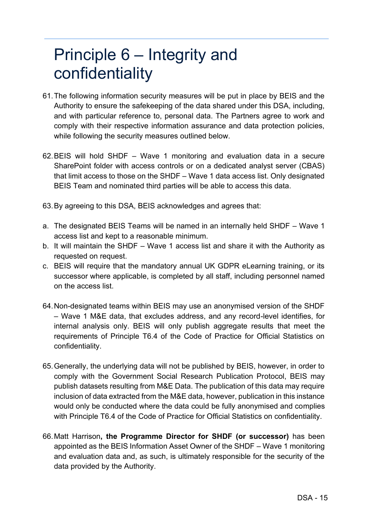### Principle 6 – Integrity and confidentiality

- 61. The following information security measures will be put in place by BEIS and the Authority to ensure the safekeeping of the data shared under this DSA, including, and with particular reference to, personal data. The Partners agree to work and comply with their respective information assurance and data protection policies, while following the security measures outlined below.
- 62. BEIS will hold SHDF Wave 1 monitoring and evaluation data in a secure SharePoint folder with access controls or on a dedicated analyst server (CBAS) that limit access to those on the SHDF – Wave 1 data access list. Only designated BEIS Team and nominated third parties will be able to access this data.
- 63. By agreeing to this DSA, BEIS acknowledges and agrees that:
- a. The designated BEIS Teams will be named in an internally held SHDF Wave 1 access list and kept to a reasonable minimum.
- b. It will maintain the SHDF Wave 1 access list and share it with the Authority as requested on request.
- c. BEIS will require that the mandatory annual UK GDPR eLearning training, or its successor where applicable, is completed by all staff, including personnel named on the access list.
- 64. Non-designated teams within BEIS may use an anonymised version of the SHDF – Wave 1 M&E data, that excludes address, and any record-level identifies, for internal analysis only. BEIS will only publish aggregate results that meet the requirements of Principle T6.4 of the Code of Practice for Official Statistics on confidentiality.
- 65. Generally, the underlying data will not be published by BEIS, however, in order to comply with the Government Social Research Publication Protocol, BEIS may publish datasets resulting from M&E Data. The publication of this data may require inclusion of data extracted from the M&E data, however, publication in this instance would only be conducted where the data could be fully anonymised and complies with Principle T6.4 of the Code of Practice for Official Statistics on confidentiality.
- 66. Matt Harrison**, the Programme Director for SHDF (or successor)** has been appointed as the BEIS Information Asset Owner of the SHDF – Wave 1 monitoring and evaluation data and, as such, is ultimately responsible for the security of the data provided by the Authority.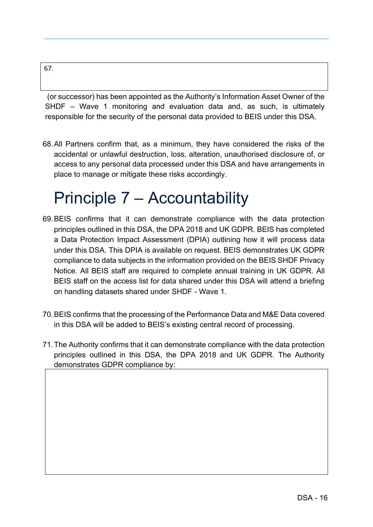#### 67.

 (or successor) has been appointed as the Authority's Information Asset Owner of the SHDF – Wave 1 monitoring and evaluation data and, as such, is ultimately responsible for the security of the personal data provided to BEIS under this DSA.

68. All Partners confirm that, as a minimum, they have considered the risks of the accidental or unlawful destruction, loss, alteration, unauthorised disclosure of, or access to any personal data processed under this DSA and have arrangements in place to manage or mitigate these risks accordingly.

### Principle 7 – Accountability

- 69. BEIS confirms that it can demonstrate compliance with the data protection principles outlined in this DSA, the DPA 2018 and UK GDPR. BEIS has completed a Data Protection Impact Assessment (DPIA) outlining how it will process data under this DSA. This DPIA is available on request. BEIS demonstrates UK GDPR compliance to data subjects in the information provided on the BEIS SHDF Privacy Notice. All BEIS staff are required to complete annual training in UK GDPR. All BEIS staff on the access list for data shared under this DSA will attend a briefing on handling datasets shared under SHDF - Wave 1.
- 70. BEIS confirms that the processing of the Performance Data and M&E Data covered in this DSA will be added to BEIS's existing central record of processing.
- 71. The Authority confirms that it can demonstrate compliance with the data protection principles outlined in this DSA, the DPA 2018 and UK GDPR. The Authority demonstrates GDPR compliance by: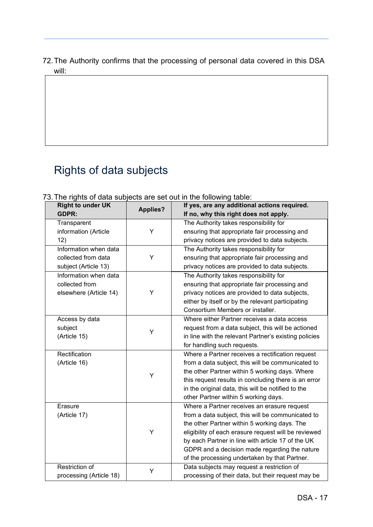#### 72. The Authority confirms that the processing of personal data covered in this DSA will:

### Rights of data subjects

| <b>Right to under UK</b> |                 | If yes, are any additional actions required.          |
|--------------------------|-----------------|-------------------------------------------------------|
| <b>GDPR:</b>             | <b>Applies?</b> | If no, why this right does not apply.                 |
| Transparent              |                 | The Authority takes responsibility for                |
| information (Article     | Υ               | ensuring that appropriate fair processing and         |
| 12)                      |                 | privacy notices are provided to data subjects.        |
| Information when data    |                 | The Authority takes responsibility for                |
| collected from data      | Υ               | ensuring that appropriate fair processing and         |
| subject (Article 13)     |                 | privacy notices are provided to data subjects.        |
| Information when data    |                 | The Authority takes responsibility for                |
| collected from           |                 | ensuring that appropriate fair processing and         |
| elsewhere (Article 14)   | Υ               | privacy notices are provided to data subjects,        |
|                          |                 | either by itself or by the relevant participating     |
|                          |                 | Consortium Members or installer.                      |
| Access by data           |                 | Where either Partner receives a data access           |
| subject                  |                 | request from a data subject, this will be actioned    |
| (Article 15)             | Υ               | in line with the relevant Partner's existing policies |
|                          |                 | for handling such requests.                           |
| Rectification            |                 | Where a Partner receives a rectification request      |
| (Article 16)             |                 | from a data subject, this will be communicated to     |
|                          | Y               | the other Partner within 5 working days. Where        |
|                          |                 | this request results in concluding there is an error  |
|                          |                 | in the original data, this will be notified to the    |
|                          |                 | other Partner within 5 working days.                  |
| Erasure                  |                 | Where a Partner receives an erasure request           |
| (Article 17)             |                 | from a data subject, this will be communicated to     |
|                          |                 | the other Partner within 5 working days. The          |
|                          | Y               | eligibility of each erasure request will be reviewed  |
|                          |                 | by each Partner in line with article 17 of the UK     |
|                          |                 | GDPR and a decision made regarding the nature         |
|                          |                 | of the processing undertaken by that Partner.         |
| Restriction of           | Υ               | Data subjects may request a restriction of            |
|                          |                 |                                                       |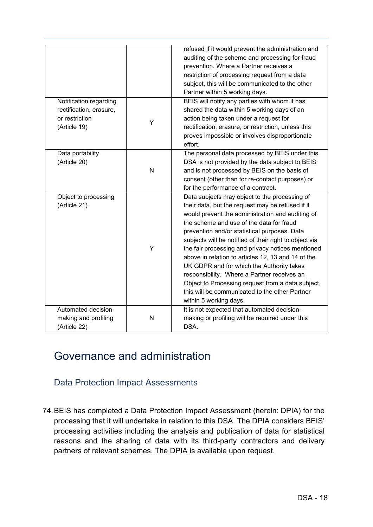|                         |   | refused if it would prevent the administration and     |
|-------------------------|---|--------------------------------------------------------|
|                         |   | auditing of the scheme and processing for fraud        |
|                         |   | prevention. Where a Partner receives a                 |
|                         |   | restriction of processing request from a data          |
|                         |   | subject, this will be communicated to the other        |
|                         |   | Partner within 5 working days.                         |
| Notification regarding  |   | BEIS will notify any parties with whom it has          |
| rectification, erasure, |   | shared the data within 5 working days of an            |
| or restriction          |   | action being taken under a request for                 |
| (Article 19)            | Y | rectification, erasure, or restriction, unless this    |
|                         |   | proves impossible or involves disproportionate         |
|                         |   | effort.                                                |
| Data portability        |   | The personal data processed by BEIS under this         |
| (Article 20)            |   | DSA is not provided by the data subject to BEIS        |
|                         | N | and is not processed by BEIS on the basis of           |
|                         |   | consent (other than for re-contact purposes) or        |
|                         |   | for the performance of a contract.                     |
| Object to processing    |   | Data subjects may object to the processing of          |
| (Article 21)            |   | their data, but the request may be refused if it       |
|                         |   | would prevent the administration and auditing of       |
|                         |   | the scheme and use of the data for fraud               |
|                         |   |                                                        |
|                         |   | prevention and/or statistical purposes. Data           |
|                         |   | subjects will be notified of their right to object via |
|                         | Υ | the fair processing and privacy notices mentioned      |
|                         |   | above in relation to articles 12, 13 and 14 of the     |
|                         |   | UK GDPR and for which the Authority takes              |
|                         |   | responsibility. Where a Partner receives an            |
|                         |   | Object to Processing request from a data subject,      |
|                         |   | this will be communicated to the other Partner         |
|                         |   | within 5 working days.                                 |
| Automated decision-     |   | It is not expected that automated decision-            |
| making and profiling    | N | making or profiling will be required under this        |
| (Article 22)            |   | DSA.                                                   |

### Governance and administration

Data Protection Impact Assessments

74. BEIS has completed a Data Protection Impact Assessment (herein: DPIA) for the processing that it will undertake in relation to this DSA. The DPIA considers BEIS' processing activities including the analysis and publication of data for statistical reasons and the sharing of data with its third-party contractors and delivery partners of relevant schemes. The DPIA is available upon request.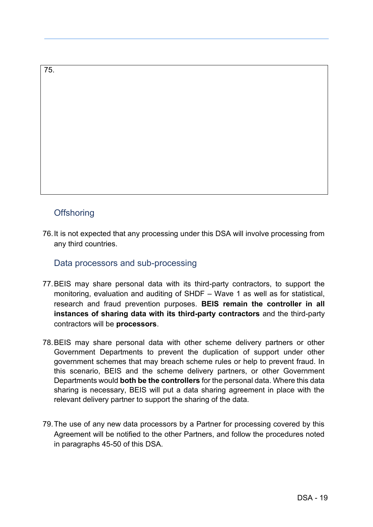#### 75.

#### **Offshoring**

76. It is not expected that any processing under this DSA will involve processing from any third countries.

Data processors and sub-processing

- 77. BEIS may share personal data with its third-party contractors, to support the monitoring, evaluation and auditing of SHDF – Wave 1 as well as for statistical, research and fraud prevention purposes. **BEIS remain the controller in all instances of sharing data with its third-party contractors** and the third-party contractors will be **processors**.
- 78. BEIS may share personal data with other scheme delivery partners or other Government Departments to prevent the duplication of support under other government schemes that may breach scheme rules or help to prevent fraud. In this scenario, BEIS and the scheme delivery partners, or other Government Departments would **both be the controllers** for the personal data. Where this data sharing is necessary, BEIS will put a data sharing agreement in place with the relevant delivery partner to support the sharing of the data.
- 79. The use of any new data processors by a Partner for processing covered by this Agreement will be notified to the other Partners, and follow the procedures noted in paragraphs 45-50 of this DSA.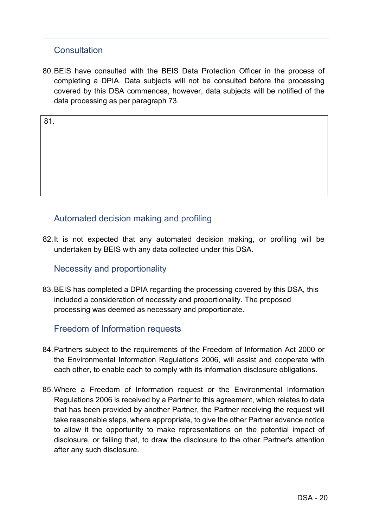#### **Consultation**

80. BEIS have consulted with the BEIS Data Protection Officer in the process of completing a DPIA. Data subjects will not be consulted before the processing covered by this DSA commences, however, data subjects will be notified of the data processing as per paragraph 73.

81.

#### Automated decision making and profiling

82. It is not expected that any automated decision making, or profiling will be undertaken by BEIS with any data collected under this DSA.

#### Necessity and proportionality

83. BEIS has completed a DPIA regarding the processing covered by this DSA, this included a consideration of necessity and proportionality. The proposed processing was deemed as necessary and proportionate.

#### Freedom of Information requests

- 84. Partners subject to the requirements of the Freedom of Information Act 2000 or the Environmental Information Regulations 2006, will assist and cooperate with each other, to enable each to comply with its information disclosure obligations.
- 85. Where a Freedom of Information request or the Environmental Information Regulations 2006 is received by a Partner to this agreement, which relates to data that has been provided by another Partner, the Partner receiving the request will take reasonable steps, where appropriate, to give the other Partner advance notice to allow it the opportunity to make representations on the potential impact of disclosure, or failing that, to draw the disclosure to the other Partner's attention after any such disclosure.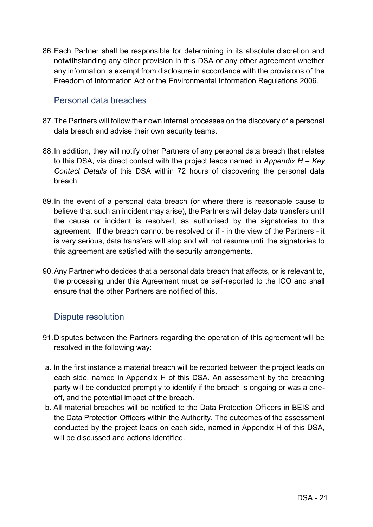86. Each Partner shall be responsible for determining in its absolute discretion and notwithstanding any other provision in this DSA or any other agreement whether any information is exempt from disclosure in accordance with the provisions of the Freedom of Information Act or the Environmental Information Regulations 2006.

#### Personal data breaches

- 87. The Partners will follow their own internal processes on the discovery of a personal data breach and advise their own security teams.
- 88. In addition, they will notify other Partners of any personal data breach that relates to this DSA, via direct contact with the project leads named in *Appendix H – Key Contact Details* of this DSA within 72 hours of discovering the personal data breach.
- 89. In the event of a personal data breach (or where there is reasonable cause to believe that such an incident may arise), the Partners will delay data transfers until the cause or incident is resolved, as authorised by the signatories to this agreement. If the breach cannot be resolved or if - in the view of the Partners - it is very serious, data transfers will stop and will not resume until the signatories to this agreement are satisfied with the security arrangements.
- 90. Any Partner who decides that a personal data breach that affects, or is relevant to, the processing under this Agreement must be self-reported to the ICO and shall ensure that the other Partners are notified of this.

#### Dispute resolution

- 91. Disputes between the Partners regarding the operation of this agreement will be resolved in the following way:
- a. In the first instance a material breach will be reported between the project leads on each side, named in Appendix H of this DSA. An assessment by the breaching party will be conducted promptly to identify if the breach is ongoing or was a oneoff, and the potential impact of the breach.
- b. All material breaches will be notified to the Data Protection Officers in BEIS and the Data Protection Officers within the Authority. The outcomes of the assessment conducted by the project leads on each side, named in Appendix H of this DSA, will be discussed and actions identified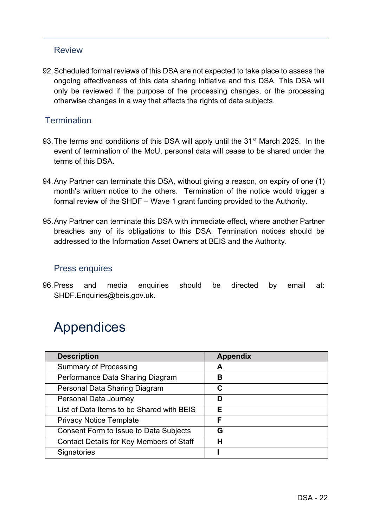#### Review

92. Scheduled formal reviews of this DSA are not expected to take place to assess the ongoing effectiveness of this data sharing initiative and this DSA. This DSA will only be reviewed if the purpose of the processing changes, or the processing otherwise changes in a way that affects the rights of data subjects.

#### **Termination**

- 93. The terms and conditions of this DSA will apply until the 31<sup>st</sup> March 2025. In the event of termination of the MoU, personal data will cease to be shared under the terms of this DSA.
- 94. Any Partner can terminate this DSA, without giving a reason, on expiry of one (1) month's written notice to the others. Termination of the notice would trigger a formal review of the SHDF – Wave 1 grant funding provided to the Authority.
- 95. Any Partner can terminate this DSA with immediate effect, where another Partner breaches any of its obligations to this DSA. Termination notices should be addressed to the Information Asset Owners at BEIS and the Authority.

#### Press enquires

96. Press and media enquiries should be directed by email at: SHDF.Enquiries@beis.gov.uk.

### Appendices

| <b>Description</b>                              | <b>Appendix</b> |
|-------------------------------------------------|-----------------|
| <b>Summary of Processing</b>                    | А               |
| Performance Data Sharing Diagram                | В               |
| Personal Data Sharing Diagram                   | С               |
| Personal Data Journey                           | D               |
| List of Data Items to be Shared with BEIS       | Е               |
| <b>Privacy Notice Template</b>                  | F               |
| <b>Consent Form to Issue to Data Subjects</b>   | G               |
| <b>Contact Details for Key Members of Staff</b> | н               |
| Signatories                                     |                 |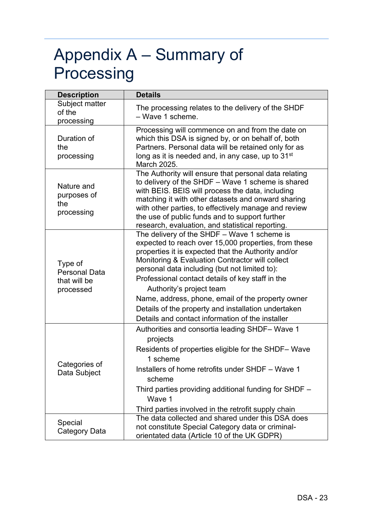## Appendix A – Summary of Processing

| <b>Description</b>                                           | <b>Details</b>                                                                                                                                                                                                                                                                                                                                                                                                                                                                                                 |  |  |
|--------------------------------------------------------------|----------------------------------------------------------------------------------------------------------------------------------------------------------------------------------------------------------------------------------------------------------------------------------------------------------------------------------------------------------------------------------------------------------------------------------------------------------------------------------------------------------------|--|--|
| Subject matter<br>of the<br>processing                       | The processing relates to the delivery of the SHDF<br>- Wave 1 scheme.                                                                                                                                                                                                                                                                                                                                                                                                                                         |  |  |
| Duration of<br>the<br>processing                             | Processing will commence on and from the date on<br>which this DSA is signed by, or on behalf of, both<br>Partners. Personal data will be retained only for as<br>long as it is needed and, in any case, up to 31 <sup>st</sup><br>March 2025.                                                                                                                                                                                                                                                                 |  |  |
| Nature and<br>purposes of<br>the<br>processing               | The Authority will ensure that personal data relating<br>to delivery of the SHDF - Wave 1 scheme is shared<br>with BEIS. BEIS will process the data, including<br>matching it with other datasets and onward sharing<br>with other parties, to effectively manage and review<br>the use of public funds and to support further<br>research, evaluation, and statistical reporting.                                                                                                                             |  |  |
| Type of<br><b>Personal Data</b><br>that will be<br>processed | The delivery of the SHDF - Wave 1 scheme is<br>expected to reach over 15,000 properties, from these<br>properties it is expected that the Authority and/or<br>Monitoring & Evaluation Contractor will collect<br>personal data including (but not limited to):<br>Professional contact details of key staff in the<br>Authority's project team<br>Name, address, phone, email of the property owner<br>Details of the property and installation undertaken<br>Details and contact information of the installer |  |  |
| Categories of<br>Data Subject                                | Authorities and consortia leading SHDF-Wave 1<br>projects<br>Residents of properties eligible for the SHDF-Wave<br>1 scheme<br>Installers of home retrofits under SHDF - Wave 1<br>scheme<br>Third parties providing additional funding for SHDF -<br>Wave 1<br>Third parties involved in the retrofit supply chain                                                                                                                                                                                            |  |  |
| Special<br><b>Category Data</b>                              | The data collected and shared under this DSA does<br>not constitute Special Category data or criminal-<br>orientated data (Article 10 of the UK GDPR)                                                                                                                                                                                                                                                                                                                                                          |  |  |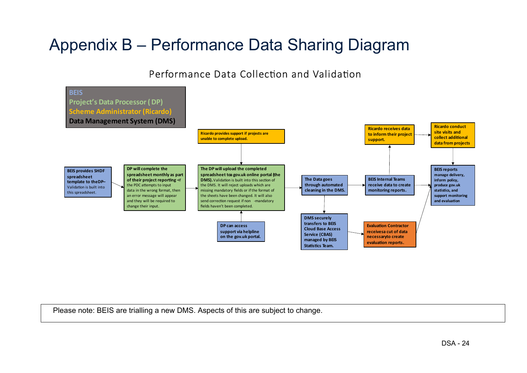### Appendix B – Performance Data Sharing Diagram

Performance Data Collection and Validation



Please note: BEIS are trialling a new DMS. Aspects of this are subject to change.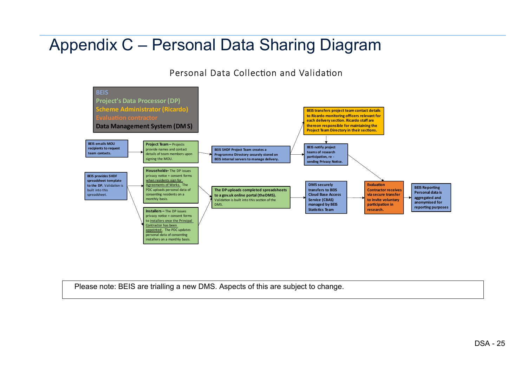### Appendix C – Personal Data Sharing Diagram

Personal Data Collection and Validation



Please note: BEIS are trialling a new DMS. Aspects of this are subject to change.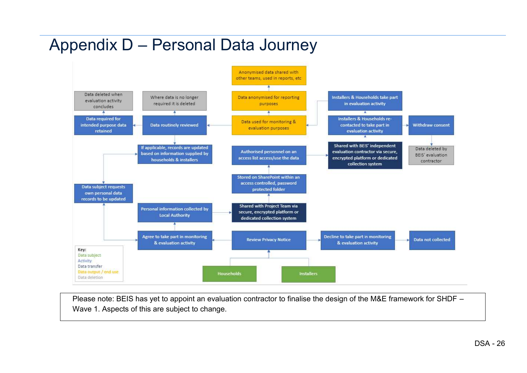### Appendix D – Personal Data Journey



Please note: BEIS has yet to appoint an evaluation contractor to finalise the design of the M&E framework for SHDF – Wave 1. Aspects of this are subject to change.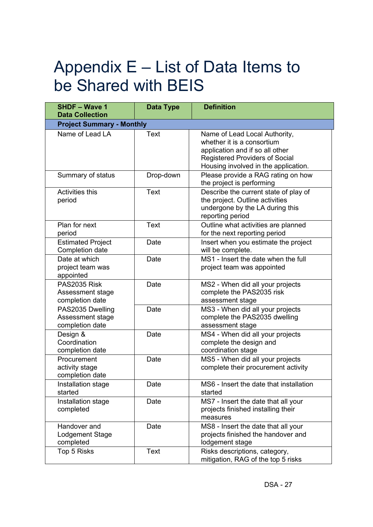## Appendix E – List of Data Items to be Shared with BEIS

| <b>SHDF - Wave 1</b><br><b>Data Collection</b>          | Data Type   | <b>Definition</b>                                                                                                                                                               |
|---------------------------------------------------------|-------------|---------------------------------------------------------------------------------------------------------------------------------------------------------------------------------|
| <b>Project Summary - Monthly</b>                        |             |                                                                                                                                                                                 |
| Name of Lead LA                                         | <b>Text</b> | Name of Lead Local Authority,<br>whether it is a consortium<br>application and if so all other<br><b>Registered Providers of Social</b><br>Housing involved in the application. |
| Summary of status                                       | Drop-down   | Please provide a RAG rating on how<br>the project is performing                                                                                                                 |
| <b>Activities this</b><br>period                        | <b>Text</b> | Describe the current state of play of<br>the project. Outline activities<br>undergone by the LA during this<br>reporting period                                                 |
| Plan for next<br>period                                 | Text        | Outline what activities are planned<br>for the next reporting period                                                                                                            |
| <b>Estimated Project</b><br>Completion date             | Date        | Insert when you estimate the project<br>will be complete.                                                                                                                       |
| Date at which<br>project team was<br>appointed          | Date        | MS1 - Insert the date when the full<br>project team was appointed                                                                                                               |
| PAS2035 Risk<br>Assessment stage<br>completion date     | Date        | MS2 - When did all your projects<br>complete the PAS2035 risk<br>assessment stage                                                                                               |
| PAS2035 Dwelling<br>Assessment stage<br>completion date | Date        | MS3 - When did all your projects<br>complete the PAS2035 dwelling<br>assessment stage                                                                                           |
| Design &<br>Coordination<br>completion date             | Date        | MS4 - When did all your projects<br>complete the design and<br>coordination stage                                                                                               |
| Procurement<br>activity stage<br>completion date        | Date        | MS5 - When did all your projects<br>complete their procurement activity                                                                                                         |
| Installation stage<br>started                           | Date        | MS6 - Insert the date that installation<br>started                                                                                                                              |
| Installation stage<br>completed                         | Date        | MS7 - Insert the date that all your<br>projects finished installing their<br>measures                                                                                           |
| Handover and<br>Lodgement Stage<br>completed            | Date        | MS8 - Insert the date that all your<br>projects finished the handover and<br>lodgement stage                                                                                    |
| Top 5 Risks                                             | <b>Text</b> | Risks descriptions, category,<br>mitigation, RAG of the top 5 risks                                                                                                             |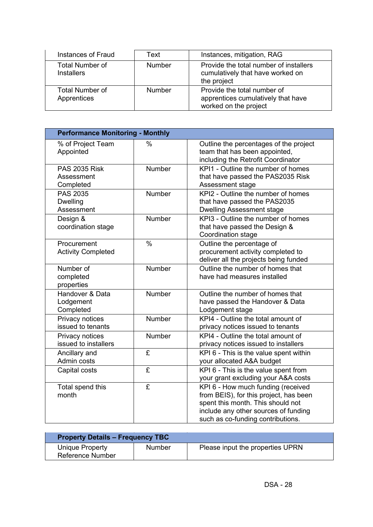| Instances of Fraud                          | Text          | Instances, mitigation, RAG                                                                 |
|---------------------------------------------|---------------|--------------------------------------------------------------------------------------------|
| <b>Total Number of</b><br><b>Installers</b> | <b>Number</b> | Provide the total number of installers<br>cumulatively that have worked on<br>the project  |
| <b>Total Number of</b><br>Apprentices       | <b>Number</b> | Provide the total number of<br>apprentices cumulatively that have<br>worked on the project |

| <b>Performance Monitoring - Monthly</b>          |               |                                                                                                                                                                                                |
|--------------------------------------------------|---------------|------------------------------------------------------------------------------------------------------------------------------------------------------------------------------------------------|
| % of Project Team<br>Appointed                   | $\%$          | Outline the percentages of the project<br>team that has been appointed,<br>including the Retrofit Coordinator                                                                                  |
| <b>PAS 2035 Risk</b><br>Assessment<br>Completed  | Number        | KPI1 - Outline the number of homes<br>that have passed the PAS2035 Risk<br>Assessment stage                                                                                                    |
| <b>PAS 2035</b><br><b>Dwelling</b><br>Assessment | <b>Number</b> | KPI2 - Outline the number of homes<br>that have passed the PAS2035<br><b>Dwelling Assessment stage</b>                                                                                         |
| Design &<br>coordination stage                   | <b>Number</b> | KPI3 - Outline the number of homes<br>that have passed the Design &<br>Coordination stage                                                                                                      |
| Procurement<br><b>Activity Completed</b>         | $\frac{0}{0}$ | Outline the percentage of<br>procurement activity completed to<br>deliver all the projects being funded                                                                                        |
| Number of<br>completed<br>properties             | Number        | Outline the number of homes that<br>have had measures installed                                                                                                                                |
| Handover & Data<br>Lodgement<br>Completed        | <b>Number</b> | Outline the number of homes that<br>have passed the Handover & Data<br>Lodgement stage                                                                                                         |
| Privacy notices<br>issued to tenants             | <b>Number</b> | KPI4 - Outline the total amount of<br>privacy notices issued to tenants                                                                                                                        |
| Privacy notices<br>issued to installers          | <b>Number</b> | KPI4 - Outline the total amount of<br>privacy notices issued to installers                                                                                                                     |
| Ancillary and<br>Admin costs                     | £             | KPI 6 - This is the value spent within<br>your allocated A&A budget                                                                                                                            |
| Capital costs                                    | £             | KPI 6 - This is the value spent from<br>your grant excluding your A&A costs                                                                                                                    |
| Total spend this<br>month                        | £             | KPI 6 - How much funding (received<br>from BEIS), for this project, has been<br>spent this month. This should not<br>include any other sources of funding<br>such as co-funding contributions. |

| <b>Property Details - Frequency TBC</b>    |               |                                  |
|--------------------------------------------|---------------|----------------------------------|
| Unique Property<br><b>Reference Number</b> | <b>Number</b> | Please input the properties UPRN |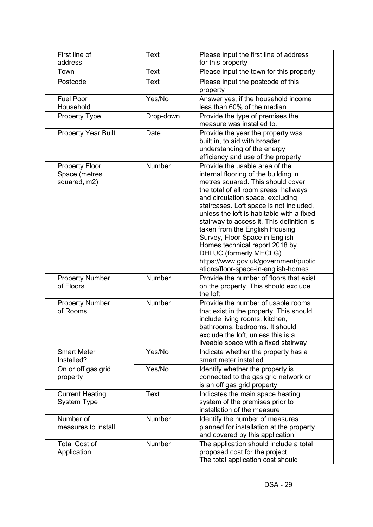| First line of<br>address                               | <b>Text</b>   | Please input the first line of address<br>for this property                                                                                                                                                                                                                                                                                                                                                                                                                                                                                   |
|--------------------------------------------------------|---------------|-----------------------------------------------------------------------------------------------------------------------------------------------------------------------------------------------------------------------------------------------------------------------------------------------------------------------------------------------------------------------------------------------------------------------------------------------------------------------------------------------------------------------------------------------|
| Town                                                   | <b>Text</b>   | Please input the town for this property                                                                                                                                                                                                                                                                                                                                                                                                                                                                                                       |
| Postcode                                               | Text          | Please input the postcode of this<br>property                                                                                                                                                                                                                                                                                                                                                                                                                                                                                                 |
| <b>Fuel Poor</b><br>Household                          | Yes/No        | Answer yes, if the household income<br>less than 60% of the median                                                                                                                                                                                                                                                                                                                                                                                                                                                                            |
| <b>Property Type</b>                                   | Drop-down     | Provide the type of premises the<br>measure was installed to.                                                                                                                                                                                                                                                                                                                                                                                                                                                                                 |
| <b>Property Year Built</b>                             | Date          | Provide the year the property was<br>built in, to aid with broader<br>understanding of the energy<br>efficiency and use of the property                                                                                                                                                                                                                                                                                                                                                                                                       |
| <b>Property Floor</b><br>Space (metres<br>squared, m2) | Number        | Provide the usable area of the<br>internal flooring of the building in<br>metres squared. This should cover<br>the total of all room areas, hallways<br>and circulation space, excluding<br>staircases. Loft space is not included,<br>unless the loft is habitable with a fixed<br>stairway to access it. This definition is<br>taken from the English Housing<br>Survey, Floor Space in English<br>Homes technical report 2018 by<br>DHLUC (formerly MHCLG).<br>https://www.gov.uk/government/public<br>ations/floor-space-in-english-homes |
| <b>Property Number</b><br>of Floors                    | Number        | Provide the number of floors that exist<br>on the property. This should exclude<br>the loft.                                                                                                                                                                                                                                                                                                                                                                                                                                                  |
| <b>Property Number</b><br>of Rooms                     | Number        | Provide the number of usable rooms<br>that exist in the property. This should<br>include living rooms, kitchen,<br>bathrooms, bedrooms. It should<br>exclude the loft, unless this is a<br>liveable space with a fixed stairway                                                                                                                                                                                                                                                                                                               |
| <b>Smart Meter</b><br>Installed?                       | Yes/No        | Indicate whether the property has a<br>smart meter installed                                                                                                                                                                                                                                                                                                                                                                                                                                                                                  |
| On or off gas grid<br>property                         | Yes/No        | Identify whether the property is<br>connected to the gas grid network or<br>is an off gas grid property.                                                                                                                                                                                                                                                                                                                                                                                                                                      |
| <b>Current Heating</b><br>System Type                  | <b>Text</b>   | Indicates the main space heating<br>system of the premises prior to<br>installation of the measure                                                                                                                                                                                                                                                                                                                                                                                                                                            |
| Number of<br>measures to install                       | Number        | Identify the number of measures<br>planned for installation at the property<br>and covered by this application                                                                                                                                                                                                                                                                                                                                                                                                                                |
| <b>Total Cost of</b><br>Application                    | <b>Number</b> | The application should include a total<br>proposed cost for the project.<br>The total application cost should                                                                                                                                                                                                                                                                                                                                                                                                                                 |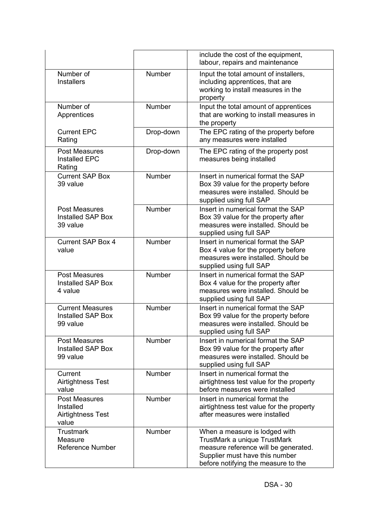|                                                                        |               | include the cost of the equipment,<br>labour, repairs and maintenance                                                                                                          |
|------------------------------------------------------------------------|---------------|--------------------------------------------------------------------------------------------------------------------------------------------------------------------------------|
| Number of<br><b>Installers</b>                                         | <b>Number</b> | Input the total amount of installers,<br>including apprentices, that are<br>working to install measures in the<br>property                                                     |
| Number of<br>Apprentices                                               | <b>Number</b> | Input the total amount of apprentices<br>that are working to install measures in<br>the property                                                                               |
| <b>Current EPC</b><br>Rating                                           | Drop-down     | The EPC rating of the property before<br>any measures were installed                                                                                                           |
| <b>Post Measures</b><br><b>Installed EPC</b><br>Rating                 | Drop-down     | The EPC rating of the property post<br>measures being installed                                                                                                                |
| <b>Current SAP Box</b><br>39 value                                     | <b>Number</b> | Insert in numerical format the SAP<br>Box 39 value for the property before<br>measures were installed. Should be<br>supplied using full SAP                                    |
| <b>Post Measures</b><br>Installed SAP Box<br>39 value                  | <b>Number</b> | Insert in numerical format the SAP<br>Box 39 value for the property after<br>measures were installed. Should be<br>supplied using full SAP                                     |
| <b>Current SAP Box 4</b><br>value                                      | <b>Number</b> | Insert in numerical format the SAP<br>Box 4 value for the property before<br>measures were installed. Should be<br>supplied using full SAP                                     |
| <b>Post Measures</b><br>Installed SAP Box<br>4 value                   | <b>Number</b> | Insert in numerical format the SAP<br>Box 4 value for the property after<br>measures were installed. Should be<br>supplied using full SAP                                      |
| <b>Current Measures</b><br>Installed SAP Box<br>99 value               | Number        | Insert in numerical format the SAP<br>Box 99 value for the property before<br>measures were installed. Should be<br>supplied using full SAP                                    |
| <b>Post Measures</b><br>Installed SAP Box<br>99 value                  | Number        | Insert in numerical format the SAP<br>Box 99 value for the property after<br>measures were installed. Should be<br>supplied using full SAP                                     |
| Current<br><b>Airtightness Test</b><br>value                           | Number        | Insert in numerical format the<br>airtightness test value for the property<br>before measures were installed                                                                   |
| <b>Post Measures</b><br>Installed<br><b>Airtightness Test</b><br>value | <b>Number</b> | Insert in numerical format the<br>airtightness test value for the property<br>after measures were installed                                                                    |
| <b>Trustmark</b><br>Measure<br><b>Reference Number</b>                 | Number        | When a measure is lodged with<br>TrustMark a unique TrustMark<br>measure reference will be generated.<br>Supplier must have this number<br>before notifying the measure to the |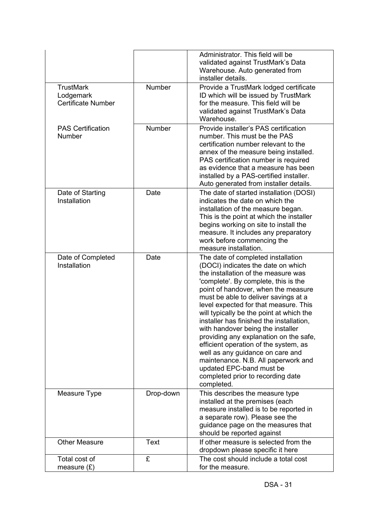|                                                            |               | Administrator. This field will be<br>validated against TrustMark's Data<br>Warehouse. Auto generated from<br>installer details.                                                                                                                                                                                                                                                                                                                                                                                                                                                                                                                           |
|------------------------------------------------------------|---------------|-----------------------------------------------------------------------------------------------------------------------------------------------------------------------------------------------------------------------------------------------------------------------------------------------------------------------------------------------------------------------------------------------------------------------------------------------------------------------------------------------------------------------------------------------------------------------------------------------------------------------------------------------------------|
| <b>TrustMark</b><br>Lodgemark<br><b>Certificate Number</b> | <b>Number</b> | Provide a TrustMark lodged certificate<br>ID which will be issued by TrustMark<br>for the measure. This field will be<br>validated against TrustMark's Data<br>Warehouse.                                                                                                                                                                                                                                                                                                                                                                                                                                                                                 |
| <b>PAS Certification</b><br>Number                         | <b>Number</b> | Provide installer's PAS certification<br>number. This must be the PAS<br>certification number relevant to the<br>annex of the measure being installed.<br>PAS certification number is required<br>as evidence that a measure has been<br>installed by a PAS-certified installer.<br>Auto generated from installer details.                                                                                                                                                                                                                                                                                                                                |
| Date of Starting<br>Installation                           | Date          | The date of started installation (DOSI)<br>indicates the date on which the<br>installation of the measure began.<br>This is the point at which the installer<br>begins working on site to install the<br>measure. It includes any preparatory<br>work before commencing the<br>measure installation.                                                                                                                                                                                                                                                                                                                                                      |
| Date of Completed<br>Installation                          | Date          | The date of completed installation<br>(DOCI) indicates the date on which<br>the installation of the measure was<br>'complete'. By complete, this is the<br>point of handover, when the measure<br>must be able to deliver savings at a<br>level expected for that measure. This<br>will typically be the point at which the<br>installer has finished the installation,<br>with handover being the installer<br>providing any explanation on the safe,<br>efficient operation of the system, as<br>well as any guidance on care and<br>maintenance. N.B. All paperwork and<br>updated EPC-band must be<br>completed prior to recording date<br>completed. |
| Measure Type                                               | Drop-down     | This describes the measure type<br>installed at the premises (each<br>measure installed is to be reported in<br>a separate row). Please see the<br>guidance page on the measures that<br>should be reported against                                                                                                                                                                                                                                                                                                                                                                                                                                       |
| <b>Other Measure</b>                                       | <b>Text</b>   | If other measure is selected from the<br>dropdown please specific it here                                                                                                                                                                                                                                                                                                                                                                                                                                                                                                                                                                                 |
| Total cost of<br>measure $(E)$                             | £             | The cost should include a total cost<br>for the measure.                                                                                                                                                                                                                                                                                                                                                                                                                                                                                                                                                                                                  |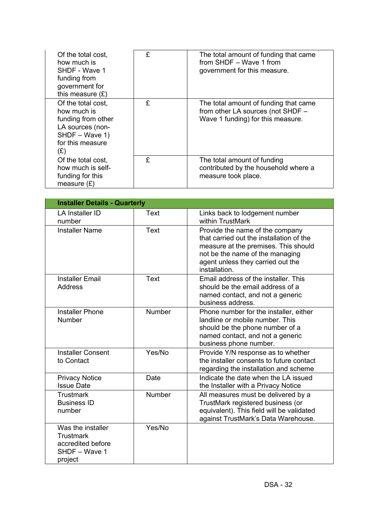| Of the total cost,<br>how much is<br>SHDF - Wave 1<br>funding from<br>government for<br>this measure $(E)$               | £ | The total amount of funding that came<br>from SHDF - Wave 1 from<br>government for this measure.                |
|--------------------------------------------------------------------------------------------------------------------------|---|-----------------------------------------------------------------------------------------------------------------|
| Of the total cost,<br>how much is<br>funding from other<br>LA sources (non-<br>SHDF - Wave 1)<br>for this measure<br>(£) | £ | The total amount of funding that came<br>from other LA sources (not SHDF -<br>Wave 1 funding) for this measure. |
| Of the total cost,<br>how much is self-<br>funding for this<br>measure $(E)$                                             | £ | The total amount of funding<br>contributed by the household where a<br>measure took place.                      |

| <b>Installer Details - Quarterly</b>                                                   |               |                                                                                                                                                                                                              |
|----------------------------------------------------------------------------------------|---------------|--------------------------------------------------------------------------------------------------------------------------------------------------------------------------------------------------------------|
| <b>LA Installer ID</b><br>number                                                       | Text          | Links back to lodgement number<br>within TrustMark                                                                                                                                                           |
| <b>Installer Name</b>                                                                  | Text          | Provide the name of the company<br>that carried out the installation of the<br>measure at the premises. This should<br>not be the name of the managing<br>agent unless they carried out the<br>installation. |
| <b>Installer Email</b><br><b>Address</b>                                               | <b>Text</b>   | Email address of the installer. This<br>should be the email address of a<br>named contact, and not a generic<br>business address.                                                                            |
| <b>Installer Phone</b><br><b>Number</b>                                                | <b>Number</b> | Phone number for the installer, either<br>landline or mobile number. This<br>should be the phone number of a<br>named contact, and not a generic<br>business phone number.                                   |
| <b>Installer Consent</b><br>to Contact                                                 | Yes/No        | Provide Y/N response as to whether<br>the installer consents to future contact<br>regarding the installation and scheme                                                                                      |
| <b>Privacy Notice</b><br><b>Issue Date</b>                                             | Date          | Indicate the date when the LA issued<br>the Installer with a Privacy Notice                                                                                                                                  |
| <b>Trustmark</b><br><b>Business ID</b><br>number                                       | <b>Number</b> | All measures must be delivered by a<br>TrustMark registered business (or<br>equivalent). This field will be validated<br>against TrustMark's Data Warehouse.                                                 |
| Was the installer<br><b>Trustmark</b><br>accredited before<br>SHDF - Wave 1<br>project | Yes/No        |                                                                                                                                                                                                              |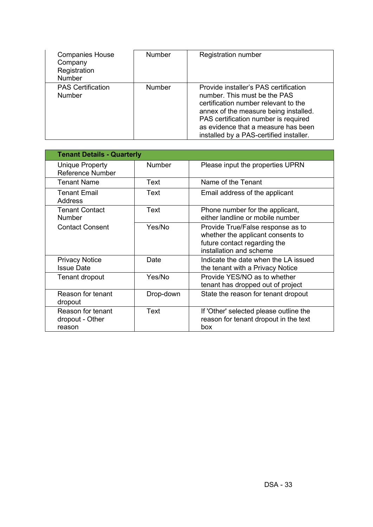| <b>Companies House</b><br>Company<br>Registration<br><b>Number</b> | <b>Number</b> | <b>Registration number</b>                                                                                                                                                                                                                                                       |
|--------------------------------------------------------------------|---------------|----------------------------------------------------------------------------------------------------------------------------------------------------------------------------------------------------------------------------------------------------------------------------------|
| <b>PAS Certification</b><br><b>Number</b>                          | <b>Number</b> | Provide installer's PAS certification<br>number. This must be the PAS<br>certification number relevant to the<br>annex of the measure being installed.<br>PAS certification number is required<br>as evidence that a measure has been<br>installed by a PAS-certified installer. |

| <b>Tenant Details - Quarterly</b>                 |               |                                                                                                                                   |
|---------------------------------------------------|---------------|-----------------------------------------------------------------------------------------------------------------------------------|
| <b>Unique Property</b><br><b>Reference Number</b> | <b>Number</b> | Please input the properties UPRN                                                                                                  |
| <b>Tenant Name</b>                                | Text          | Name of the Tenant                                                                                                                |
| <b>Tenant Email</b><br>Address                    | Text          | Email address of the applicant                                                                                                    |
| <b>Tenant Contact</b><br><b>Number</b>            | Text          | Phone number for the applicant,<br>either landline or mobile number                                                               |
| <b>Contact Consent</b>                            | Yes/No        | Provide True/False response as to<br>whether the applicant consents to<br>future contact regarding the<br>installation and scheme |
| <b>Privacy Notice</b><br><b>Issue Date</b>        | Date          | Indicate the date when the LA issued<br>the tenant with a Privacy Notice                                                          |
| Tenant dropout                                    | Yes/No        | Provide YES/NO as to whether<br>tenant has dropped out of project                                                                 |
| Reason for tenant<br>dropout                      | Drop-down     | State the reason for tenant dropout                                                                                               |
| Reason for tenant<br>dropout - Other<br>reason    | Text          | If 'Other' selected please outline the<br>reason for tenant dropout in the text<br>box                                            |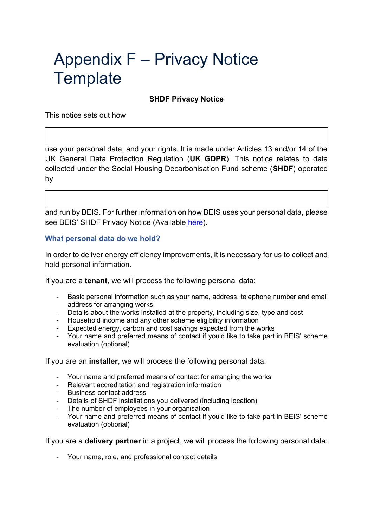## Appendix F – Privacy Notice **Template**

#### **SHDF Privacy Notice**

This notice sets out how

use your personal data, and your rights. It is made under Articles 13 and/or 14 of the UK General Data Protection Regulation (**UK GDPR**). This notice relates to data collected under the Social Housing Decarbonisation Fund scheme (**SHDF**) operated by

and run by BEIS. For further information on how BEIS uses your personal data, please see BEIS' SHDF Privacy Notice (Available [here\)](https://www.gov.uk/government/publications/social-housing-decarbonisation-fund/social-housing-decarbonisation-fund-privacy-notice).

#### **What personal data do we hold?**

In order to deliver energy efficiency improvements, it is necessary for us to collect and hold personal information.

If you are a **tenant**, we will process the following personal data:

- Basic personal information such as your name, address, telephone number and email address for arranging works
- Details about the works installed at the property, including size, type and cost
- Household income and any other scheme eligibility information
- Expected energy, carbon and cost savings expected from the works
- Your name and preferred means of contact if you'd like to take part in BEIS' scheme evaluation (optional)

If you are an **installer**, we will process the following personal data:

- Your name and preferred means of contact for arranging the works
- Relevant accreditation and registration information
- Business contact address
- Details of SHDF installations you delivered (including location)
- The number of employees in your organisation
- Your name and preferred means of contact if you'd like to take part in BEIS' scheme evaluation (optional)

If you are a **delivery partner** in a project, we will process the following personal data:

- Your name, role, and professional contact details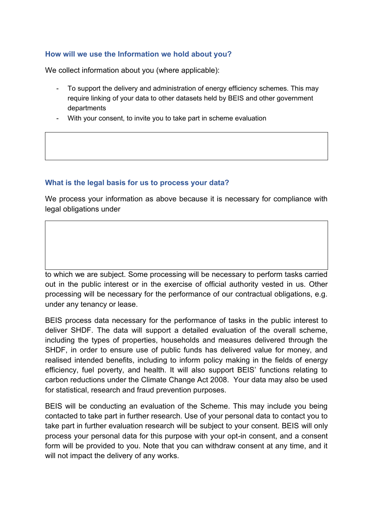### **How will we use the Information we hold about you?**

We collect information about you (where applicable):

- To support the delivery and administration of energy efficiency schemes. This may require linking of your data to other datasets held by BEIS and other government departments
- With your consent, to invite you to take part in scheme evaluation

### **What is the legal basis for us to process your data?**

We process your information as above because it is necessary for compliance with legal obligations under

to which we are subject. Some processing will be necessary to perform tasks carried out in the public interest or in the exercise of official authority vested in us. Other processing will be necessary for the performance of our contractual obligations, e.g. under any tenancy or lease.

BEIS process data necessary for the performance of tasks in the public interest to deliver SHDF. The data will support a detailed evaluation of the overall scheme, including the types of properties, households and measures delivered through the SHDF, in order to ensure use of public funds has delivered value for money, and realised intended benefits, including to inform policy making in the fields of energy efficiency, fuel poverty, and health. It will also support BEIS' functions relating to carbon reductions under the Climate Change Act 2008. Your data may also be used for statistical, research and fraud prevention purposes.

BEIS will be conducting an evaluation of the Scheme. This may include you being contacted to take part in further research. Use of your personal data to contact you to take part in further evaluation research will be subject to your consent. BEIS will only process your personal data for this purpose with your opt-in consent, and a consent form will be provided to you. Note that you can withdraw consent at any time, and it will not impact the delivery of any works.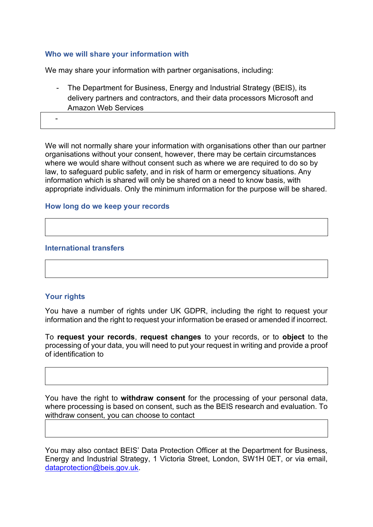### **Who we will share your information with**

We may share your information with partner organisations, including:

- The Department for Business, Energy and Industrial Strategy (BEIS), its delivery partners and contractors, and their data processors Microsoft and Amazon Web Services

-

We will not normally share your information with organisations other than our partner organisations without your consent, however, there may be certain circumstances where we would share without consent such as where we are required to do so by law, to safeguard public safety, and in risk of harm or emergency situations. Any information which is shared will only be shared on a need to know basis, with appropriate individuals. Only the minimum information for the purpose will be shared.

### **How long do we keep your records**

### **International transfers**

#### **Your rights**

You have a number of rights under UK GDPR, including the right to request your information and the right to request your information be erased or amended if incorrect.

To **request your records**, **request changes** to your records, or to **object** to the processing of your data, you will need to put your request in writing and provide a proof of identification to

You have the right to **withdraw consent** for the processing of your personal data, where processing is based on consent, such as the BEIS research and evaluation. To withdraw consent, you can choose to contact

You may also contact BEIS' Data Protection Officer at the Department for Business, Energy and Industrial Strategy, 1 Victoria Street, London, SW1H 0ET, or via email, [dataprotection@beis.gov.uk.](mailto:dataprotection@beis.gov.uk)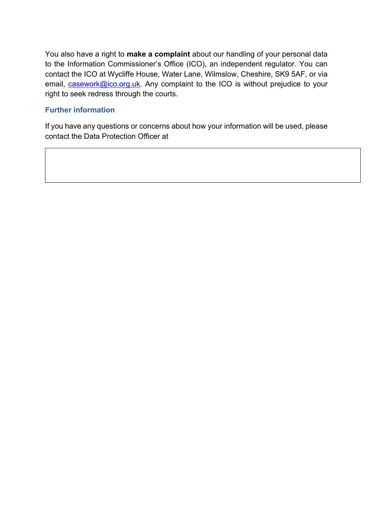You also have a right to **make a complaint** about our handling of your personal data to the Information Commissioner's Office (ICO), an independent regulator. You can contact the ICO at Wycliffe House, Water Lane, Wilmslow, Cheshire, SK9 5AF, or via email, [casework@ico.org.uk.](mailto:casework@ico.org.uk) Any complaint to the ICO is without prejudice to your right to seek redress through the courts.

### **Further information**

If you have any questions or concerns about how your information will be used, please contact the Data Protection Officer at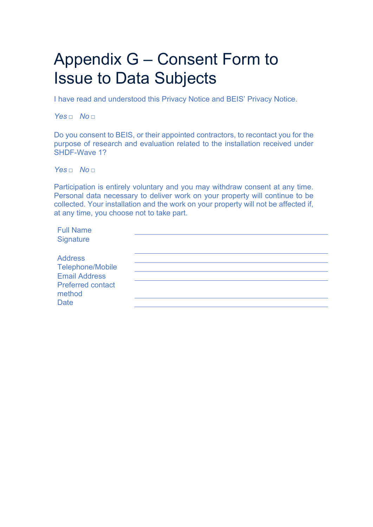## Appendix G – Consent Form to Issue to Data Subjects

I have read and understood this Privacy Notice and BEIS' Privacy Notice.

*Yes □    No □*

Do you consent to BEIS, or their appointed contractors, to recontact you for the purpose of research and evaluation related to the installation received under SHDF-Wave 1?

*Yes □    No □*

Participation is entirely voluntary and you may withdraw consent at any time. Personal data necessary to deliver work on your property will continue to be collected. Your installation and the work on your property will not be affected if, at any time, you choose not to take part.

| <b>Full Name</b>                   |  |  |
|------------------------------------|--|--|
| Signature                          |  |  |
| <b>Address</b>                     |  |  |
| <b>Telephone/Mobile</b>            |  |  |
| <b>Email Address</b>               |  |  |
| <b>Preferred contact</b><br>method |  |  |
| <b>Date</b>                        |  |  |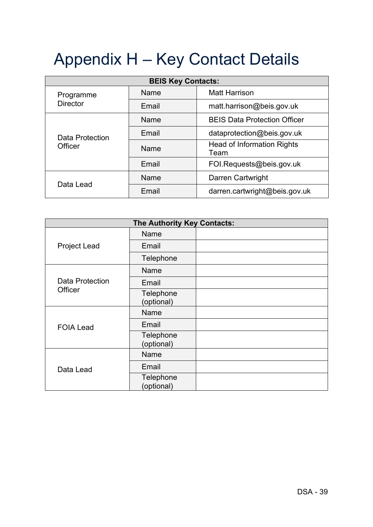# Appendix H – Key Contact Details

| <b>BEIS Key Contacts:</b>    |       |                                     |  |  |  |  |
|------------------------------|-------|-------------------------------------|--|--|--|--|
| Programme<br><b>Director</b> | Name  | <b>Matt Harrison</b>                |  |  |  |  |
|                              | Email | matt.harrison@beis.gov.uk           |  |  |  |  |
| Data Protection<br>Officer   | Name  | <b>BEIS Data Protection Officer</b> |  |  |  |  |
|                              | Email | dataprotection@beis.gov.uk          |  |  |  |  |
|                              | Name  | Head of Information Rights<br>Team  |  |  |  |  |
|                              | Email | FOI.Requests@beis.gov.uk            |  |  |  |  |
| Data Lead                    | Name  | Darren Cartwright                   |  |  |  |  |
|                              | Email | darren.cartwright@beis.gov.uk       |  |  |  |  |

| The Authority Key Contacts:       |                         |  |  |  |  |  |
|-----------------------------------|-------------------------|--|--|--|--|--|
|                                   | Name                    |  |  |  |  |  |
| <b>Project Lead</b>               | Email                   |  |  |  |  |  |
|                                   | Telephone               |  |  |  |  |  |
|                                   | <b>Name</b>             |  |  |  |  |  |
| <b>Data Protection</b><br>Officer | Email                   |  |  |  |  |  |
|                                   | Telephone<br>(optional) |  |  |  |  |  |
|                                   | Name                    |  |  |  |  |  |
| <b>FOIA Lead</b>                  | Email                   |  |  |  |  |  |
|                                   | Telephone<br>(optional) |  |  |  |  |  |
|                                   | Name                    |  |  |  |  |  |
| Data Lead                         | Email                   |  |  |  |  |  |
|                                   | Telephone<br>(optional) |  |  |  |  |  |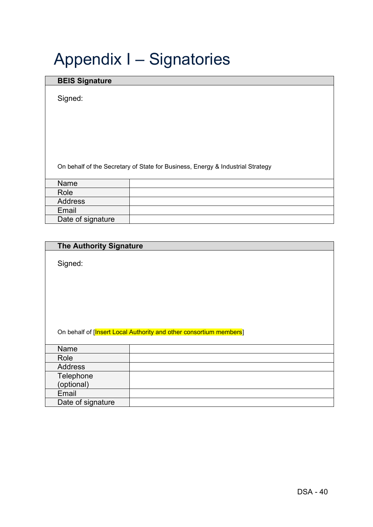## Appendix I – Signatories

### **BEIS Signature**

Signed:

On behalf of the Secretary of State for Business, Energy & Industrial Strategy

| Name              |  |
|-------------------|--|
| Role              |  |
| <b>Address</b>    |  |
| Email             |  |
| Date of signature |  |

| <b>The Authority Signature</b> |
|--------------------------------|
|--------------------------------|

Signed:

|  | On behalf of [Insert Local Authority and other consortium members] |
|--|--------------------------------------------------------------------|
|--|--------------------------------------------------------------------|

| Name              |  |
|-------------------|--|
| Role              |  |
| <b>Address</b>    |  |
| Telephone         |  |
| (optional)        |  |
| Email             |  |
| Date of signature |  |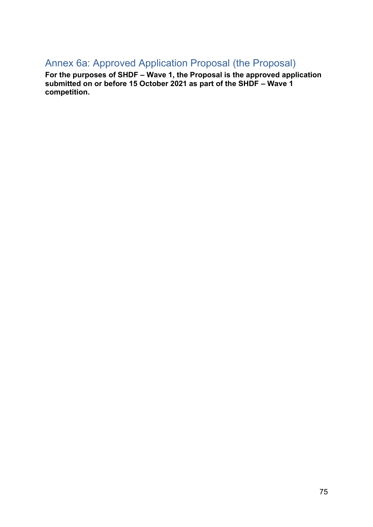## Annex 6a: Approved Application Proposal (the Proposal)

**For the purposes of SHDF – Wave 1, the Proposal is the approved application submitted on or before 15 October 2021 as part of the SHDF – Wave 1 competition.**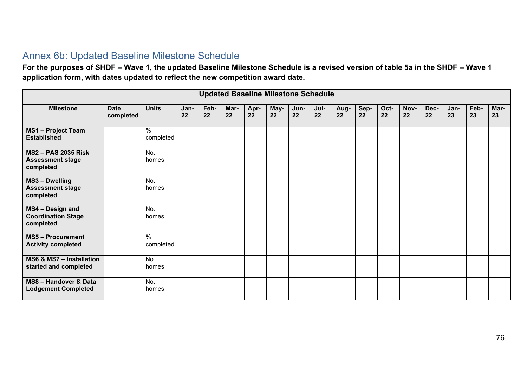## Annex 6b: Updated Baseline Milestone Schedule

**For the purposes of SHDF – Wave 1, the updated Baseline Milestone Schedule is a revised version of table 5a in the SHDF – Wave 1 application form, with dates updated to reflect the new competition award date.** 

| <b>Updated Baseline Milestone Schedule</b>                       |                          |                            |            |            |            |            |            |            |            |            |            |            |            |            |            |            |            |
|------------------------------------------------------------------|--------------------------|----------------------------|------------|------------|------------|------------|------------|------------|------------|------------|------------|------------|------------|------------|------------|------------|------------|
| <b>Milestone</b>                                                 | <b>Date</b><br>completed | <b>Units</b>               | Jan-<br>22 | Feb-<br>22 | Mar-<br>22 | Apr-<br>22 | May-<br>22 | Jun-<br>22 | Jul-<br>22 | Aug-<br>22 | Sep-<br>22 | Oct-<br>22 | Nov-<br>22 | Dec-<br>22 | Jan-<br>23 | Feb-<br>23 | Mar-<br>23 |
| <b>MS1-Project Team</b><br><b>Established</b>                    |                          | $\frac{0}{0}$<br>completed |            |            |            |            |            |            |            |            |            |            |            |            |            |            |            |
| <b>MS2-PAS 2035 Risk</b><br><b>Assessment stage</b><br>completed |                          | No.<br>homes               |            |            |            |            |            |            |            |            |            |            |            |            |            |            |            |
| MS3 - Dwelling<br><b>Assessment stage</b><br>completed           |                          | No.<br>homes               |            |            |            |            |            |            |            |            |            |            |            |            |            |            |            |
| MS4 - Design and<br><b>Coordination Stage</b><br>completed       |                          | No.<br>homes               |            |            |            |            |            |            |            |            |            |            |            |            |            |            |            |
| <b>MS5-Procurement</b><br><b>Activity completed</b>              |                          | $\frac{9}{6}$<br>completed |            |            |            |            |            |            |            |            |            |            |            |            |            |            |            |
| MS6 & MS7 - Installation<br>started and completed                |                          | No.<br>homes               |            |            |            |            |            |            |            |            |            |            |            |            |            |            |            |
| MS8 - Handover & Data<br><b>Lodgement Completed</b>              |                          | No.<br>homes               |            |            |            |            |            |            |            |            |            |            |            |            |            |            |            |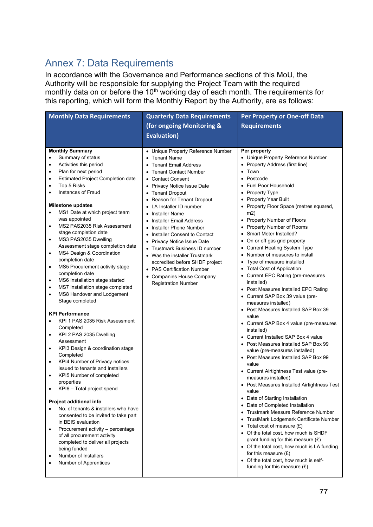## Annex 7: Data Requirements

In accordance with the Governance and Performance sections of this MoU, the Authority will be responsible for supplying the Project Team with the required monthly data on or before the 10<sup>th</sup> working day of each month. The requirements for this reporting, which will form the Monthly Report by the Authority, are as follows:

| <b>Monthly Data Requirements</b>                                                                                                                                                                                                                                                                                                                                                                                                                                                                                                                                                                                                                                                                                                                                                                                                                                                                                                                                                                                                                                                                                                                                                                                                                                                                                                                                                                                                                                                                                                                                  | <b>Quarterly Data Requirements</b>                                                                                                                                                                                                                                                                                                                                                                                                                                                                                                                                                      | <b>Per Property or One-off Data</b>                                                                                                                                                                                                                                                                                                                                                                                                                                                                                                                                                                                                                                                                                                                                                                                                                                                                                                                                                                                                                                                                                                                                                                                                                                                                                                                                                                                                                                                             |
|-------------------------------------------------------------------------------------------------------------------------------------------------------------------------------------------------------------------------------------------------------------------------------------------------------------------------------------------------------------------------------------------------------------------------------------------------------------------------------------------------------------------------------------------------------------------------------------------------------------------------------------------------------------------------------------------------------------------------------------------------------------------------------------------------------------------------------------------------------------------------------------------------------------------------------------------------------------------------------------------------------------------------------------------------------------------------------------------------------------------------------------------------------------------------------------------------------------------------------------------------------------------------------------------------------------------------------------------------------------------------------------------------------------------------------------------------------------------------------------------------------------------------------------------------------------------|-----------------------------------------------------------------------------------------------------------------------------------------------------------------------------------------------------------------------------------------------------------------------------------------------------------------------------------------------------------------------------------------------------------------------------------------------------------------------------------------------------------------------------------------------------------------------------------------|-------------------------------------------------------------------------------------------------------------------------------------------------------------------------------------------------------------------------------------------------------------------------------------------------------------------------------------------------------------------------------------------------------------------------------------------------------------------------------------------------------------------------------------------------------------------------------------------------------------------------------------------------------------------------------------------------------------------------------------------------------------------------------------------------------------------------------------------------------------------------------------------------------------------------------------------------------------------------------------------------------------------------------------------------------------------------------------------------------------------------------------------------------------------------------------------------------------------------------------------------------------------------------------------------------------------------------------------------------------------------------------------------------------------------------------------------------------------------------------------------|
|                                                                                                                                                                                                                                                                                                                                                                                                                                                                                                                                                                                                                                                                                                                                                                                                                                                                                                                                                                                                                                                                                                                                                                                                                                                                                                                                                                                                                                                                                                                                                                   | (for ongoing Monitoring &                                                                                                                                                                                                                                                                                                                                                                                                                                                                                                                                                               | <b>Requirements</b>                                                                                                                                                                                                                                                                                                                                                                                                                                                                                                                                                                                                                                                                                                                                                                                                                                                                                                                                                                                                                                                                                                                                                                                                                                                                                                                                                                                                                                                                             |
|                                                                                                                                                                                                                                                                                                                                                                                                                                                                                                                                                                                                                                                                                                                                                                                                                                                                                                                                                                                                                                                                                                                                                                                                                                                                                                                                                                                                                                                                                                                                                                   | <b>Evaluation)</b>                                                                                                                                                                                                                                                                                                                                                                                                                                                                                                                                                                      |                                                                                                                                                                                                                                                                                                                                                                                                                                                                                                                                                                                                                                                                                                                                                                                                                                                                                                                                                                                                                                                                                                                                                                                                                                                                                                                                                                                                                                                                                                 |
|                                                                                                                                                                                                                                                                                                                                                                                                                                                                                                                                                                                                                                                                                                                                                                                                                                                                                                                                                                                                                                                                                                                                                                                                                                                                                                                                                                                                                                                                                                                                                                   |                                                                                                                                                                                                                                                                                                                                                                                                                                                                                                                                                                                         |                                                                                                                                                                                                                                                                                                                                                                                                                                                                                                                                                                                                                                                                                                                                                                                                                                                                                                                                                                                                                                                                                                                                                                                                                                                                                                                                                                                                                                                                                                 |
| <b>Monthly Summary</b><br>Summary of status<br>$\bullet$<br>Activities this period<br>$\bullet$<br>Plan for next period<br>$\bullet$<br><b>Estimated Project Completion date</b><br>$\bullet$<br>Top 5 Risks<br>$\bullet$<br>Instances of Fraud<br>$\bullet$<br><b>Milestone updates</b><br>MS1 Date at which project team<br>$\bullet$<br>was appointed<br>MS2 PAS2035 Risk Assessment<br>$\bullet$<br>stage completion date<br>MS3 PAS2035 Dwelling<br>$\bullet$<br>Assessment stage completion date<br>MS4 Design & Coordination<br>$\bullet$<br>completion date<br>MS5 Procurement activity stage<br>$\bullet$<br>completion date<br>MS6 Installation stage started<br>$\bullet$<br>MS7 Installation stage completed<br>$\bullet$<br>MS8 Handover and Lodgement<br>$\bullet$<br>Stage completed<br><b>KPI Performance</b><br>KPI 1 PAS 2035 Risk Assessment<br>$\bullet$<br>Completed<br>KPI 2 PAS 2035 Dwelling<br>$\bullet$<br>Assessment<br>KPI3 Design & coordination stage<br>$\bullet$<br>Completed<br>KPI4 Number of Privacy notices<br>$\bullet$<br>issued to tenants and Installers<br>KPI5 Number of completed<br>$\bullet$<br>properties<br>KPI6 - Total project spend<br>$\bullet$<br>Project additional info<br>No. of tenants & installers who have<br>$\bullet$<br>consented to be invited to take part<br>in BEIS evaluation<br>Procurement activity - percentage<br>$\bullet$<br>of all procurement activity<br>completed to deliver all projects<br>being funded<br>Number of Installers<br>$\bullet$<br>Number of Apprentices<br>$\bullet$ | • Unique Property Reference Number<br>• Tenant Name<br>• Tenant Email Address<br>• Tenant Contact Number<br>• Contact Consent<br>• Privacy Notice Issue Date<br>• Tenant Dropout<br>• Reason for Tenant Dropout<br>• LA Installer ID number<br>• Installer Name<br>• Installer Email Address<br>• Installer Phone Number<br>• Installer Consent to Contact<br>• Privacy Notice Issue Date<br>• Trustmark Business ID number<br>• Was the installer Trustmark<br>accredited before SHDF project<br>• PAS Certification Number<br>• Companies House Company<br><b>Registration Number</b> | Per property<br>• Unique Property Reference Number<br>• Property Address (first line)<br>• Town<br>• Postcode<br>• Fuel Poor Household<br>• Property Type<br>• Property Year Built<br>• Property Floor Space (metres squared,<br>m2)<br>• Property Number of Floors<br>• Property Number of Rooms<br>• Smart Meter Installed?<br>• On or off gas grid property<br>• Current Heating System Type<br>• Number of measures to install<br>• Type of measure installed<br>• Total Cost of Application<br>• Current EPC Rating (pre-measures<br>installed)<br>• Post Measures Installed EPC Rating<br>• Current SAP Box 39 value (pre-<br>measures installed)<br>• Post Measures Installed SAP Box 39<br>value<br>• Current SAP Box 4 value (pre-measures<br>installed)<br>• Current Installed SAP Box 4 value<br>• Post Measures Installed SAP Box 99<br>value (pre-measures installed)<br>• Post Measures Installed SAP Box 99<br>value<br>• Current Airtightness Test value (pre-<br>measures installed)<br>• Post Measures Installed Airtightness Test<br>value<br>• Date of Starting Installation<br>• Date of Completed Installation<br>• Trustmark Measure Reference Number<br>• TrustMark Lodgemark Certificate Number<br>• Total cost of measure $(E)$<br>• Of the total cost, how much is SHDF<br>grant funding for this measure $(E)$<br>• Of the total cost, how much is LA funding<br>for this measure $(E)$<br>• Of the total cost, how much is self-<br>funding for this measure $(E)$ |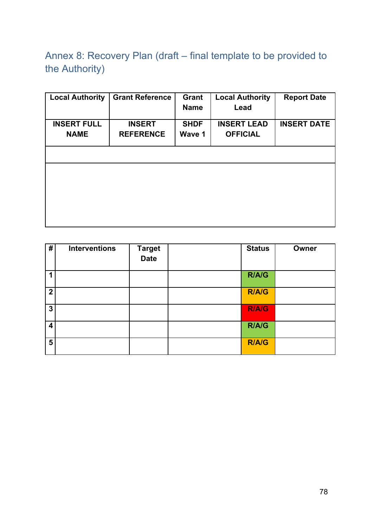Annex 8: Recovery Plan (draft – final template to be provided to the Authority)

| <b>Local Authority</b>            | <b>Grant Reference</b>            | Grant<br><b>Name</b>  | <b>Local Authority</b><br>Lead        | <b>Report Date</b> |
|-----------------------------------|-----------------------------------|-----------------------|---------------------------------------|--------------------|
| <b>INSERT FULL</b><br><b>NAME</b> | <b>INSERT</b><br><b>REFERENCE</b> | <b>SHDF</b><br>Wave 1 | <b>INSERT LEAD</b><br><b>OFFICIAL</b> | <b>INSERT DATE</b> |
|                                   |                                   |                       |                                       |                    |
|                                   |                                   |                       |                                       |                    |
|                                   |                                   |                       |                                       |                    |
|                                   |                                   |                       |                                       |                    |
|                                   |                                   |                       |                                       |                    |

| #                       | <b>Interventions</b> | <b>Target</b><br><b>Date</b> | <b>Status</b> | Owner |
|-------------------------|----------------------|------------------------------|---------------|-------|
|                         |                      |                              | R/A/G         |       |
| $\overline{2}$          |                      |                              | <b>R/A/G</b>  |       |
| $\overline{3}$          |                      |                              | <b>R/A/G</b>  |       |
| $\overline{\mathbf{4}}$ |                      |                              | R/A/G         |       |
| 5                       |                      |                              | <b>R/A/G</b>  |       |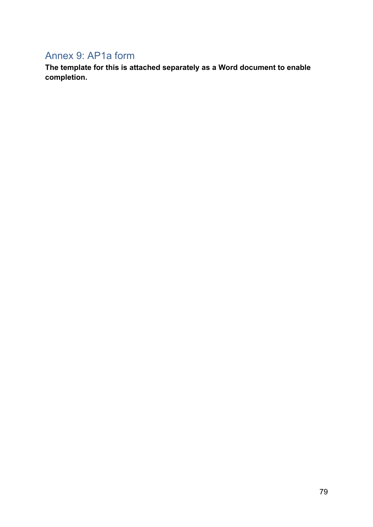## Annex 9: AP1a form

**The template for this is attached separately as a Word document to enable completion.**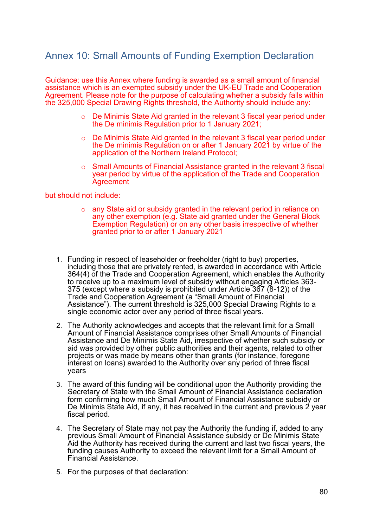### Annex 10: Small Amounts of Funding Exemption Declaration

Guidance: use this Annex where funding is awarded as a small amount of financial assistance which is an exempted subsidy under the UK-EU Trade and Cooperation Agreement. Please note for the purpose of calculating whether a subsidy falls within the 325,000 Special Drawing Rights threshold, the Authority should include any:

- $\circ$  De Minimis State Aid granted in the relevant 3 fiscal year period under the De minimis Regulation prior to 1 January 2021;
- o De Minimis State Aid granted in the relevant 3 fiscal year period under the De minimis Regulation on or after 1 January 2021 by virtue of the application of the Northern Ireland Protocol;
- $\circ$  Small Amounts of Financial Assistance granted in the relevant 3 fiscal year period by virtue of the application of the Trade and Cooperation **Agreement**

### but should not include:

- o any State aid or subsidy granted in the relevant period in reliance on any other exemption (e.g. State aid granted under the General Block Exemption Regulation) or on any other basis irrespective of whether granted prior to or after 1 January 2021
- 1. Funding in respect of leaseholder or freeholder (right to buy) properties, including those that are privately rented, is awarded in accordance with Article 364(4) of the Trade and Cooperation Agreement, which enables the Authority to receive up to a maximum level of subsidy without engaging Articles 363- 375 (except where a subsidy is prohibited under Article 367 (8-12)) of the Trade and Cooperation Agreement (a "Small Amount of Financial Assistance"). The current threshold is 325,000 Special Drawing Rights to a single economic actor over any period of three fiscal years.
- 2. The Authority acknowledges and accepts that the relevant limit for a Small Amount of Financial Assistance comprises other Small Amounts of Financial Assistance and De Minimis State Aid, irrespective of whether such subsidy or aid was provided by other public authorities and their agents, related to other projects or was made by means other than grants (for instance, foregone interest on loans) awarded to the Authority over any period of three fiscal years
- 3. The award of this funding will be conditional upon the Authority providing the Secretary of State with the Small Amount of Financial Assistance declaration form confirming how much Small Amount of Financial Assistance subsidy or De Minimis State Aid, if any, it has received in the current and previous 2 year fiscal period.
- 4. The Secretary of State may not pay the Authority the funding if, added to any previous Small Amount of Financial Assistance subsidy or De Minimis State Aid the Authority has received during the current and last two fiscal years, the funding causes Authority to exceed the relevant limit for a Small Amount of Financial Assistance.
- 5. For the purposes of that declaration: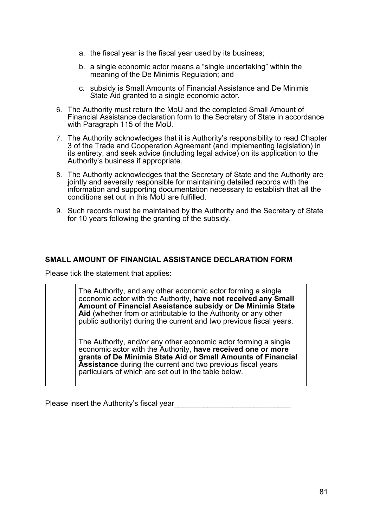- a. the fiscal year is the fiscal year used by its business;
- b. a single economic actor means a "single undertaking" within the meaning of the De Minimis Regulation; and
- c. subsidy is Small Amounts of Financial Assistance and De Minimis State Aid granted to a single economic actor.
- 6. The Authority must return the MoU and the completed Small Amount of Financial Assistance declaration form to the Secretary of State in accordance with Paragraph 115 of the MoU.
- 7. The Authority acknowledges that it is Authority's responsibility to read Chapter 3 of the Trade and Cooperation Agreement (and implementing legislation) in its entirety, and seek advice (including legal advice) on its application to the Authority's business if appropriate.
- 8. The Authority acknowledges that the Secretary of State and the Authority are jointly and severally responsible for maintaining detailed records with the information and supporting documentation necessary to establish that all the conditions set out in this MoU are fulfilled.
- 9. Such records must be maintained by the Authority and the Secretary of State for 10 years following the granting of the subsidy.

### **SMALL AMOUNT OF FINANCIAL ASSISTANCE DECLARATION FORM**

Please tick the statement that applies:

| The Authority, and any other economic actor forming a single<br>economic actor with the Authority, have not received any Small<br>Amount of Financial Assistance subsidy or De Minimis State<br>Aid (whether from or attributable to the Authority or any other<br>public authority) during the current and two previous fiscal years. |
|----------------------------------------------------------------------------------------------------------------------------------------------------------------------------------------------------------------------------------------------------------------------------------------------------------------------------------------|
| The Authority, and/or any other economic actor forming a single<br>economic actor with the Authority, have received one or more<br>grants of De Minimis State Aid or Small Amounts of Financial<br>Assistance during the current and two previous fiscal years<br>particulars of which are set out in the table below.                 |

Please insert the Authority's fiscal year